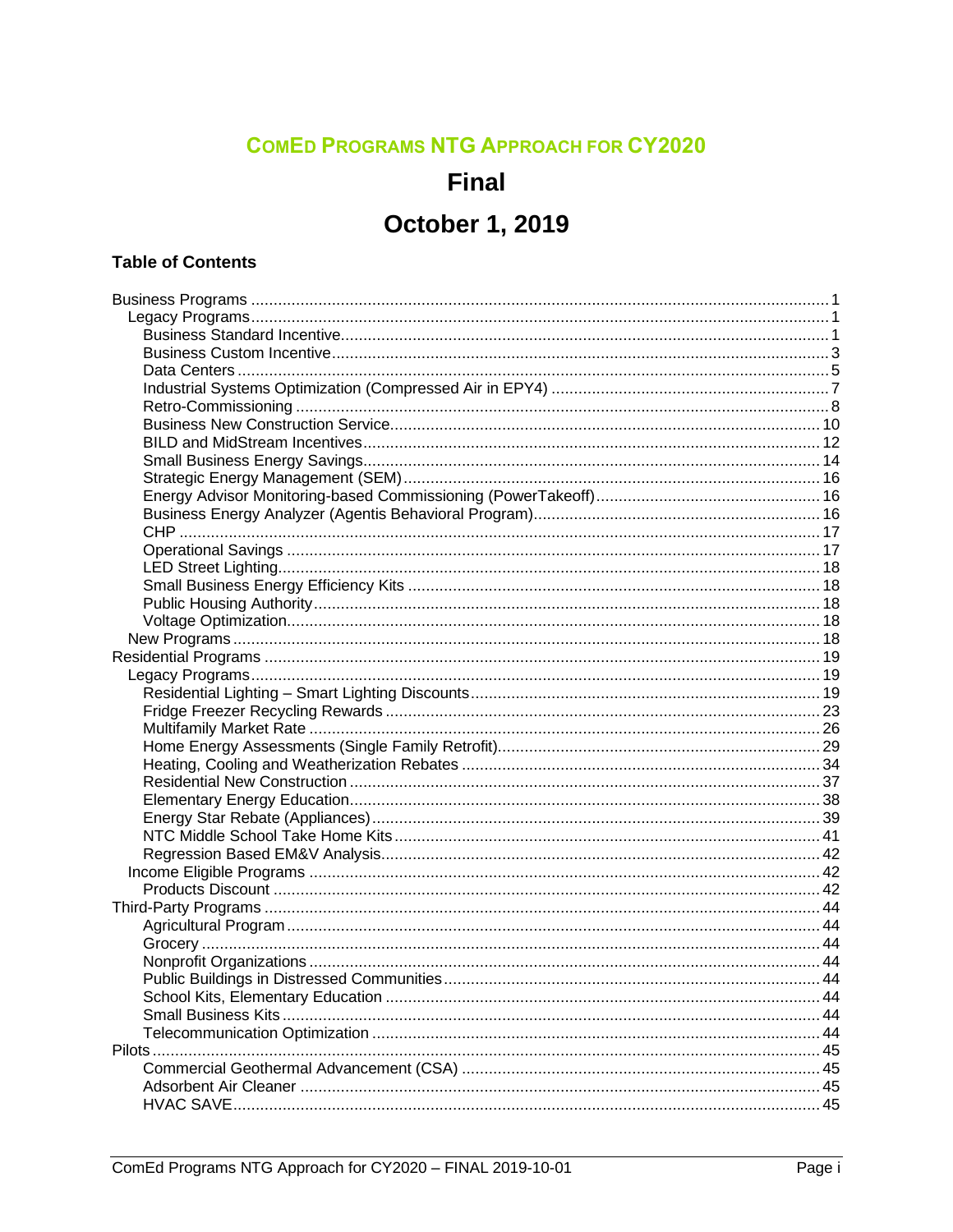### **COMED PROGRAMS NTG APPROACH FOR CY2020**

### **Final**

## **October 1, 2019**

#### **Table of Contents**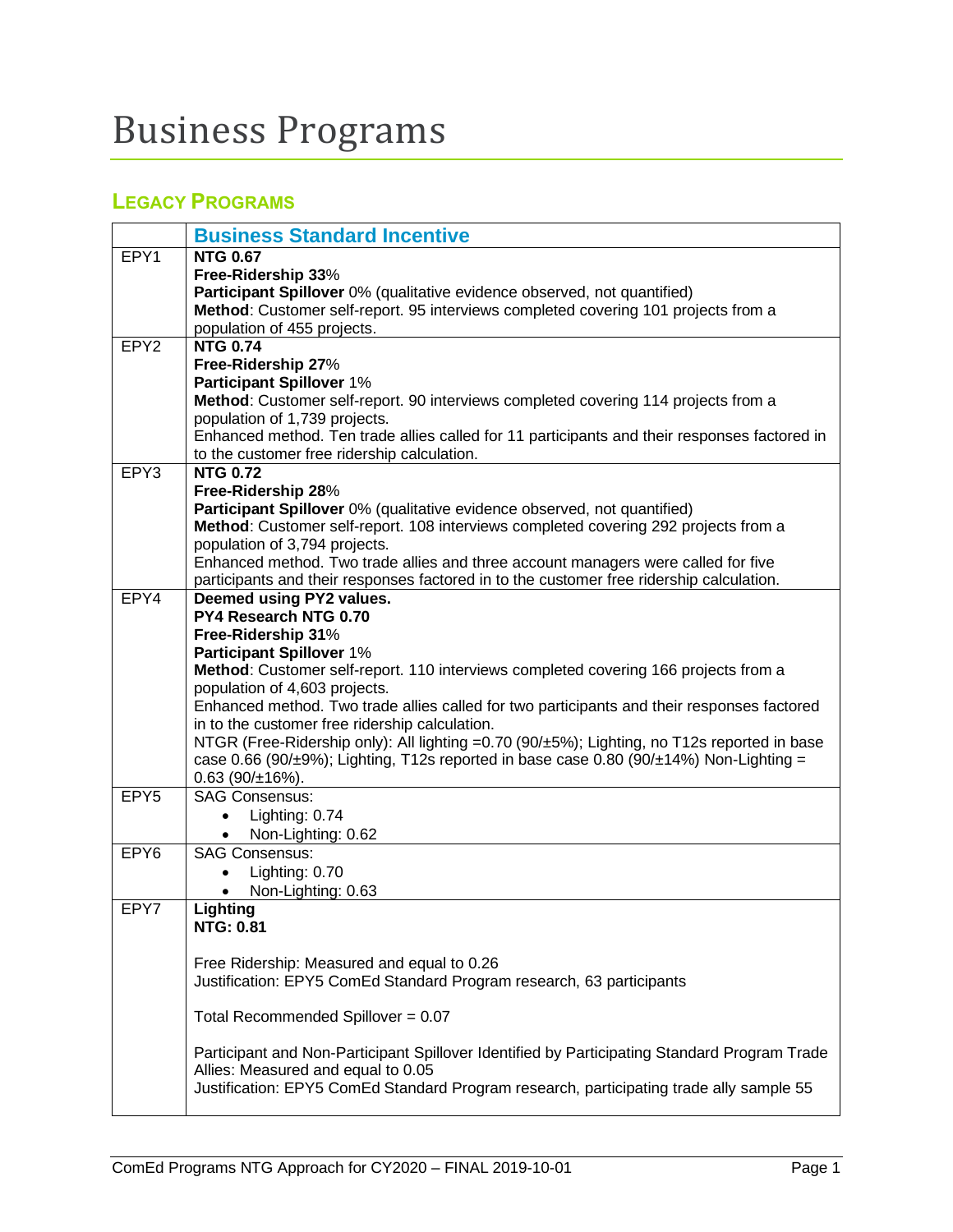# <span id="page-2-0"></span>Business Programs

### <span id="page-2-1"></span>**LEGACY PROGRAMS**

<span id="page-2-2"></span>

|                  | <b>Business Standard Incentive</b>                                                                                                                              |
|------------------|-----------------------------------------------------------------------------------------------------------------------------------------------------------------|
| EPY1             | <b>NTG 0.67</b>                                                                                                                                                 |
|                  | Free-Ridership 33%                                                                                                                                              |
|                  | Participant Spillover 0% (qualitative evidence observed, not quantified)                                                                                        |
|                  | Method: Customer self-report. 95 interviews completed covering 101 projects from a                                                                              |
|                  |                                                                                                                                                                 |
| EPY <sub>2</sub> | population of 455 projects.<br><b>NTG 0.74</b>                                                                                                                  |
|                  |                                                                                                                                                                 |
|                  | Free-Ridership 27%                                                                                                                                              |
|                  | <b>Participant Spillover 1%</b>                                                                                                                                 |
|                  | Method: Customer self-report. 90 interviews completed covering 114 projects from a                                                                              |
|                  | population of 1,739 projects.                                                                                                                                   |
|                  | Enhanced method. Ten trade allies called for 11 participants and their responses factored in<br>to the customer free ridership calculation.                     |
| EPY3             | <b>NTG 0.72</b>                                                                                                                                                 |
|                  |                                                                                                                                                                 |
|                  | Free-Ridership 28%                                                                                                                                              |
|                  | Participant Spillover 0% (qualitative evidence observed, not quantified)<br>Method: Customer self-report. 108 interviews completed covering 292 projects from a |
|                  |                                                                                                                                                                 |
|                  | population of 3,794 projects.<br>Enhanced method. Two trade allies and three account managers were called for five                                              |
|                  | participants and their responses factored in to the customer free ridership calculation.                                                                        |
| EPY4             | Deemed using PY2 values.                                                                                                                                        |
|                  | PY4 Research NTG 0.70                                                                                                                                           |
|                  | Free-Ridership 31%                                                                                                                                              |
|                  | <b>Participant Spillover 1%</b>                                                                                                                                 |
|                  | Method: Customer self-report. 110 interviews completed covering 166 projects from a                                                                             |
|                  | population of 4,603 projects.                                                                                                                                   |
|                  | Enhanced method. Two trade allies called for two participants and their responses factored                                                                      |
|                  | in to the customer free ridership calculation.                                                                                                                  |
|                  | NTGR (Free-Ridership only): All lighting =0.70 (90/±5%); Lighting, no T12s reported in base                                                                     |
|                  | case 0.66 (90/ $\pm$ 9%); Lighting, T12s reported in base case 0.80 (90/ $\pm$ 14%) Non-Lighting =                                                              |
|                  | $0.63$ (90/ $\pm$ 16%).                                                                                                                                         |
| EPY <sub>5</sub> | <b>SAG Consensus:</b>                                                                                                                                           |
|                  | Lighting: 0.74                                                                                                                                                  |
|                  | Non-Lighting: 0.62                                                                                                                                              |
| EPY <sub>6</sub> | <b>SAG Consensus:</b>                                                                                                                                           |
|                  | Lighting: 0.70                                                                                                                                                  |
|                  | Non-Lighting: 0.63                                                                                                                                              |
| EPY7             | Lighting                                                                                                                                                        |
|                  | <b>NTG: 0.81</b>                                                                                                                                                |
|                  |                                                                                                                                                                 |
|                  | Free Ridership: Measured and equal to 0.26                                                                                                                      |
|                  | Justification: EPY5 ComEd Standard Program research, 63 participants                                                                                            |
|                  |                                                                                                                                                                 |
|                  | Total Recommended Spillover = 0.07                                                                                                                              |
|                  |                                                                                                                                                                 |
|                  | Participant and Non-Participant Spillover Identified by Participating Standard Program Trade                                                                    |
|                  | Allies: Measured and equal to 0.05                                                                                                                              |
|                  | Justification: EPY5 ComEd Standard Program research, participating trade ally sample 55                                                                         |
|                  |                                                                                                                                                                 |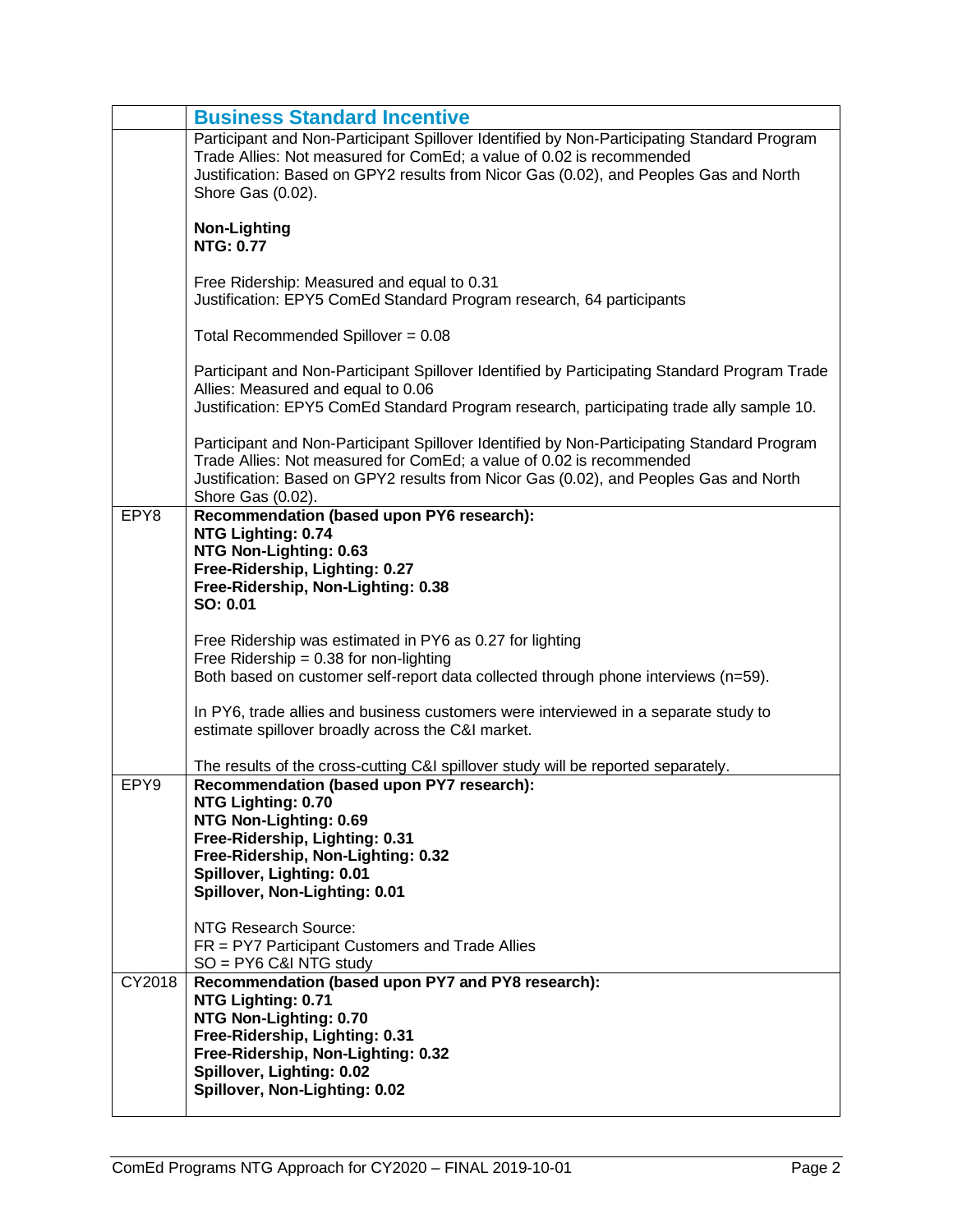|        | <b>Business Standard Incentive</b>                                                                                                                                                                                                                                               |
|--------|----------------------------------------------------------------------------------------------------------------------------------------------------------------------------------------------------------------------------------------------------------------------------------|
|        | Participant and Non-Participant Spillover Identified by Non-Participating Standard Program<br>Trade Allies: Not measured for ComEd; a value of 0.02 is recommended<br>Justification: Based on GPY2 results from Nicor Gas (0.02), and Peoples Gas and North<br>Shore Gas (0.02). |
|        | <b>Non-Lighting</b><br><b>NTG: 0.77</b>                                                                                                                                                                                                                                          |
|        | Free Ridership: Measured and equal to 0.31<br>Justification: EPY5 ComEd Standard Program research, 64 participants                                                                                                                                                               |
|        | Total Recommended Spillover = $0.08$                                                                                                                                                                                                                                             |
|        | Participant and Non-Participant Spillover Identified by Participating Standard Program Trade<br>Allies: Measured and equal to 0.06<br>Justification: EPY5 ComEd Standard Program research, participating trade ally sample 10.                                                   |
|        | Participant and Non-Participant Spillover Identified by Non-Participating Standard Program<br>Trade Allies: Not measured for ComEd; a value of 0.02 is recommended<br>Justification: Based on GPY2 results from Nicor Gas (0.02), and Peoples Gas and North<br>Shore Gas (0.02). |
| EPY8   | Recommendation (based upon PY6 research):<br>NTG Lighting: 0.74<br>NTG Non-Lighting: 0.63<br>Free-Ridership, Lighting: 0.27<br>Free-Ridership, Non-Lighting: 0.38<br>SO: 0.01                                                                                                    |
|        | Free Ridership was estimated in PY6 as 0.27 for lighting<br>Free Ridership = $0.38$ for non-lighting<br>Both based on customer self-report data collected through phone interviews (n=59).                                                                                       |
|        | In PY6, trade allies and business customers were interviewed in a separate study to<br>estimate spillover broadly across the C&I market.                                                                                                                                         |
|        | The results of the cross-cutting C&I spillover study will be reported separately.                                                                                                                                                                                                |
| EPY9   | Recommendation (based upon PY7 research):                                                                                                                                                                                                                                        |
|        | NTG Lighting: 0.70<br>NTG Non-Lighting: 0.69                                                                                                                                                                                                                                     |
|        | Free-Ridership, Lighting: 0.31                                                                                                                                                                                                                                                   |
|        | Free-Ridership, Non-Lighting: 0.32                                                                                                                                                                                                                                               |
|        | Spillover, Lighting: 0.01<br>Spillover, Non-Lighting: 0.01                                                                                                                                                                                                                       |
|        |                                                                                                                                                                                                                                                                                  |
|        | NTG Research Source:                                                                                                                                                                                                                                                             |
|        | FR = PY7 Participant Customers and Trade Allies<br>$SO = PY6$ C&I NTG study                                                                                                                                                                                                      |
| CY2018 | Recommendation (based upon PY7 and PY8 research):                                                                                                                                                                                                                                |
|        | NTG Lighting: 0.71                                                                                                                                                                                                                                                               |
|        | NTG Non-Lighting: 0.70<br>Free-Ridership, Lighting: 0.31                                                                                                                                                                                                                         |
|        | Free-Ridership, Non-Lighting: 0.32                                                                                                                                                                                                                                               |
|        | Spillover, Lighting: 0.02                                                                                                                                                                                                                                                        |
|        | Spillover, Non-Lighting: 0.02                                                                                                                                                                                                                                                    |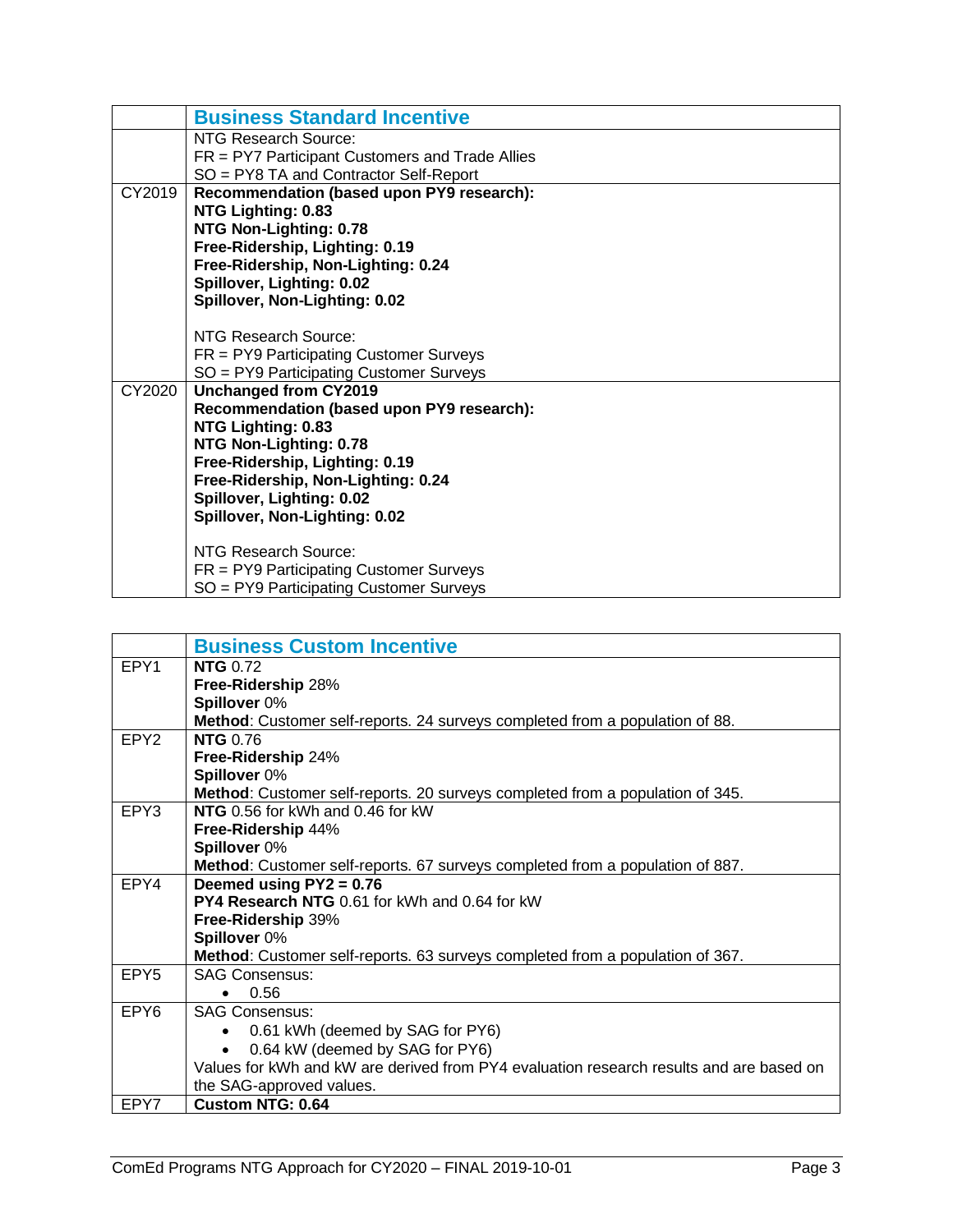|        | <b>Business Standard Incentive</b>                |
|--------|---------------------------------------------------|
|        | NTG Research Source:                              |
|        | $FR = PY7$ Participant Customers and Trade Allies |
|        | SO = PY8 TA and Contractor Self-Report            |
| CY2019 | Recommendation (based upon PY9 research):         |
|        | NTG Lighting: 0.83                                |
|        | NTG Non-Lighting: 0.78                            |
|        | Free-Ridership, Lighting: 0.19                    |
|        | Free-Ridership, Non-Lighting: 0.24                |
|        | Spillover, Lighting: 0.02                         |
|        | Spillover, Non-Lighting: 0.02                     |
|        |                                                   |
|        | NTG Research Source:                              |
|        | $FR = PY9$ Participating Customer Surveys         |
|        | SO = PY9 Participating Customer Surveys           |
| CY2020 | <b>Unchanged from CY2019</b>                      |
|        | Recommendation (based upon PY9 research):         |
|        | NTG Lighting: 0.83                                |
|        | NTG Non-Lighting: 0.78                            |
|        | Free-Ridership, Lighting: 0.19                    |
|        | Free-Ridership, Non-Lighting: 0.24                |
|        | Spillover, Lighting: 0.02                         |
|        | Spillover, Non-Lighting: 0.02                     |
|        | NTG Research Source:                              |
|        |                                                   |
|        | $FR = PY9$ Participating Customer Surveys         |
|        | SO = PY9 Participating Customer Surveys           |

<span id="page-4-0"></span>

|                  | <b>Business Custom Incentive</b>                                                        |
|------------------|-----------------------------------------------------------------------------------------|
| EPY1             | <b>NTG</b> 0.72                                                                         |
|                  | Free-Ridership 28%                                                                      |
|                  | Spillover 0%                                                                            |
|                  | Method: Customer self-reports. 24 surveys completed from a population of 88.            |
| EPY <sub>2</sub> | <b>NTG 0.76</b>                                                                         |
|                  | Free-Ridership 24%                                                                      |
|                  | Spillover 0%                                                                            |
|                  | <b>Method:</b> Customer self-reports. 20 surveys completed from a population of 345.    |
| EPY3             | NTG 0.56 for kWh and 0.46 for kW                                                        |
|                  | Free-Ridership 44%                                                                      |
|                  | Spillover 0%                                                                            |
|                  | Method: Customer self-reports. 67 surveys completed from a population of 887.           |
| EPY4             | Deemed using $PY2 = 0.76$                                                               |
|                  | <b>PY4 Research NTG</b> 0.61 for kWh and 0.64 for kW                                    |
|                  | Free-Ridership 39%                                                                      |
|                  | Spillover 0%                                                                            |
|                  | Method: Customer self-reports. 63 surveys completed from a population of 367.           |
| EPY <sub>5</sub> | <b>SAG Consensus:</b>                                                                   |
|                  | 0.56                                                                                    |
| EPY <sub>6</sub> | <b>SAG Consensus:</b>                                                                   |
|                  | 0.61 kWh (deemed by SAG for PY6)<br>$\bullet$                                           |
|                  | 0.64 kW (deemed by SAG for PY6)                                                         |
|                  | Values for kWh and kW are derived from PY4 evaluation research results and are based on |
|                  | the SAG-approved values.                                                                |
| EPY7             | <b>Custom NTG: 0.64</b>                                                                 |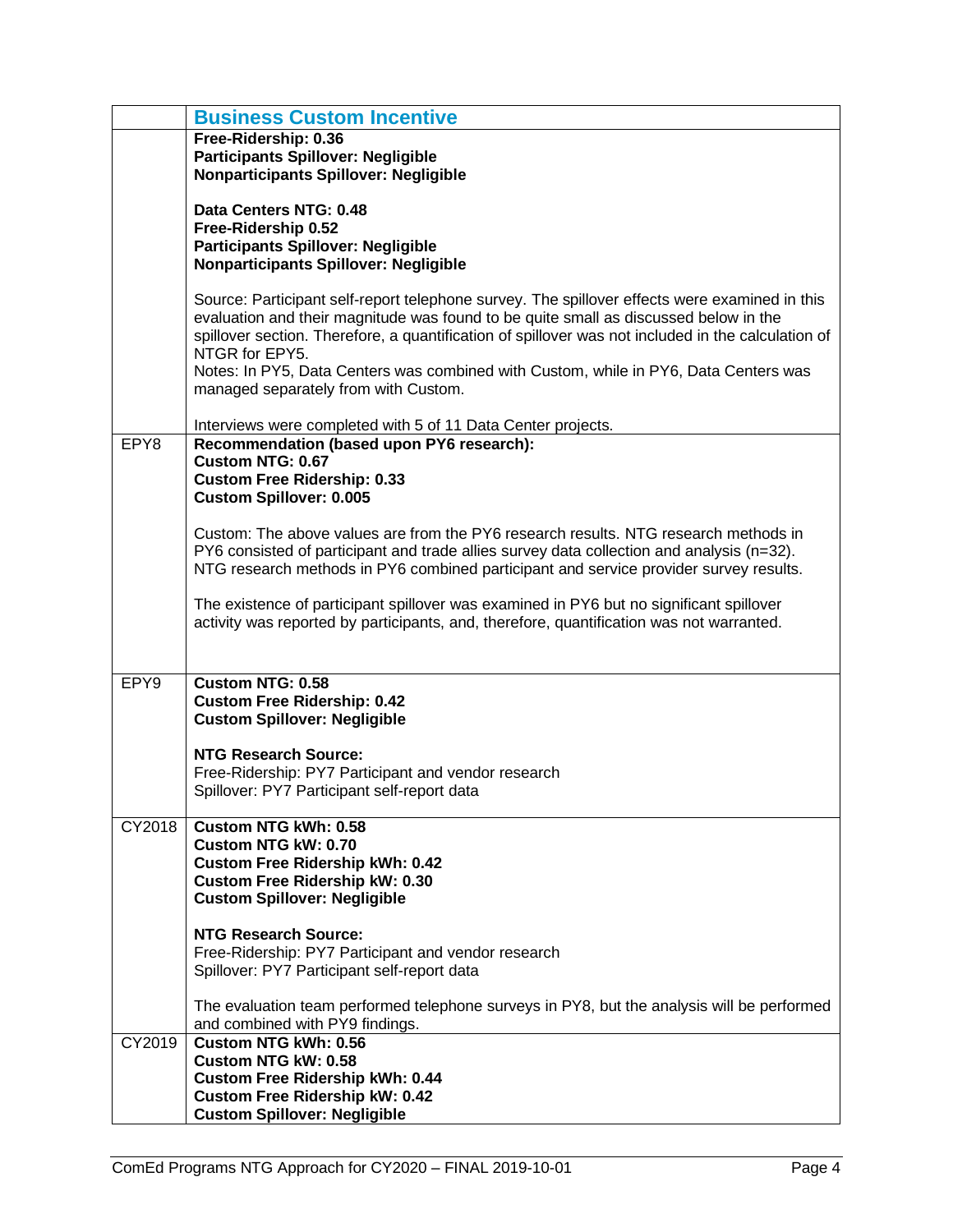|        | <b>Business Custom Incentive</b>                                                                                                                                                                                                                                                                                                                                                                                                              |
|--------|-----------------------------------------------------------------------------------------------------------------------------------------------------------------------------------------------------------------------------------------------------------------------------------------------------------------------------------------------------------------------------------------------------------------------------------------------|
|        | Free-Ridership: 0.36<br><b>Participants Spillover: Negligible</b><br><b>Nonparticipants Spillover: Negligible</b>                                                                                                                                                                                                                                                                                                                             |
|        | Data Centers NTG: 0.48<br>Free-Ridership 0.52<br><b>Participants Spillover: Negligible</b><br><b>Nonparticipants Spillover: Negligible</b>                                                                                                                                                                                                                                                                                                    |
|        | Source: Participant self-report telephone survey. The spillover effects were examined in this<br>evaluation and their magnitude was found to be quite small as discussed below in the<br>spillover section. Therefore, a quantification of spillover was not included in the calculation of<br>NTGR for EPY5.<br>Notes: In PY5, Data Centers was combined with Custom, while in PY6, Data Centers was<br>managed separately from with Custom. |
|        | Interviews were completed with 5 of 11 Data Center projects.                                                                                                                                                                                                                                                                                                                                                                                  |
| EPY8   | Recommendation (based upon PY6 research):<br>Custom NTG: 0.67                                                                                                                                                                                                                                                                                                                                                                                 |
|        | <b>Custom Free Ridership: 0.33</b><br><b>Custom Spillover: 0.005</b>                                                                                                                                                                                                                                                                                                                                                                          |
|        | Custom: The above values are from the PY6 research results. NTG research methods in<br>PY6 consisted of participant and trade allies survey data collection and analysis (n=32).<br>NTG research methods in PY6 combined participant and service provider survey results.                                                                                                                                                                     |
|        | The existence of participant spillover was examined in PY6 but no significant spillover<br>activity was reported by participants, and, therefore, quantification was not warranted.                                                                                                                                                                                                                                                           |
| EPY9   | <b>Custom NTG: 0.58</b><br><b>Custom Free Ridership: 0.42</b><br><b>Custom Spillover: Negligible</b>                                                                                                                                                                                                                                                                                                                                          |
|        | <b>NTG Research Source:</b><br>Free-Ridership: PY7 Participant and vendor research<br>Spillover: PY7 Participant self-report data                                                                                                                                                                                                                                                                                                             |
| CY2018 | <b>Custom NTG kWh: 0.58</b><br>Custom NTG kW: 0.70<br><b>Custom Free Ridership kWh: 0.42</b><br><b>Custom Free Ridership kW: 0.30</b><br><b>Custom Spillover: Negligible</b>                                                                                                                                                                                                                                                                  |
|        | <b>NTG Research Source:</b><br>Free-Ridership: PY7 Participant and vendor research<br>Spillover: PY7 Participant self-report data                                                                                                                                                                                                                                                                                                             |
|        | The evaluation team performed telephone surveys in PY8, but the analysis will be performed<br>and combined with PY9 findings.                                                                                                                                                                                                                                                                                                                 |
| CY2019 | <b>Custom NTG kWh: 0.56</b><br>Custom NTG kW: 0.58<br><b>Custom Free Ridership kWh: 0.44</b>                                                                                                                                                                                                                                                                                                                                                  |
|        | <b>Custom Free Ridership kW: 0.42</b><br><b>Custom Spillover: Negligible</b>                                                                                                                                                                                                                                                                                                                                                                  |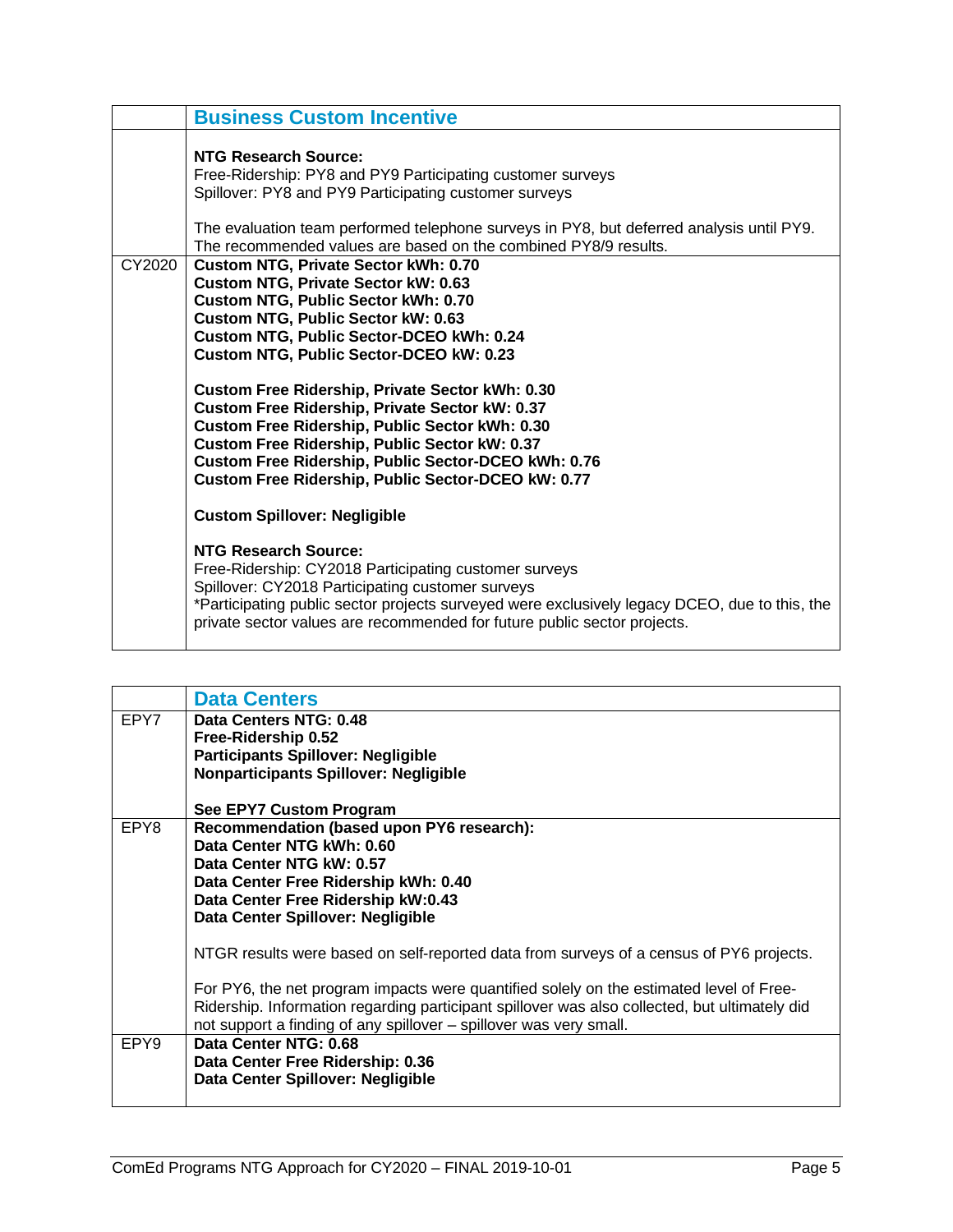|        | <b>Business Custom Incentive</b>                                                                                                                                                                                                                                                                                                                                                                                                                                                                                                                                            |
|--------|-----------------------------------------------------------------------------------------------------------------------------------------------------------------------------------------------------------------------------------------------------------------------------------------------------------------------------------------------------------------------------------------------------------------------------------------------------------------------------------------------------------------------------------------------------------------------------|
|        | <b>NTG Research Source:</b><br>Free-Ridership: PY8 and PY9 Participating customer surveys<br>Spillover: PY8 and PY9 Participating customer surveys<br>The evaluation team performed telephone surveys in PY8, but deferred analysis until PY9.<br>The recommended values are based on the combined PY8/9 results.                                                                                                                                                                                                                                                           |
| CY2020 | Custom NTG, Private Sector kWh: 0.70<br>Custom NTG, Private Sector kW: 0.63<br>Custom NTG, Public Sector kWh: 0.70<br>Custom NTG, Public Sector kW: 0.63<br>Custom NTG, Public Sector-DCEO kWh: 0.24<br>Custom NTG, Public Sector-DCEO kW: 0.23<br><b>Custom Free Ridership, Private Sector kWh: 0.30</b><br>Custom Free Ridership, Private Sector kW: 0.37<br>Custom Free Ridership, Public Sector kWh: 0.30<br>Custom Free Ridership, Public Sector kW: 0.37<br>Custom Free Ridership, Public Sector-DCEO kWh: 0.76<br>Custom Free Ridership, Public Sector-DCEO kW: 0.77 |
|        | <b>Custom Spillover: Negligible</b>                                                                                                                                                                                                                                                                                                                                                                                                                                                                                                                                         |
|        | NTG Research Source:<br>Free-Ridership: CY2018 Participating customer surveys<br>Spillover: CY2018 Participating customer surveys<br>*Participating public sector projects surveyed were exclusively legacy DCEO, due to this, the<br>private sector values are recommended for future public sector projects.                                                                                                                                                                                                                                                              |

<span id="page-6-0"></span>

|                  | <b>Data Centers</b>                                                                           |
|------------------|-----------------------------------------------------------------------------------------------|
| EPY7             | Data Centers NTG: 0.48<br>Free-Ridership 0.52                                                 |
|                  | <b>Participants Spillover: Negligible</b>                                                     |
|                  | <b>Nonparticipants Spillover: Negligible</b>                                                  |
|                  | See EPY7 Custom Program                                                                       |
| EPY8             | Recommendation (based upon PY6 research):                                                     |
|                  | Data Center NTG kWh: 0.60                                                                     |
|                  | Data Center NTG kW: 0.57                                                                      |
|                  | Data Center Free Ridership kWh: 0.40                                                          |
|                  | Data Center Free Ridership kW:0.43                                                            |
|                  | Data Center Spillover: Negligible                                                             |
|                  | NTGR results were based on self-reported data from surveys of a census of PY6 projects.       |
|                  | For PY6, the net program impacts were quantified solely on the estimated level of Free-       |
|                  | Ridership. Information regarding participant spillover was also collected, but ultimately did |
|                  | not support a finding of any spillover – spillover was very small.                            |
| EPY <sub>9</sub> | Data Center NTG: 0.68                                                                         |
|                  | Data Center Free Ridership: 0.36                                                              |
|                  | Data Center Spillover: Negligible                                                             |
|                  |                                                                                               |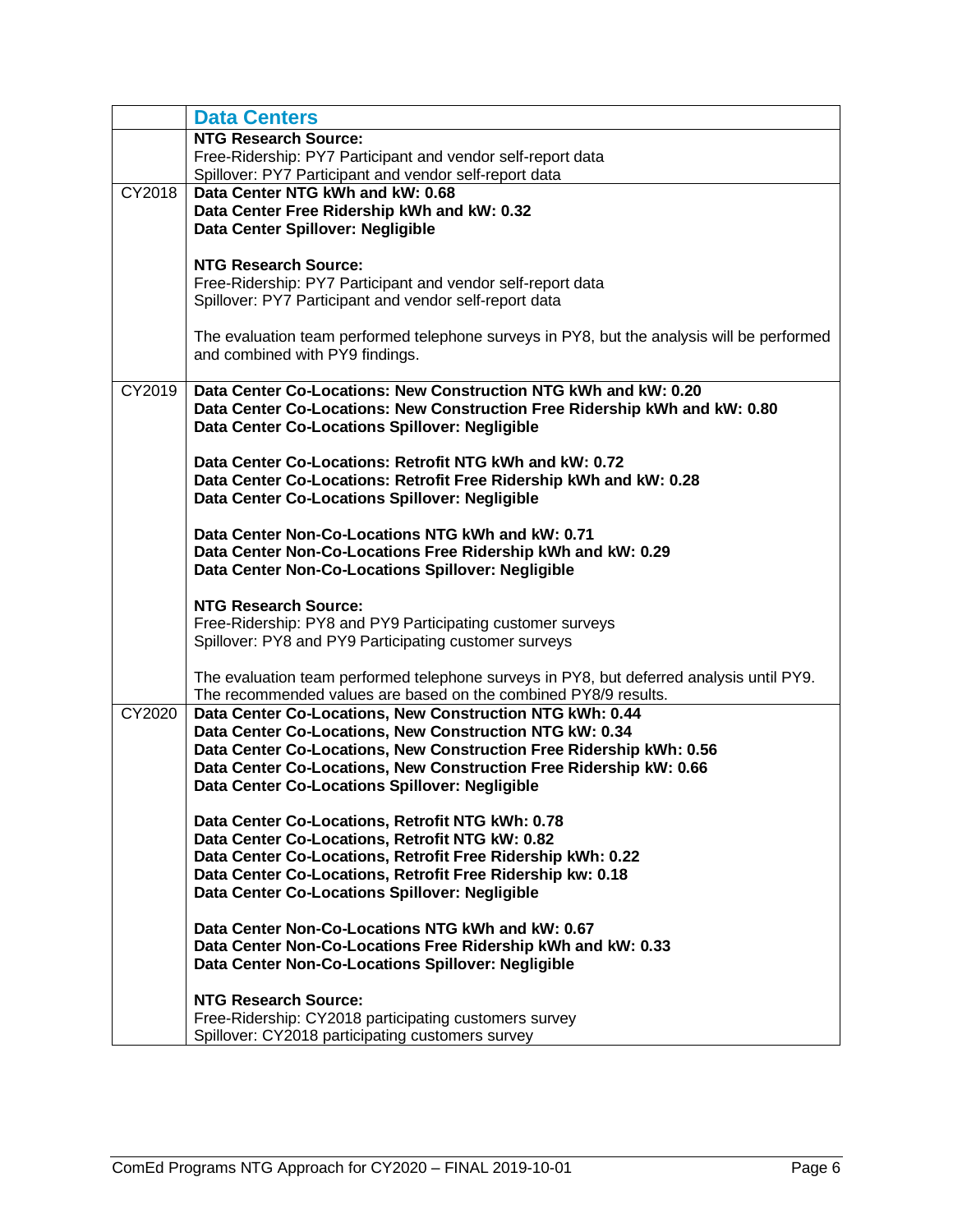|        | <b>Data Centers</b>                                                                                                |
|--------|--------------------------------------------------------------------------------------------------------------------|
|        | <b>NTG Research Source:</b>                                                                                        |
|        | Free-Ridership: PY7 Participant and vendor self-report data                                                        |
|        | Spillover: PY7 Participant and vendor self-report data                                                             |
| CY2018 | Data Center NTG kWh and kW: 0.68                                                                                   |
|        | Data Center Free Ridership kWh and kW: 0.32                                                                        |
|        | Data Center Spillover: Negligible                                                                                  |
|        |                                                                                                                    |
|        | <b>NTG Research Source:</b>                                                                                        |
|        | Free-Ridership: PY7 Participant and vendor self-report data                                                        |
|        | Spillover: PY7 Participant and vendor self-report data                                                             |
|        | The evaluation team performed telephone surveys in PY8, but the analysis will be performed                         |
|        | and combined with PY9 findings.                                                                                    |
|        |                                                                                                                    |
| CY2019 | Data Center Co-Locations: New Construction NTG kWh and kW: 0.20                                                    |
|        | Data Center Co-Locations: New Construction Free Ridership kWh and kW: 0.80                                         |
|        | Data Center Co-Locations Spillover: Negligible                                                                     |
|        |                                                                                                                    |
|        | Data Center Co-Locations: Retrofit NTG kWh and kW: 0.72                                                            |
|        | Data Center Co-Locations: Retrofit Free Ridership kWh and kW: 0.28                                                 |
|        | Data Center Co-Locations Spillover: Negligible                                                                     |
|        |                                                                                                                    |
|        | Data Center Non-Co-Locations NTG kWh and kW: 0.71                                                                  |
|        | Data Center Non-Co-Locations Free Ridership kWh and kW: 0.29<br>Data Center Non-Co-Locations Spillover: Negligible |
|        |                                                                                                                    |
|        | <b>NTG Research Source:</b>                                                                                        |
|        | Free-Ridership: PY8 and PY9 Participating customer surveys                                                         |
|        | Spillover: PY8 and PY9 Participating customer surveys                                                              |
|        |                                                                                                                    |
|        | The evaluation team performed telephone surveys in PY8, but deferred analysis until PY9.                           |
|        | The recommended values are based on the combined PY8/9 results.                                                    |
| CY2020 | Data Center Co-Locations, New Construction NTG kWh: 0.44                                                           |
|        | Data Center Co-Locations, New Construction NTG kW: 0.34                                                            |
|        | Data Center Co-Locations, New Construction Free Ridership kWh: 0.56                                                |
|        | Data Center Co-Locations, New Construction Free Ridership kW: 0.66                                                 |
|        | Data Center Co-Locations Spillover: Negligible                                                                     |
|        | Data Center Co-Locations, Retrofit NTG kWh: 0.78                                                                   |
|        | Data Center Co-Locations, Retrofit NTG kW: 0.82                                                                    |
|        | Data Center Co-Locations, Retrofit Free Ridership kWh: 0.22                                                        |
|        | Data Center Co-Locations, Retrofit Free Ridership kw: 0.18                                                         |
|        | Data Center Co-Locations Spillover: Negligible                                                                     |
|        |                                                                                                                    |
|        | Data Center Non-Co-Locations NTG kWh and kW: 0.67                                                                  |
|        | Data Center Non-Co-Locations Free Ridership kWh and kW: 0.33                                                       |
|        | Data Center Non-Co-Locations Spillover: Negligible                                                                 |
|        |                                                                                                                    |
|        | <b>NTG Research Source:</b>                                                                                        |
|        | Free-Ridership: CY2018 participating customers survey<br>Spillover: CY2018 participating customers survey          |
|        |                                                                                                                    |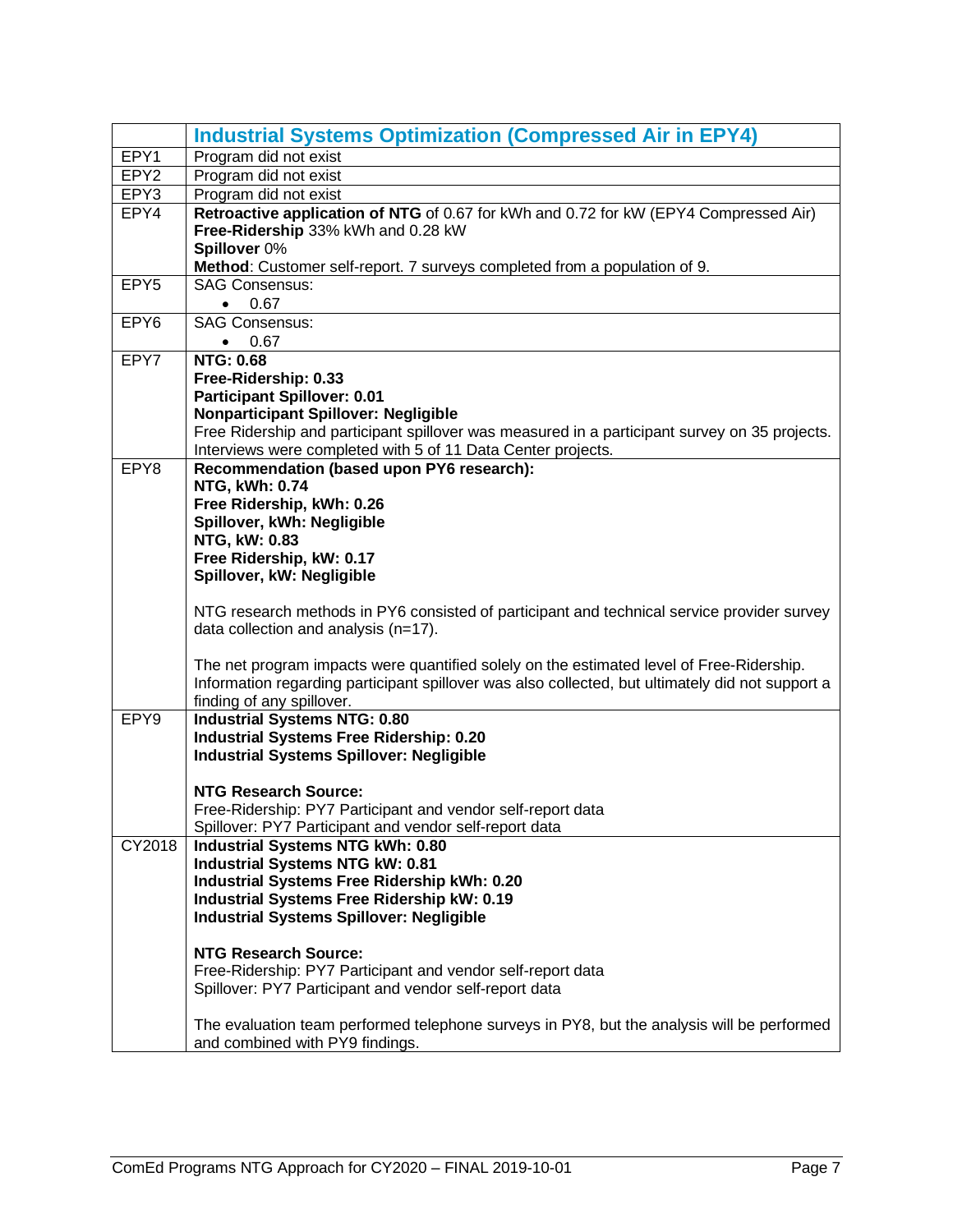<span id="page-8-0"></span>

|                  | <b>Industrial Systems Optimization (Compressed Air in EPY4)</b>                                                                                                                                                                                                                                                                                                 |
|------------------|-----------------------------------------------------------------------------------------------------------------------------------------------------------------------------------------------------------------------------------------------------------------------------------------------------------------------------------------------------------------|
| EPY1             | Program did not exist                                                                                                                                                                                                                                                                                                                                           |
| EPY <sub>2</sub> | Program did not exist                                                                                                                                                                                                                                                                                                                                           |
| EPY3             | Program did not exist                                                                                                                                                                                                                                                                                                                                           |
| EPY4             | Retroactive application of NTG of 0.67 for kWh and 0.72 for kW (EPY4 Compressed Air)<br>Free-Ridership 33% kWh and 0.28 kW<br>Spillover 0%                                                                                                                                                                                                                      |
|                  | Method: Customer self-report. 7 surveys completed from a population of 9.                                                                                                                                                                                                                                                                                       |
| EPY <sub>5</sub> | <b>SAG Consensus:</b><br>0.67<br>$\bullet$                                                                                                                                                                                                                                                                                                                      |
| EPY <sub>6</sub> | <b>SAG Consensus:</b><br>0.67<br>$\bullet$                                                                                                                                                                                                                                                                                                                      |
| EPY7             | <b>NTG: 0.68</b><br>Free-Ridership: 0.33<br><b>Participant Spillover: 0.01</b><br><b>Nonparticipant Spillover: Negligible</b><br>Free Ridership and participant spillover was measured in a participant survey on 35 projects.<br>Interviews were completed with 5 of 11 Data Center projects.                                                                  |
| EPY8             | Recommendation (based upon PY6 research):<br><b>NTG, kWh: 0.74</b><br>Free Ridership, kWh: 0.26<br>Spillover, kWh: Negligible<br>NTG, kW: 0.83<br>Free Ridership, kW: 0.17<br>Spillover, kW: Negligible                                                                                                                                                         |
|                  | NTG research methods in PY6 consisted of participant and technical service provider survey<br>data collection and analysis (n=17).<br>The net program impacts were quantified solely on the estimated level of Free-Ridership.<br>Information regarding participant spillover was also collected, but ultimately did not support a<br>finding of any spillover. |
| EPY9             | <b>Industrial Systems NTG: 0.80</b>                                                                                                                                                                                                                                                                                                                             |
|                  | <b>Industrial Systems Free Ridership: 0.20</b><br><b>Industrial Systems Spillover: Negligible</b><br><b>NTG Research Source:</b><br>Free-Ridership: PY7 Participant and vendor self-report data<br>Spillover: PY7 Participant and vendor self-report data                                                                                                       |
| CY2018           | <b>Industrial Systems NTG kWh: 0.80</b><br>Industrial Systems NTG kW: 0.81<br>Industrial Systems Free Ridership kWh: 0.20<br><b>Industrial Systems Free Ridership kW: 0.19</b><br><b>Industrial Systems Spillover: Negligible</b>                                                                                                                               |
|                  | <b>NTG Research Source:</b><br>Free-Ridership: PY7 Participant and vendor self-report data<br>Spillover: PY7 Participant and vendor self-report data                                                                                                                                                                                                            |
|                  | The evaluation team performed telephone surveys in PY8, but the analysis will be performed<br>and combined with PY9 findings.                                                                                                                                                                                                                                   |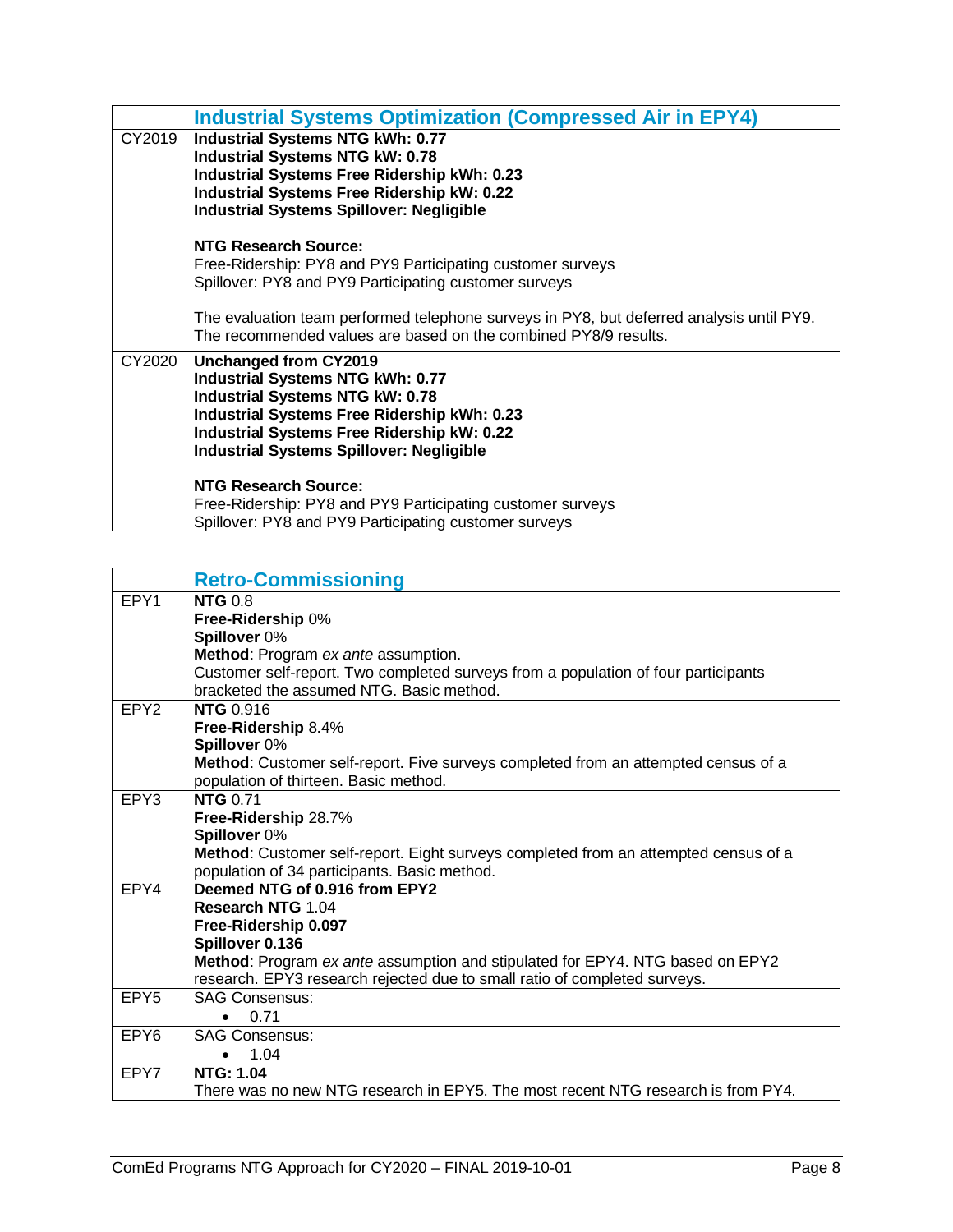|        | <b>Industrial Systems Optimization (Compressed Air in EPY4)</b>                                                                                                                                                                                                          |
|--------|--------------------------------------------------------------------------------------------------------------------------------------------------------------------------------------------------------------------------------------------------------------------------|
| CY2019 | Industrial Systems NTG kWh: 0.77<br><b>Industrial Systems NTG kW: 0.78</b><br>Industrial Systems Free Ridership kWh: 0.23<br><b>Industrial Systems Free Ridership kW: 0.22</b><br><b>Industrial Systems Spillover: Negligible</b>                                        |
|        | NTG Research Source:<br>Free-Ridership: PY8 and PY9 Participating customer surveys<br>Spillover: PY8 and PY9 Participating customer surveys                                                                                                                              |
|        | The evaluation team performed telephone surveys in PY8, but deferred analysis until PY9.<br>The recommended values are based on the combined PY8/9 results.                                                                                                              |
| CY2020 | Unchanged from CY2019<br><b>Industrial Systems NTG kWh: 0.77</b><br><b>Industrial Systems NTG kW: 0.78</b><br><b>Industrial Systems Free Ridership kWh: 0.23</b><br><b>Industrial Systems Free Ridership kW: 0.22</b><br><b>Industrial Systems Spillover: Negligible</b> |
|        | NTG Research Source:<br>Free-Ridership: PY8 and PY9 Participating customer surveys<br>Spillover: PY8 and PY9 Participating customer surveys                                                                                                                              |

<span id="page-9-0"></span>

|                  | <b>Retro-Commissioning</b>                                                          |
|------------------|-------------------------------------------------------------------------------------|
| EPY1             | <b>NTG 0.8</b>                                                                      |
|                  | Free-Ridership 0%                                                                   |
|                  | Spillover 0%                                                                        |
|                  | Method: Program ex ante assumption.                                                 |
|                  | Customer self-report. Two completed surveys from a population of four participants  |
|                  | bracketed the assumed NTG. Basic method.                                            |
| EPY <sub>2</sub> | <b>NTG 0.916</b>                                                                    |
|                  | Free-Ridership 8.4%                                                                 |
|                  | Spillover 0%                                                                        |
|                  | Method: Customer self-report. Five surveys completed from an attempted census of a  |
|                  | population of thirteen. Basic method.                                               |
| EPY3             | <b>NTG 0.71</b>                                                                     |
|                  | Free-Ridership 28.7%                                                                |
|                  | Spillover 0%                                                                        |
|                  | Method: Customer self-report. Eight surveys completed from an attempted census of a |
|                  | population of 34 participants. Basic method.                                        |
| EPY4             | Deemed NTG of 0.916 from EPY2<br><b>Research NTG 1.04</b>                           |
|                  |                                                                                     |
|                  | Free-Ridership 0.097<br>Spillover 0.136                                             |
|                  | Method: Program ex ante assumption and stipulated for EPY4. NTG based on EPY2       |
|                  | research. EPY3 research rejected due to small ratio of completed surveys.           |
| EPY <sub>5</sub> | <b>SAG Consensus:</b>                                                               |
|                  | 0.71                                                                                |
| EPY <sub>6</sub> | <b>SAG Consensus:</b>                                                               |
|                  | 1.04                                                                                |
| EPY7             | <b>NTG: 1.04</b>                                                                    |
|                  | There was no new NTG research in EPY5. The most recent NTG research is from PY4.    |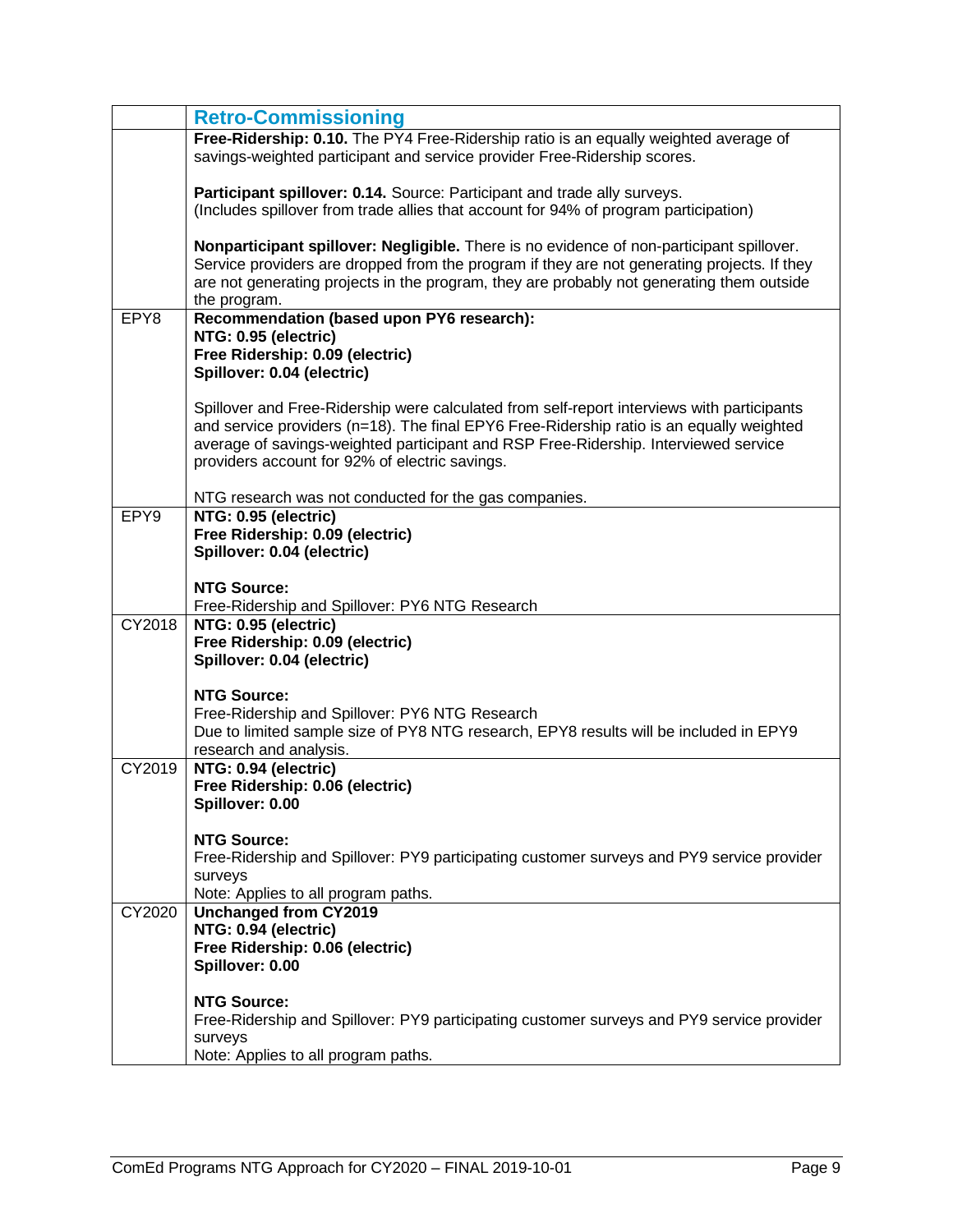|        | <b>Retro-Commissioning</b>                                                                                                                                                                                                                                                                                                      |
|--------|---------------------------------------------------------------------------------------------------------------------------------------------------------------------------------------------------------------------------------------------------------------------------------------------------------------------------------|
|        | Free-Ridership: 0.10. The PY4 Free-Ridership ratio is an equally weighted average of<br>savings-weighted participant and service provider Free-Ridership scores.                                                                                                                                                                |
|        | Participant spillover: 0.14. Source: Participant and trade ally surveys.<br>(Includes spillover from trade allies that account for 94% of program participation)                                                                                                                                                                |
|        | Nonparticipant spillover: Negligible. There is no evidence of non-participant spillover.<br>Service providers are dropped from the program if they are not generating projects. If they<br>are not generating projects in the program, they are probably not generating them outside<br>the program.                            |
| EPY8   | Recommendation (based upon PY6 research):                                                                                                                                                                                                                                                                                       |
|        | NTG: 0.95 (electric)                                                                                                                                                                                                                                                                                                            |
|        | Free Ridership: 0.09 (electric)<br>Spillover: 0.04 (electric)                                                                                                                                                                                                                                                                   |
|        |                                                                                                                                                                                                                                                                                                                                 |
|        | Spillover and Free-Ridership were calculated from self-report interviews with participants<br>and service providers (n=18). The final EPY6 Free-Ridership ratio is an equally weighted<br>average of savings-weighted participant and RSP Free-Ridership. Interviewed service<br>providers account for 92% of electric savings. |
|        | NTG research was not conducted for the gas companies.                                                                                                                                                                                                                                                                           |
| EPY9   | NTG: 0.95 (electric)                                                                                                                                                                                                                                                                                                            |
|        | Free Ridership: 0.09 (electric)<br>Spillover: 0.04 (electric)                                                                                                                                                                                                                                                                   |
|        | <b>NTG Source:</b>                                                                                                                                                                                                                                                                                                              |
|        | Free-Ridership and Spillover: PY6 NTG Research                                                                                                                                                                                                                                                                                  |
| CY2018 | NTG: 0.95 (electric)                                                                                                                                                                                                                                                                                                            |
|        | Free Ridership: 0.09 (electric)<br>Spillover: 0.04 (electric)                                                                                                                                                                                                                                                                   |
|        |                                                                                                                                                                                                                                                                                                                                 |
|        | <b>NTG Source:</b>                                                                                                                                                                                                                                                                                                              |
|        | Free-Ridership and Spillover: PY6 NTG Research                                                                                                                                                                                                                                                                                  |
|        | Due to limited sample size of PY8 NTG research, EPY8 results will be included in EPY9<br>research and analysis.                                                                                                                                                                                                                 |
| CY2019 | NTG: 0.94 (electric)                                                                                                                                                                                                                                                                                                            |
|        | Free Ridership: 0.06 (electric)                                                                                                                                                                                                                                                                                                 |
|        | Spillover: 0.00                                                                                                                                                                                                                                                                                                                 |
|        | <b>NTG Source:</b>                                                                                                                                                                                                                                                                                                              |
|        | Free-Ridership and Spillover: PY9 participating customer surveys and PY9 service provider                                                                                                                                                                                                                                       |
|        | surveys                                                                                                                                                                                                                                                                                                                         |
| CY2020 | Note: Applies to all program paths.<br><b>Unchanged from CY2019</b>                                                                                                                                                                                                                                                             |
|        | NTG: 0.94 (electric)                                                                                                                                                                                                                                                                                                            |
|        | Free Ridership: 0.06 (electric)                                                                                                                                                                                                                                                                                                 |
|        | Spillover: 0.00                                                                                                                                                                                                                                                                                                                 |
|        | <b>NTG Source:</b>                                                                                                                                                                                                                                                                                                              |
|        | Free-Ridership and Spillover: PY9 participating customer surveys and PY9 service provider                                                                                                                                                                                                                                       |
|        | surveys                                                                                                                                                                                                                                                                                                                         |
|        | Note: Applies to all program paths.                                                                                                                                                                                                                                                                                             |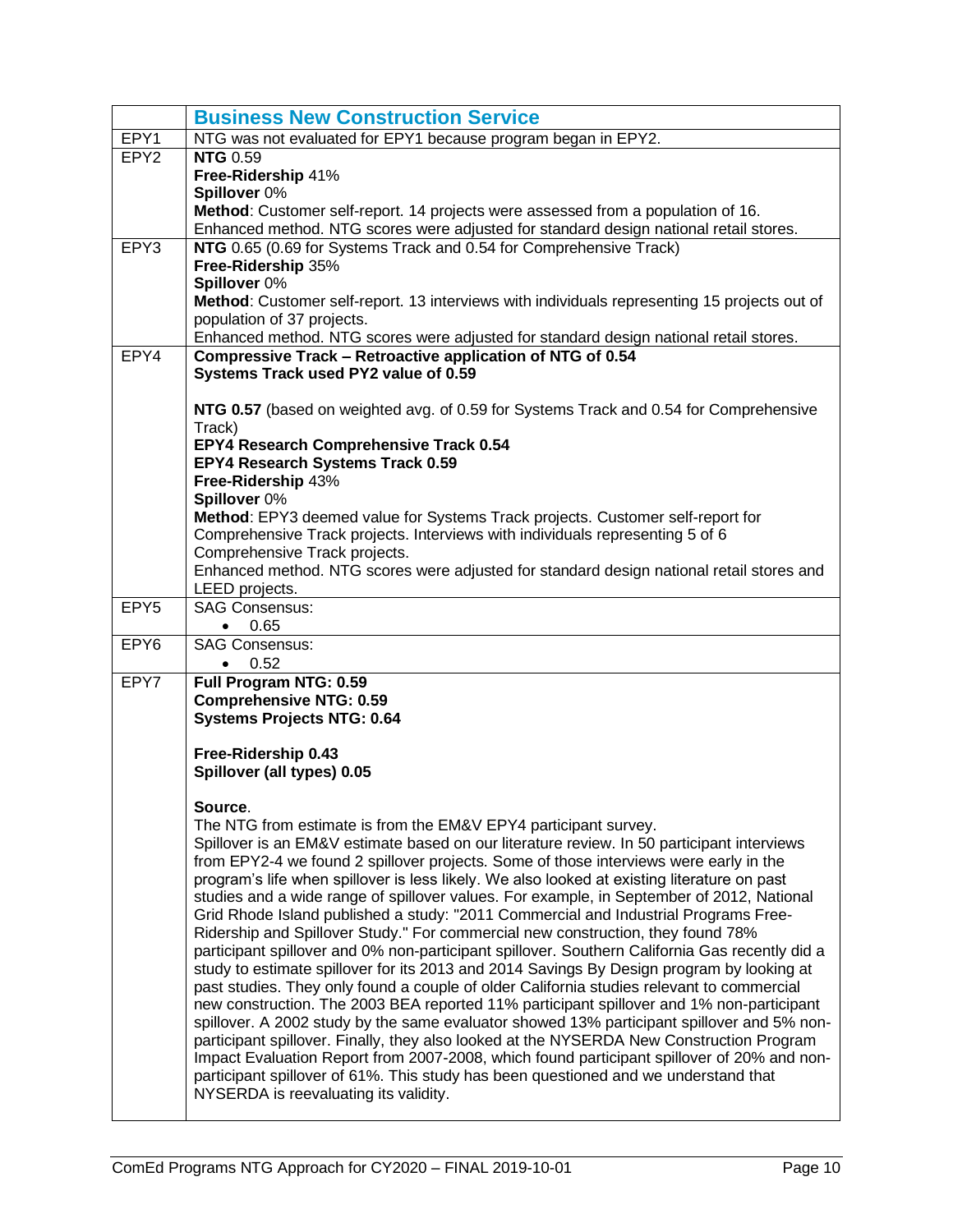<span id="page-11-0"></span>

|                  | <b>Business New Construction Service</b>                                                                                                                                               |
|------------------|----------------------------------------------------------------------------------------------------------------------------------------------------------------------------------------|
| EPY1             | NTG was not evaluated for EPY1 because program began in EPY2.                                                                                                                          |
| EPY <sub>2</sub> | <b>NTG 0.59</b>                                                                                                                                                                        |
|                  | Free-Ridership 41%                                                                                                                                                                     |
|                  | Spillover 0%                                                                                                                                                                           |
|                  | Method: Customer self-report. 14 projects were assessed from a population of 16.<br>Enhanced method. NTG scores were adjusted for standard design national retail stores.              |
| EPY3             | NTG 0.65 (0.69 for Systems Track and 0.54 for Comprehensive Track)                                                                                                                     |
|                  | Free-Ridership 35%                                                                                                                                                                     |
|                  | Spillover 0%                                                                                                                                                                           |
|                  | Method: Customer self-report. 13 interviews with individuals representing 15 projects out of                                                                                           |
|                  | population of 37 projects.                                                                                                                                                             |
|                  | Enhanced method. NTG scores were adjusted for standard design national retail stores.                                                                                                  |
| EPY4             | Compressive Track - Retroactive application of NTG of 0.54                                                                                                                             |
|                  | Systems Track used PY2 value of 0.59                                                                                                                                                   |
|                  | NTG 0.57 (based on weighted avg. of 0.59 for Systems Track and 0.54 for Comprehensive                                                                                                  |
|                  | Track)                                                                                                                                                                                 |
|                  | EPY4 Research Comprehensive Track 0.54                                                                                                                                                 |
|                  | EPY4 Research Systems Track 0.59                                                                                                                                                       |
|                  | Free-Ridership 43%                                                                                                                                                                     |
|                  | Spillover 0%                                                                                                                                                                           |
|                  | Method: EPY3 deemed value for Systems Track projects. Customer self-report for<br>Comprehensive Track projects. Interviews with individuals representing 5 of 6                        |
|                  | Comprehensive Track projects.                                                                                                                                                          |
|                  | Enhanced method. NTG scores were adjusted for standard design national retail stores and                                                                                               |
|                  | LEED projects.                                                                                                                                                                         |
| EPY <sub>5</sub> | <b>SAG Consensus:</b>                                                                                                                                                                  |
|                  | 0.65<br>$\bullet$                                                                                                                                                                      |
| EPY6             | <b>SAG Consensus:</b>                                                                                                                                                                  |
| EPY7             | 0.52<br>$\bullet$<br>Full Program NTG: 0.59                                                                                                                                            |
|                  | <b>Comprehensive NTG: 0.59</b>                                                                                                                                                         |
|                  | <b>Systems Projects NTG: 0.64</b>                                                                                                                                                      |
|                  |                                                                                                                                                                                        |
|                  | Free-Ridership 0.43                                                                                                                                                                    |
|                  | Spillover (all types) 0.05                                                                                                                                                             |
|                  | Source.                                                                                                                                                                                |
|                  | The NTG from estimate is from the EM&V EPY4 participant survey.                                                                                                                        |
|                  | Spillover is an EM&V estimate based on our literature review. In 50 participant interviews                                                                                             |
|                  | from EPY2-4 we found 2 spillover projects. Some of those interviews were early in the                                                                                                  |
|                  |                                                                                                                                                                                        |
|                  | program's life when spillover is less likely. We also looked at existing literature on past                                                                                            |
|                  | studies and a wide range of spillover values. For example, in September of 2012, National                                                                                              |
|                  | Grid Rhode Island published a study: "2011 Commercial and Industrial Programs Free-                                                                                                    |
|                  | Ridership and Spillover Study." For commercial new construction, they found 78%                                                                                                        |
|                  | participant spillover and 0% non-participant spillover. Southern California Gas recently did a                                                                                         |
|                  | study to estimate spillover for its 2013 and 2014 Savings By Design program by looking at<br>past studies. They only found a couple of older California studies relevant to commercial |
|                  | new construction. The 2003 BEA reported 11% participant spillover and 1% non-participant                                                                                               |
|                  | spillover. A 2002 study by the same evaluator showed 13% participant spillover and 5% non-                                                                                             |
|                  | participant spillover. Finally, they also looked at the NYSERDA New Construction Program                                                                                               |
|                  | Impact Evaluation Report from 2007-2008, which found participant spillover of 20% and non-                                                                                             |
|                  | participant spillover of 61%. This study has been questioned and we understand that<br>NYSERDA is reevaluating its validity.                                                           |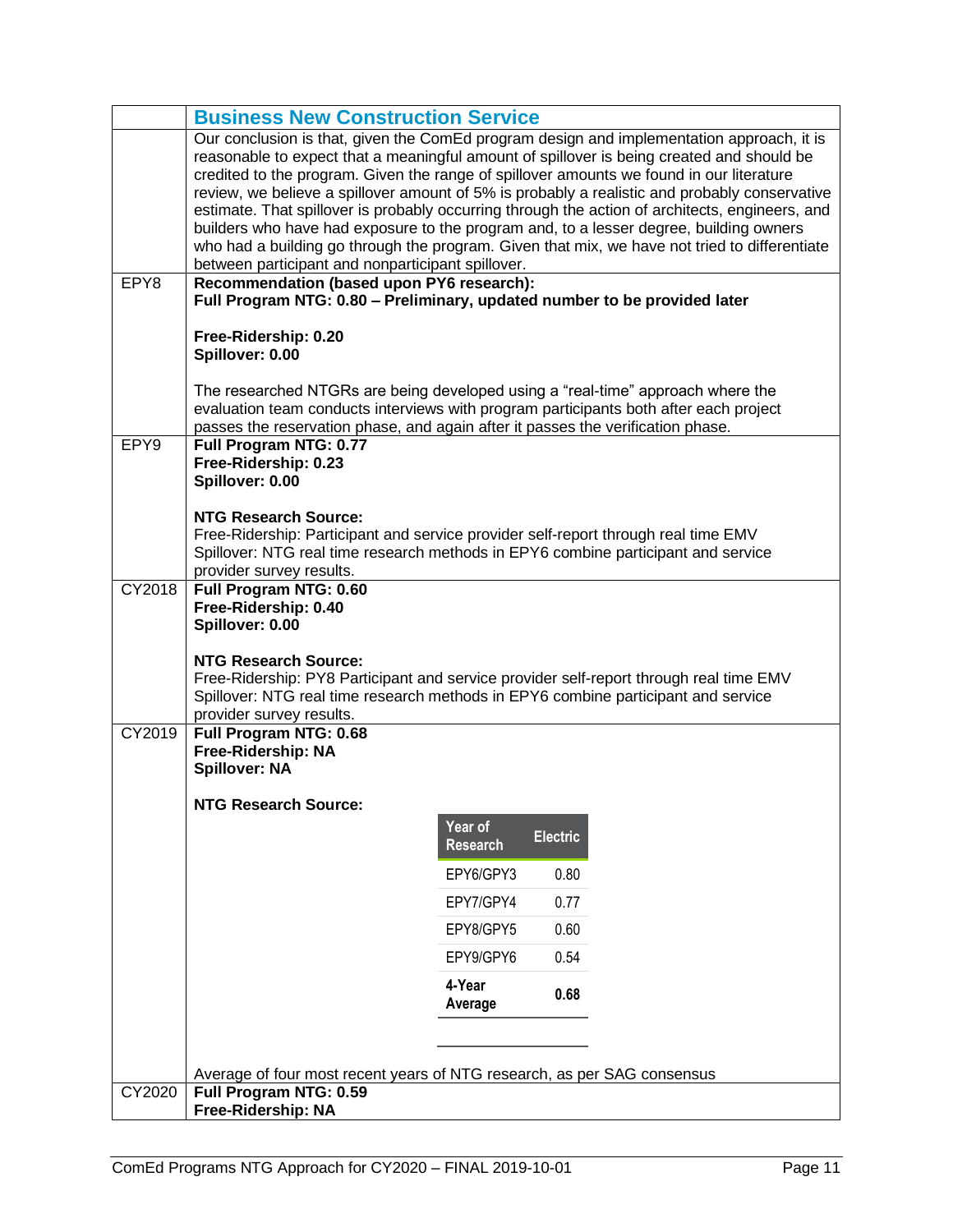|        | <b>Business New Construction Service</b>                                                                                                                                                                                                                                                                                                                                                                                                                                                                                           |                            |                 |                                                                                                                                                                                                  |
|--------|------------------------------------------------------------------------------------------------------------------------------------------------------------------------------------------------------------------------------------------------------------------------------------------------------------------------------------------------------------------------------------------------------------------------------------------------------------------------------------------------------------------------------------|----------------------------|-----------------|--------------------------------------------------------------------------------------------------------------------------------------------------------------------------------------------------|
|        | Our conclusion is that, given the ComEd program design and implementation approach, it is<br>reasonable to expect that a meaningful amount of spillover is being created and should be<br>credited to the program. Given the range of spillover amounts we found in our literature<br>builders who have had exposure to the program and, to a lesser degree, building owners<br>who had a building go through the program. Given that mix, we have not tried to differentiate<br>between participant and nonparticipant spillover. |                            |                 | review, we believe a spillover amount of 5% is probably a realistic and probably conservative<br>estimate. That spillover is probably occurring through the action of architects, engineers, and |
| EPY8   | Recommendation (based upon PY6 research):<br>Full Program NTG: 0.80 - Preliminary, updated number to be provided later                                                                                                                                                                                                                                                                                                                                                                                                             |                            |                 |                                                                                                                                                                                                  |
|        | Free-Ridership: 0.20<br>Spillover: 0.00                                                                                                                                                                                                                                                                                                                                                                                                                                                                                            |                            |                 |                                                                                                                                                                                                  |
|        | The researched NTGRs are being developed using a "real-time" approach where the<br>evaluation team conducts interviews with program participants both after each project<br>passes the reservation phase, and again after it passes the verification phase.                                                                                                                                                                                                                                                                        |                            |                 |                                                                                                                                                                                                  |
| EPY9   | Full Program NTG: 0.77<br>Free-Ridership: 0.23<br>Spillover: 0.00                                                                                                                                                                                                                                                                                                                                                                                                                                                                  |                            |                 |                                                                                                                                                                                                  |
|        | <b>NTG Research Source:</b><br>Free-Ridership: Participant and service provider self-report through real time EMV<br>Spillover: NTG real time research methods in EPY6 combine participant and service<br>provider survey results.                                                                                                                                                                                                                                                                                                 |                            |                 |                                                                                                                                                                                                  |
| CY2018 | Full Program NTG: 0.60<br>Free-Ridership: 0.40<br>Spillover: 0.00<br><b>NTG Research Source:</b><br>Free-Ridership: PY8 Participant and service provider self-report through real time EMV                                                                                                                                                                                                                                                                                                                                         |                            |                 |                                                                                                                                                                                                  |
|        | Spillover: NTG real time research methods in EPY6 combine participant and service<br>provider survey results.                                                                                                                                                                                                                                                                                                                                                                                                                      |                            |                 |                                                                                                                                                                                                  |
| CY2019 | Full Program NTG: 0.68<br>Free-Ridership: NA<br><b>Spillover: NA</b>                                                                                                                                                                                                                                                                                                                                                                                                                                                               |                            |                 |                                                                                                                                                                                                  |
|        | <b>NTG Research Source:</b>                                                                                                                                                                                                                                                                                                                                                                                                                                                                                                        | Year of<br><b>Research</b> | <b>Electric</b> |                                                                                                                                                                                                  |
|        |                                                                                                                                                                                                                                                                                                                                                                                                                                                                                                                                    | EPY6/GPY3                  | 0.80            |                                                                                                                                                                                                  |
|        |                                                                                                                                                                                                                                                                                                                                                                                                                                                                                                                                    | EPY7/GPY4                  | 0.77            |                                                                                                                                                                                                  |
|        |                                                                                                                                                                                                                                                                                                                                                                                                                                                                                                                                    | EPY8/GPY5                  | 0.60            |                                                                                                                                                                                                  |
|        |                                                                                                                                                                                                                                                                                                                                                                                                                                                                                                                                    | EPY9/GPY6<br>4-Year        | 0.54<br>0.68    |                                                                                                                                                                                                  |
|        |                                                                                                                                                                                                                                                                                                                                                                                                                                                                                                                                    | Average                    |                 |                                                                                                                                                                                                  |
|        | Average of four most recent years of NTG research, as per SAG consensus                                                                                                                                                                                                                                                                                                                                                                                                                                                            |                            |                 |                                                                                                                                                                                                  |
| CY2020 | Full Program NTG: 0.59<br>Free-Ridership: NA                                                                                                                                                                                                                                                                                                                                                                                                                                                                                       |                            |                 |                                                                                                                                                                                                  |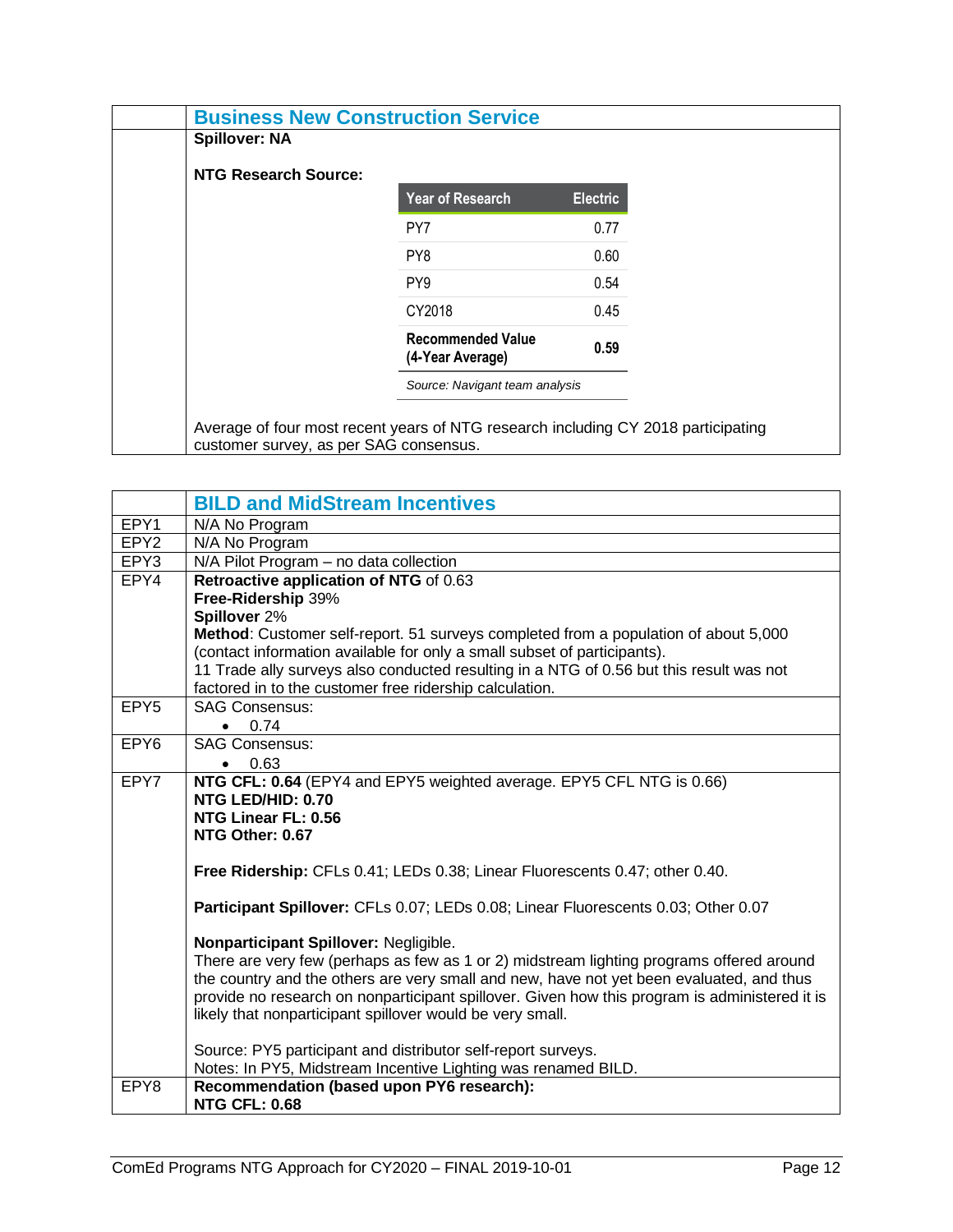| <b>Business New Construction Service</b>                                                                                    |                                              |                 |  |
|-----------------------------------------------------------------------------------------------------------------------------|----------------------------------------------|-----------------|--|
| <b>Spillover: NA</b>                                                                                                        |                                              |                 |  |
| NTG Research Source:                                                                                                        |                                              |                 |  |
|                                                                                                                             | <b>Year of Research</b>                      | <b>Electric</b> |  |
|                                                                                                                             | PY7                                          | 0.77            |  |
|                                                                                                                             | PY8                                          | 0.60            |  |
|                                                                                                                             | PY <sub>9</sub>                              | 0.54            |  |
|                                                                                                                             | CY2018                                       | 0.45            |  |
|                                                                                                                             | <b>Recommended Value</b><br>(4-Year Average) | 0.59            |  |
|                                                                                                                             | Source: Navigant team analysis               |                 |  |
| Average of four most recent years of NTG research including CY 2018 participating<br>customer survey, as per SAG consensus. |                                              |                 |  |

<span id="page-13-0"></span>

|                  | <b>BILD and MidStream Incentives</b>                                                                                          |
|------------------|-------------------------------------------------------------------------------------------------------------------------------|
| EPY1             | N/A No Program                                                                                                                |
| EPY <sub>2</sub> | N/A No Program                                                                                                                |
| EPY3             | N/A Pilot Program - no data collection                                                                                        |
| EPY4             | Retroactive application of NTG of 0.63                                                                                        |
|                  | Free-Ridership 39%                                                                                                            |
|                  | Spillover 2%                                                                                                                  |
|                  | Method: Customer self-report. 51 surveys completed from a population of about 5,000                                           |
|                  | (contact information available for only a small subset of participants).                                                      |
|                  | 11 Trade ally surveys also conducted resulting in a NTG of 0.56 but this result was not                                       |
|                  | factored in to the customer free ridership calculation.                                                                       |
| EPY <sub>5</sub> | <b>SAG Consensus:</b>                                                                                                         |
|                  | 0.74                                                                                                                          |
| EPY <sub>6</sub> | <b>SAG Consensus:</b>                                                                                                         |
|                  | 0.63<br>$\bullet$                                                                                                             |
| EPY7             | NTG CFL: 0.64 (EPY4 and EPY5 weighted average. EPY5 CFL NTG is 0.66)                                                          |
|                  | NTG LED/HID: 0.70<br>NTG Linear FL: 0.56                                                                                      |
|                  | NTG Other: 0.67                                                                                                               |
|                  |                                                                                                                               |
|                  | Free Ridership: CFLs 0.41; LEDs 0.38; Linear Fluorescents 0.47; other 0.40.                                                   |
|                  |                                                                                                                               |
|                  | Participant Spillover: CFLs 0.07; LEDs 0.08; Linear Fluorescents 0.03; Other 0.07                                             |
|                  |                                                                                                                               |
|                  | Nonparticipant Spillover: Negligible.                                                                                         |
|                  | There are very few (perhaps as few as 1 or 2) midstream lighting programs offered around                                      |
|                  | the country and the others are very small and new, have not yet been evaluated, and thus                                      |
|                  | provide no research on nonparticipant spillover. Given how this program is administered it is                                 |
|                  | likely that nonparticipant spillover would be very small.                                                                     |
|                  |                                                                                                                               |
|                  | Source: PY5 participant and distributor self-report surveys.<br>Notes: In PY5, Midstream Incentive Lighting was renamed BILD. |
| EPY8             | Recommendation (based upon PY6 research):                                                                                     |
|                  | <b>NTG CFL: 0.68</b>                                                                                                          |
|                  |                                                                                                                               |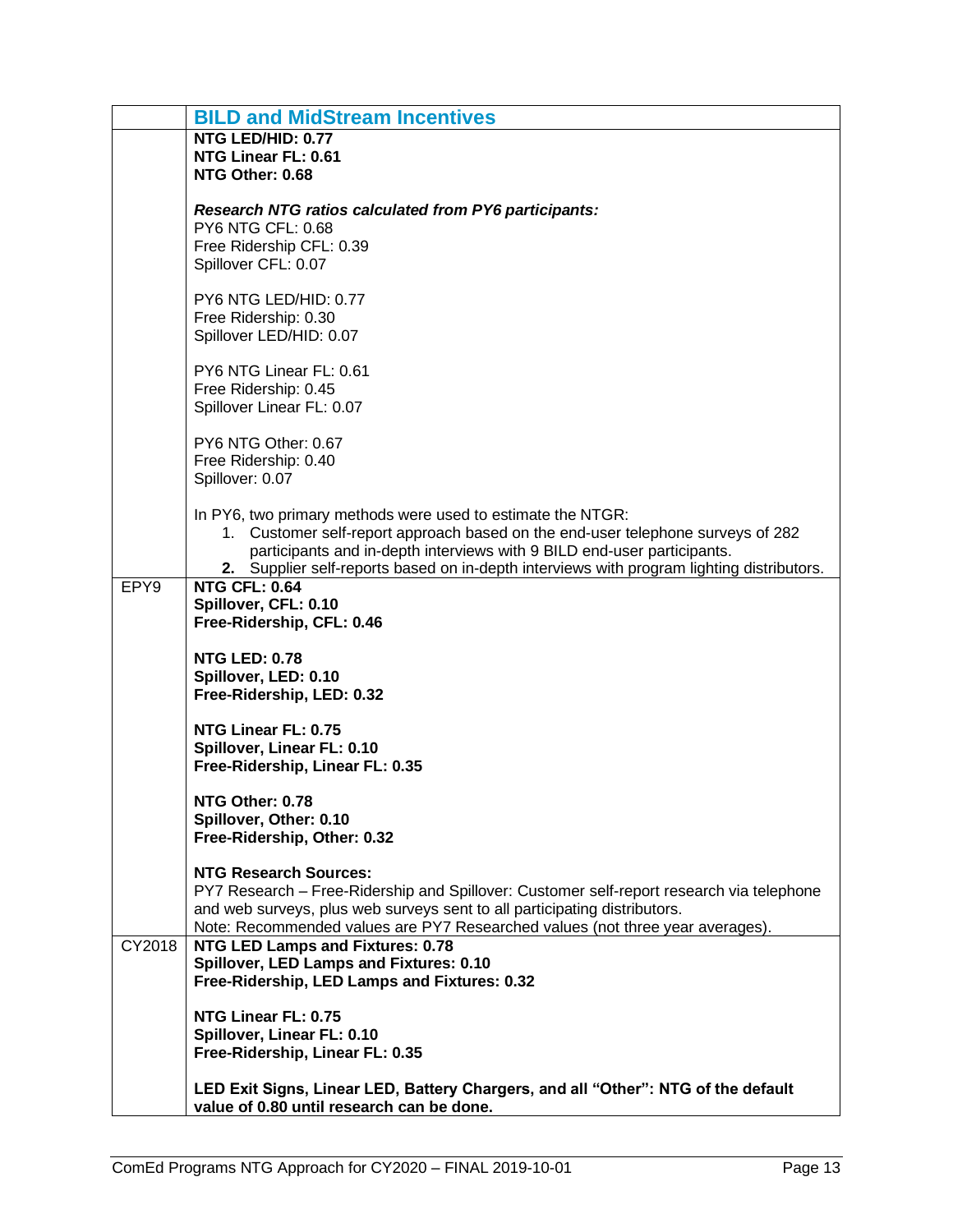|        | <b>BILD and MidStream Incentives</b>                                                                                                                                                                                                                                                                                   |
|--------|------------------------------------------------------------------------------------------------------------------------------------------------------------------------------------------------------------------------------------------------------------------------------------------------------------------------|
|        | NTG LED/HID: 0.77<br>NTG Linear FL: 0.61<br>NTG Other: 0.68                                                                                                                                                                                                                                                            |
|        | <b>Research NTG ratios calculated from PY6 participants:</b><br><b>PY6 NTG CFL: 0.68</b><br>Free Ridership CFL: 0.39<br>Spillover CFL: 0.07                                                                                                                                                                            |
|        | PY6 NTG LED/HID: 0.77<br>Free Ridership: 0.30<br>Spillover LED/HID: 0.07                                                                                                                                                                                                                                               |
|        | PY6 NTG Linear FL: 0.61<br>Free Ridership: 0.45<br>Spillover Linear FL: 0.07                                                                                                                                                                                                                                           |
|        | PY6 NTG Other: 0.67<br>Free Ridership: 0.40<br>Spillover: 0.07                                                                                                                                                                                                                                                         |
|        | In PY6, two primary methods were used to estimate the NTGR:<br>1. Customer self-report approach based on the end-user telephone surveys of 282<br>participants and in-depth interviews with 9 BILD end-user participants.<br>2. Supplier self-reports based on in-depth interviews with program lighting distributors. |
| EPY9   | <b>NTG CFL: 0.64</b><br>Spillover, CFL: 0.10<br>Free-Ridership, CFL: 0.46                                                                                                                                                                                                                                              |
|        | <b>NTG LED: 0.78</b><br>Spillover, LED: 0.10<br>Free-Ridership, LED: 0.32                                                                                                                                                                                                                                              |
|        | NTG Linear FL: 0.75<br>Spillover, Linear FL: 0.10<br>Free-Ridership, Linear FL: 0.35                                                                                                                                                                                                                                   |
|        | NTG Other: 0.78<br>Spillover, Other: 0.10<br>Free-Ridership, Other: 0.32                                                                                                                                                                                                                                               |
|        | <b>NTG Research Sources:</b><br>PY7 Research - Free-Ridership and Spillover: Customer self-report research via telephone<br>and web surveys, plus web surveys sent to all participating distributors.<br>Note: Recommended values are PY7 Researched values (not three year averages).                                 |
| CY2018 | <b>NTG LED Lamps and Fixtures: 0.78</b><br>Spillover, LED Lamps and Fixtures: 0.10<br>Free-Ridership, LED Lamps and Fixtures: 0.32                                                                                                                                                                                     |
|        | NTG Linear FL: 0.75<br>Spillover, Linear FL: 0.10<br>Free-Ridership, Linear FL: 0.35                                                                                                                                                                                                                                   |
|        | LED Exit Signs, Linear LED, Battery Chargers, and all "Other": NTG of the default<br>value of 0.80 until research can be done.                                                                                                                                                                                         |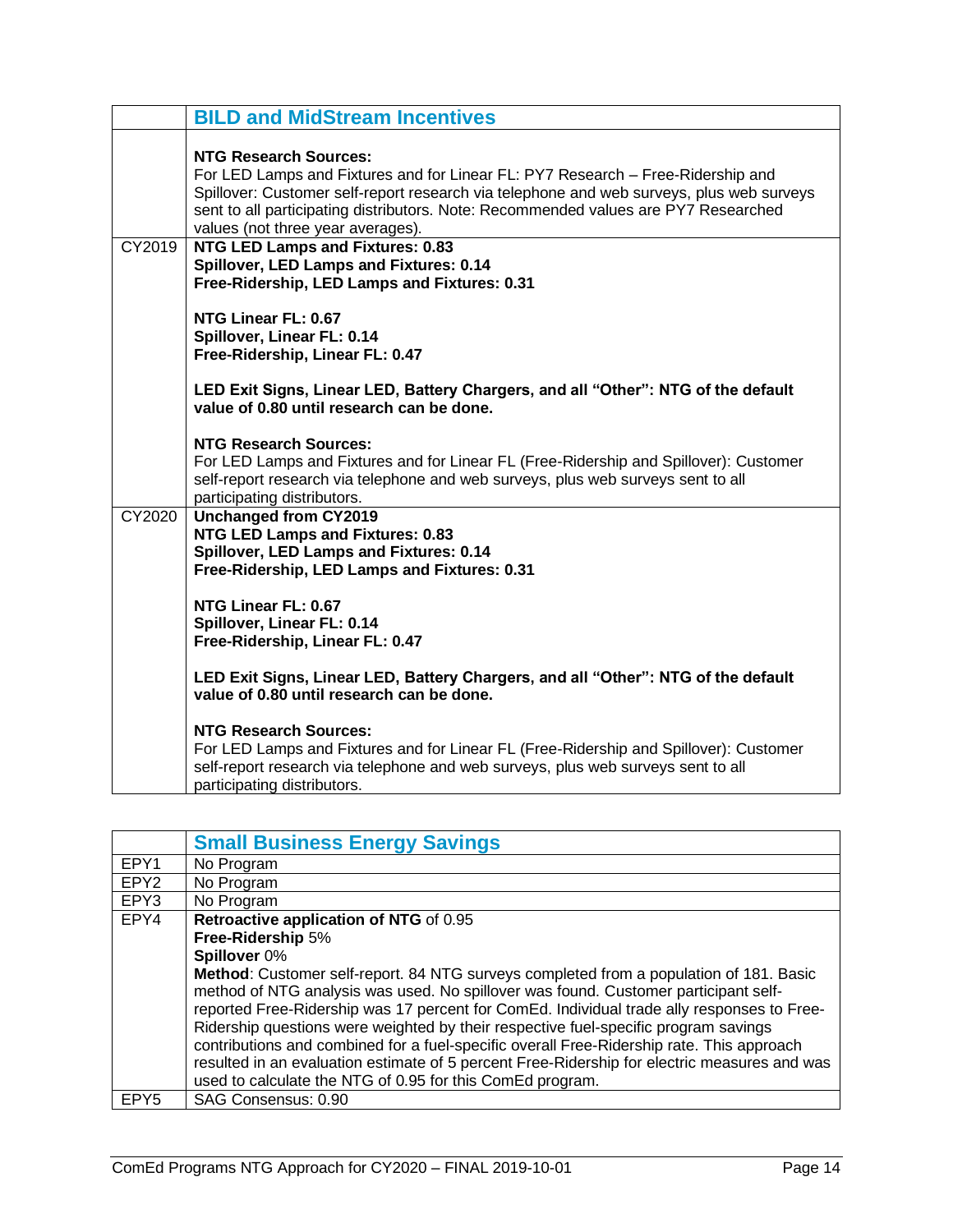|        | <b>BILD and MidStream Incentives</b>                                                                                                                                                                                                                                                                                                    |
|--------|-----------------------------------------------------------------------------------------------------------------------------------------------------------------------------------------------------------------------------------------------------------------------------------------------------------------------------------------|
|        | <b>NTG Research Sources:</b><br>For LED Lamps and Fixtures and for Linear FL: PY7 Research - Free-Ridership and<br>Spillover: Customer self-report research via telephone and web surveys, plus web surveys<br>sent to all participating distributors. Note: Recommended values are PY7 Researched<br>values (not three year averages). |
| CY2019 | <b>NTG LED Lamps and Fixtures: 0.83</b><br>Spillover, LED Lamps and Fixtures: 0.14<br>Free-Ridership, LED Lamps and Fixtures: 0.31                                                                                                                                                                                                      |
|        | NTG Linear FL: 0.67<br>Spillover, Linear FL: 0.14<br>Free-Ridership, Linear FL: 0.47                                                                                                                                                                                                                                                    |
|        | LED Exit Signs, Linear LED, Battery Chargers, and all "Other": NTG of the default<br>value of 0.80 until research can be done.                                                                                                                                                                                                          |
|        | <b>NTG Research Sources:</b><br>For LED Lamps and Fixtures and for Linear FL (Free-Ridership and Spillover): Customer<br>self-report research via telephone and web surveys, plus web surveys sent to all<br>participating distributors.                                                                                                |
| CY2020 | <b>Unchanged from CY2019</b><br><b>NTG LED Lamps and Fixtures: 0.83</b><br>Spillover, LED Lamps and Fixtures: 0.14<br>Free-Ridership, LED Lamps and Fixtures: 0.31                                                                                                                                                                      |
|        | NTG Linear FL: 0.67<br>Spillover, Linear FL: 0.14<br>Free-Ridership, Linear FL: 0.47                                                                                                                                                                                                                                                    |
|        | LED Exit Signs, Linear LED, Battery Chargers, and all "Other": NTG of the default<br>value of 0.80 until research can be done.                                                                                                                                                                                                          |
|        | <b>NTG Research Sources:</b><br>For LED Lamps and Fixtures and for Linear FL (Free-Ridership and Spillover): Customer<br>self-report research via telephone and web surveys, plus web surveys sent to all<br>participating distributors.                                                                                                |

<span id="page-15-0"></span>

|                  | <b>Small Business Energy Savings</b>                                                                                                                                                                                                                                                                                                                                                                                                                                                                                                                                                                                         |
|------------------|------------------------------------------------------------------------------------------------------------------------------------------------------------------------------------------------------------------------------------------------------------------------------------------------------------------------------------------------------------------------------------------------------------------------------------------------------------------------------------------------------------------------------------------------------------------------------------------------------------------------------|
| EPY1             | No Program                                                                                                                                                                                                                                                                                                                                                                                                                                                                                                                                                                                                                   |
| EPY <sub>2</sub> | No Program                                                                                                                                                                                                                                                                                                                                                                                                                                                                                                                                                                                                                   |
| EPY3             | No Program                                                                                                                                                                                                                                                                                                                                                                                                                                                                                                                                                                                                                   |
| EPY4             | Retroactive application of NTG of 0.95                                                                                                                                                                                                                                                                                                                                                                                                                                                                                                                                                                                       |
|                  | Free-Ridership 5%                                                                                                                                                                                                                                                                                                                                                                                                                                                                                                                                                                                                            |
|                  | Spillover 0%                                                                                                                                                                                                                                                                                                                                                                                                                                                                                                                                                                                                                 |
|                  | Method: Customer self-report. 84 NTG surveys completed from a population of 181. Basic<br>method of NTG analysis was used. No spillover was found. Customer participant self-<br>reported Free-Ridership was 17 percent for ComEd. Individual trade ally responses to Free-<br>Ridership questions were weighted by their respective fuel-specific program savings<br>contributions and combined for a fuel-specific overall Free-Ridership rate. This approach<br>resulted in an evaluation estimate of 5 percent Free-Ridership for electric measures and was<br>used to calculate the NTG of 0.95 for this ComEd program. |
| EPY <sub>5</sub> | SAG Consensus: 0.90                                                                                                                                                                                                                                                                                                                                                                                                                                                                                                                                                                                                          |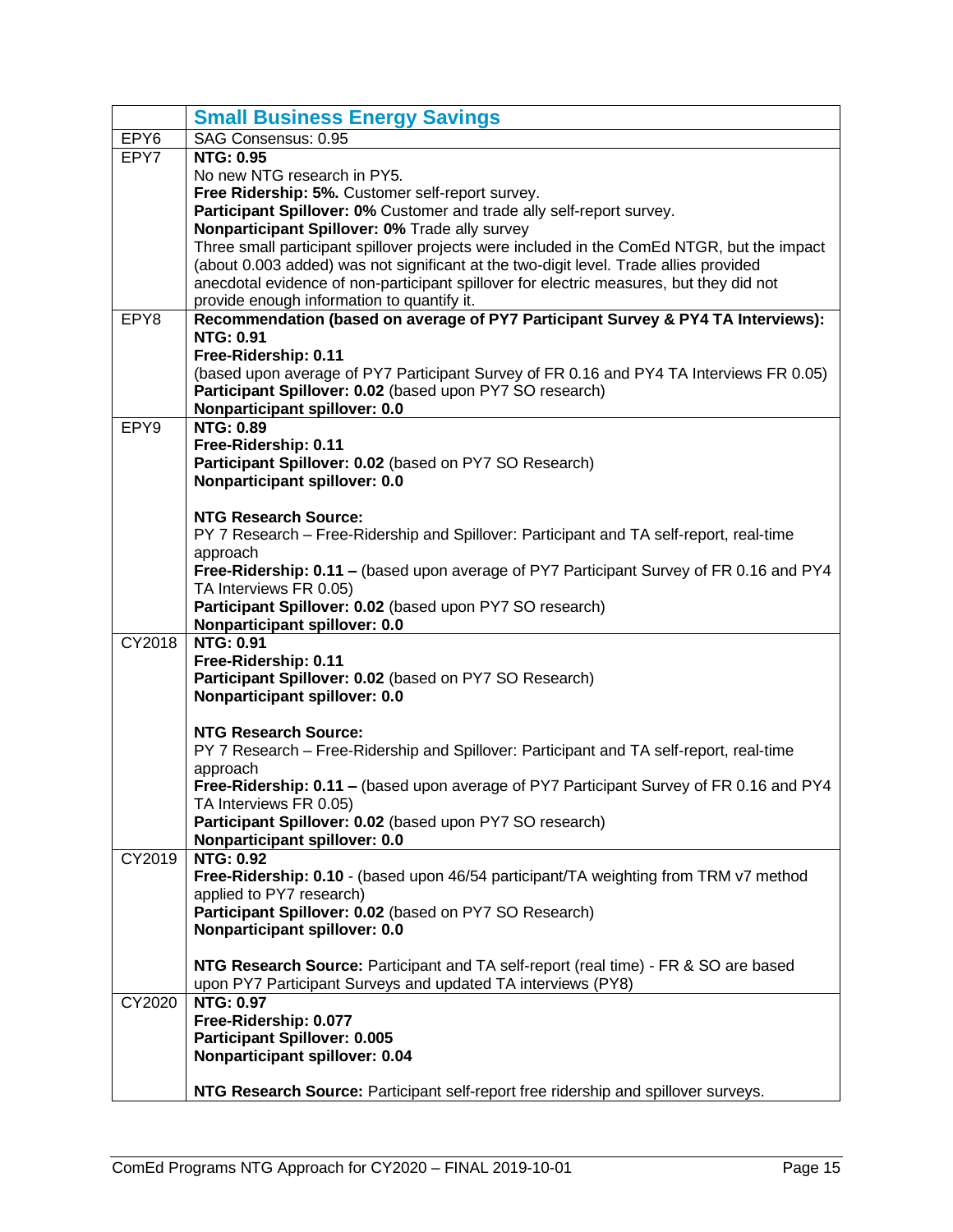|                  | <b>Small Business Energy Savings</b>                                                                                                                                                |
|------------------|-------------------------------------------------------------------------------------------------------------------------------------------------------------------------------------|
| EPY <sub>6</sub> | SAG Consensus: 0.95                                                                                                                                                                 |
| EPY7             | <b>NTG: 0.95</b>                                                                                                                                                                    |
|                  | No new NTG research in PY5.                                                                                                                                                         |
|                  | Free Ridership: 5%. Customer self-report survey.                                                                                                                                    |
|                  | Participant Spillover: 0% Customer and trade ally self-report survey.                                                                                                               |
|                  | Nonparticipant Spillover: 0% Trade ally survey                                                                                                                                      |
|                  | Three small participant spillover projects were included in the ComEd NTGR, but the impact<br>(about 0.003 added) was not significant at the two-digit level. Trade allies provided |
|                  | anecdotal evidence of non-participant spillover for electric measures, but they did not                                                                                             |
|                  | provide enough information to quantify it.                                                                                                                                          |
| EPY8             | Recommendation (based on average of PY7 Participant Survey & PY4 TA Interviews):                                                                                                    |
|                  | <b>NTG: 0.91</b>                                                                                                                                                                    |
|                  | Free-Ridership: 0.11                                                                                                                                                                |
|                  | (based upon average of PY7 Participant Survey of FR 0.16 and PY4 TA Interviews FR 0.05)                                                                                             |
|                  | Participant Spillover: 0.02 (based upon PY7 SO research)                                                                                                                            |
|                  | Nonparticipant spillover: 0.0                                                                                                                                                       |
| EPY9             | <b>NTG: 0.89</b>                                                                                                                                                                    |
|                  | Free-Ridership: 0.11                                                                                                                                                                |
|                  | Participant Spillover: 0.02 (based on PY7 SO Research)                                                                                                                              |
|                  | Nonparticipant spillover: 0.0                                                                                                                                                       |
|                  | <b>NTG Research Source:</b>                                                                                                                                                         |
|                  | PY 7 Research – Free-Ridership and Spillover: Participant and TA self-report, real-time                                                                                             |
|                  | approach                                                                                                                                                                            |
|                  | Free-Ridership: 0.11 - (based upon average of PY7 Participant Survey of FR 0.16 and PY4                                                                                             |
|                  | TA Interviews FR 0.05)                                                                                                                                                              |
|                  | Participant Spillover: 0.02 (based upon PY7 SO research)                                                                                                                            |
|                  | Nonparticipant spillover: 0.0                                                                                                                                                       |
| CY2018           | <b>NTG: 0.91</b>                                                                                                                                                                    |
|                  | Free-Ridership: 0.11                                                                                                                                                                |
|                  | Participant Spillover: 0.02 (based on PY7 SO Research)                                                                                                                              |
|                  | Nonparticipant spillover: 0.0                                                                                                                                                       |
|                  | <b>NTG Research Source:</b>                                                                                                                                                         |
|                  | PY 7 Research - Free-Ridership and Spillover: Participant and TA self-report, real-time                                                                                             |
|                  | approach                                                                                                                                                                            |
|                  | Free-Ridership: 0.11 – (based upon average of PY7 Participant Survey of FR 0.16 and PY4                                                                                             |
|                  | TA Interviews FR 0.05)                                                                                                                                                              |
|                  | Participant Spillover: 0.02 (based upon PY7 SO research)                                                                                                                            |
|                  | Nonparticipant spillover: 0.0                                                                                                                                                       |
| CY2019           | <b>NTG: 0.92</b><br>Free-Ridership: 0.10 - (based upon 46/54 participant/TA weighting from TRM v7 method                                                                            |
|                  | applied to PY7 research)                                                                                                                                                            |
|                  | Participant Spillover: 0.02 (based on PY7 SO Research)                                                                                                                              |
|                  | Nonparticipant spillover: 0.0                                                                                                                                                       |
|                  |                                                                                                                                                                                     |
|                  | NTG Research Source: Participant and TA self-report (real time) - FR & SO are based                                                                                                 |
|                  | upon PY7 Participant Surveys and updated TA interviews (PY8)                                                                                                                        |
| CY2020           | <b>NTG: 0.97</b>                                                                                                                                                                    |
|                  | Free-Ridership: 0.077                                                                                                                                                               |
|                  | Participant Spillover: 0.005                                                                                                                                                        |
|                  | Nonparticipant spillover: 0.04                                                                                                                                                      |
|                  | NTG Research Source: Participant self-report free ridership and spillover surveys.                                                                                                  |
|                  |                                                                                                                                                                                     |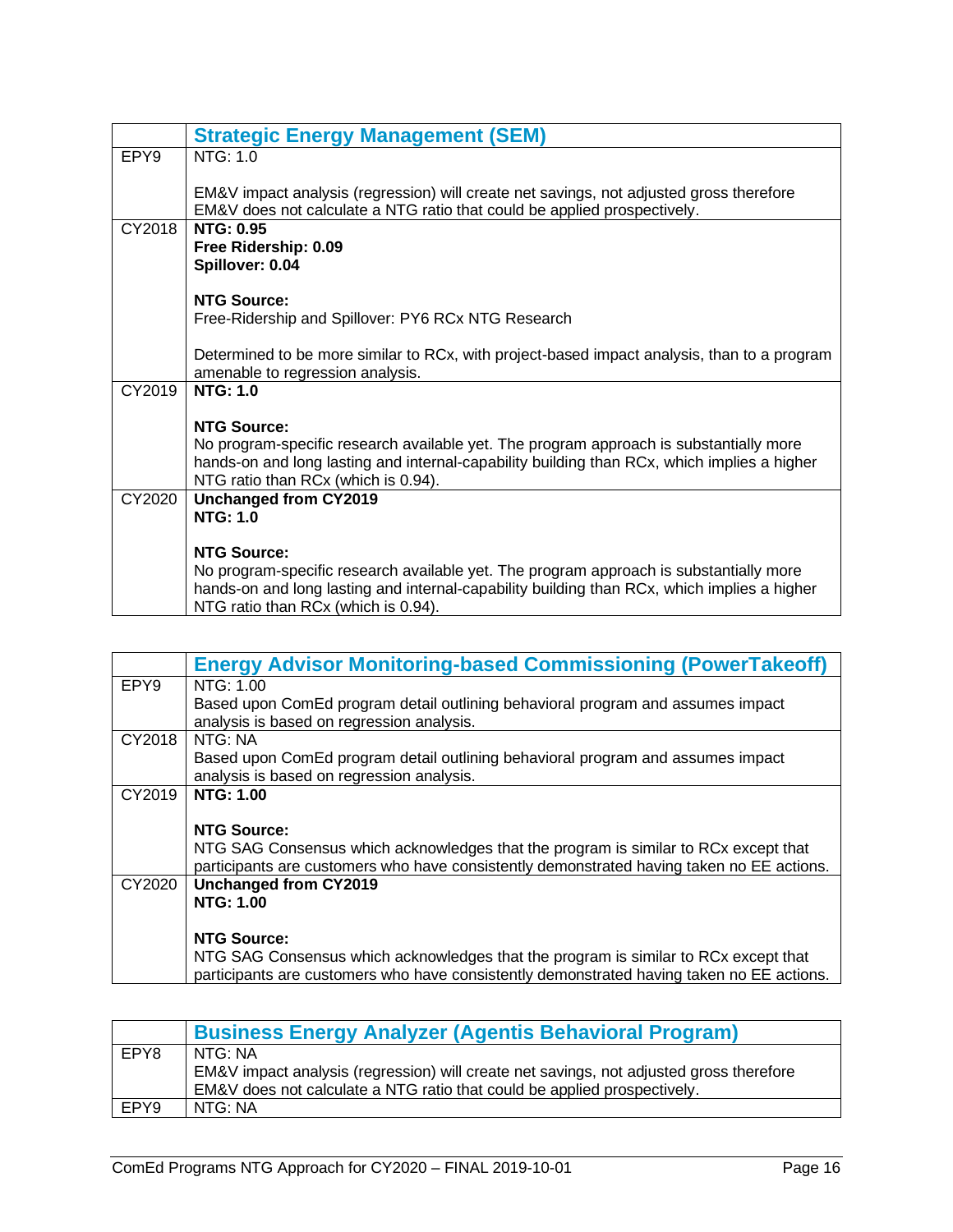<span id="page-17-0"></span>

|                  | <b>Strategic Energy Management (SEM)</b>                                                                                                                                                                                                           |
|------------------|----------------------------------------------------------------------------------------------------------------------------------------------------------------------------------------------------------------------------------------------------|
| EPY <sub>9</sub> | NTG: 1.0                                                                                                                                                                                                                                           |
|                  | EM&V impact analysis (regression) will create net savings, not adjusted gross therefore<br>EM&V does not calculate a NTG ratio that could be applied prospectively.                                                                                |
| CY2018           | <b>NTG: 0.95</b><br>Free Ridership: 0.09<br>Spillover: 0.04                                                                                                                                                                                        |
|                  | <b>NTG Source:</b><br>Free-Ridership and Spillover: PY6 RCx NTG Research                                                                                                                                                                           |
|                  | Determined to be more similar to RCx, with project-based impact analysis, than to a program<br>amenable to regression analysis.                                                                                                                    |
| CY2019           | <b>NTG: 1.0</b>                                                                                                                                                                                                                                    |
|                  | <b>NTG Source:</b><br>No program-specific research available yet. The program approach is substantially more<br>hands-on and long lasting and internal-capability building than RCx, which implies a higher<br>NTG ratio than RCx (which is 0.94). |
| CY2020           | <b>Unchanged from CY2019</b>                                                                                                                                                                                                                       |
|                  | <b>NTG: 1.0</b>                                                                                                                                                                                                                                    |
|                  | <b>NTG Source:</b><br>No program-specific research available yet. The program approach is substantially more<br>hands-on and long lasting and internal-capability building than RCx, which implies a higher<br>NTG ratio than RCx (which is 0.94). |

<span id="page-17-1"></span>

|                  | <b>Energy Advisor Monitoring-based Commissioning (PowerTakeoff)</b>                                                          |
|------------------|------------------------------------------------------------------------------------------------------------------------------|
| EPY <sub>9</sub> | NTG: 1.00                                                                                                                    |
|                  | Based upon ComEd program detail outlining behavioral program and assumes impact<br>analysis is based on regression analysis. |
| CY2018           | NTG: NA                                                                                                                      |
|                  | Based upon ComEd program detail outlining behavioral program and assumes impact                                              |
|                  | analysis is based on regression analysis.                                                                                    |
| CY2019           | <b>NTG: 1.00</b>                                                                                                             |
|                  |                                                                                                                              |
|                  | <b>NTG Source:</b>                                                                                                           |
|                  | NTG SAG Consensus which acknowledges that the program is similar to RCx except that                                          |
|                  | participants are customers who have consistently demonstrated having taken no EE actions.                                    |
| CY2020           | Unchanged from CY2019                                                                                                        |
|                  | <b>NTG: 1.00</b>                                                                                                             |
|                  |                                                                                                                              |
|                  | <b>NTG Source:</b>                                                                                                           |
|                  | NTG SAG Consensus which acknowledges that the program is similar to RCx except that                                          |
|                  | participants are customers who have consistently demonstrated having taken no EE actions.                                    |

<span id="page-17-2"></span>

|      | <b>Business Energy Analyzer (Agentis Behavioral Program)</b>                            |
|------|-----------------------------------------------------------------------------------------|
| EPY8 | l NTG: NA                                                                               |
|      | EM&V impact analysis (regression) will create net savings, not adjusted gross therefore |
|      | EM&V does not calculate a NTG ratio that could be applied prospectively.                |
| EPY9 | NTG: NA                                                                                 |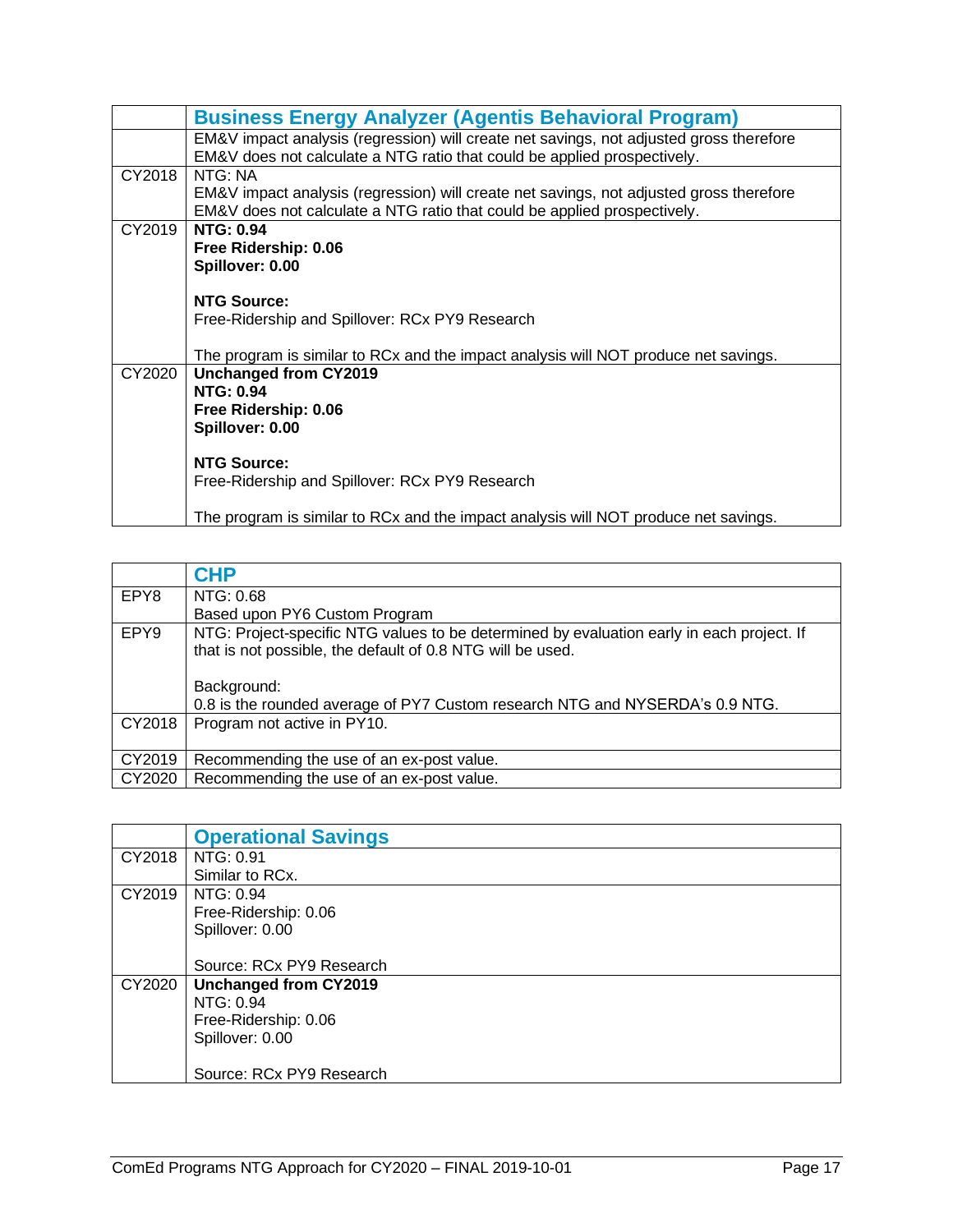|        | <b>Business Energy Analyzer (Agentis Behavioral Program)</b>                                                                                                        |  |  |  |
|--------|---------------------------------------------------------------------------------------------------------------------------------------------------------------------|--|--|--|
|        | EM&V impact analysis (regression) will create net savings, not adjusted gross therefore<br>EM&V does not calculate a NTG ratio that could be applied prospectively. |  |  |  |
| CY2018 | NTG: NA<br>EM&V impact analysis (regression) will create net savings, not adjusted gross therefore                                                                  |  |  |  |
|        | EM&V does not calculate a NTG ratio that could be applied prospectively.                                                                                            |  |  |  |
| CY2019 | <b>NTG: 0.94</b>                                                                                                                                                    |  |  |  |
|        | Free Ridership: 0.06                                                                                                                                                |  |  |  |
|        | Spillover: 0.00                                                                                                                                                     |  |  |  |
|        | <b>NTG Source:</b>                                                                                                                                                  |  |  |  |
|        | Free-Ridership and Spillover: RCx PY9 Research                                                                                                                      |  |  |  |
|        |                                                                                                                                                                     |  |  |  |
| CY2020 | The program is similar to RCx and the impact analysis will NOT produce net savings.<br>Unchanged from CY2019                                                        |  |  |  |
|        | <b>NTG: 0.94</b>                                                                                                                                                    |  |  |  |
|        | Free Ridership: 0.06                                                                                                                                                |  |  |  |
|        | Spillover: 0.00                                                                                                                                                     |  |  |  |
|        |                                                                                                                                                                     |  |  |  |
|        | <b>NTG Source:</b>                                                                                                                                                  |  |  |  |
|        | Free-Ridership and Spillover: RCx PY9 Research                                                                                                                      |  |  |  |
|        | The program is similar to RCx and the impact analysis will NOT produce net savings.                                                                                 |  |  |  |

<span id="page-18-0"></span>

|        | <b>CHP</b>                                                                                                                                              |  |  |  |
|--------|---------------------------------------------------------------------------------------------------------------------------------------------------------|--|--|--|
| EPY8   | NTG: 0.68                                                                                                                                               |  |  |  |
|        | Based upon PY6 Custom Program                                                                                                                           |  |  |  |
| EPY9   | NTG: Project-specific NTG values to be determined by evaluation early in each project. If<br>that is not possible, the default of 0.8 NTG will be used. |  |  |  |
|        | Background:                                                                                                                                             |  |  |  |
|        | 0.8 is the rounded average of PY7 Custom research NTG and NYSERDA's 0.9 NTG.                                                                            |  |  |  |
| CY2018 | Program not active in PY10.                                                                                                                             |  |  |  |
| CY2019 | Recommending the use of an ex-post value.                                                                                                               |  |  |  |
| CY2020 | Recommending the use of an ex-post value.                                                                                                               |  |  |  |

<span id="page-18-1"></span>

|        | <b>Operational Savings</b>   |
|--------|------------------------------|
| CY2018 | NTG: 0.91                    |
|        | Similar to RCx.              |
| CY2019 | NTG: 0.94                    |
|        | Free-Ridership: 0.06         |
|        | Spillover: 0.00              |
|        |                              |
|        | Source: RCx PY9 Research     |
| CY2020 | <b>Unchanged from CY2019</b> |
|        | NTG: 0.94                    |
|        | Free-Ridership: 0.06         |
|        | Spillover: 0.00              |
|        |                              |
|        | Source: RCx PY9 Research     |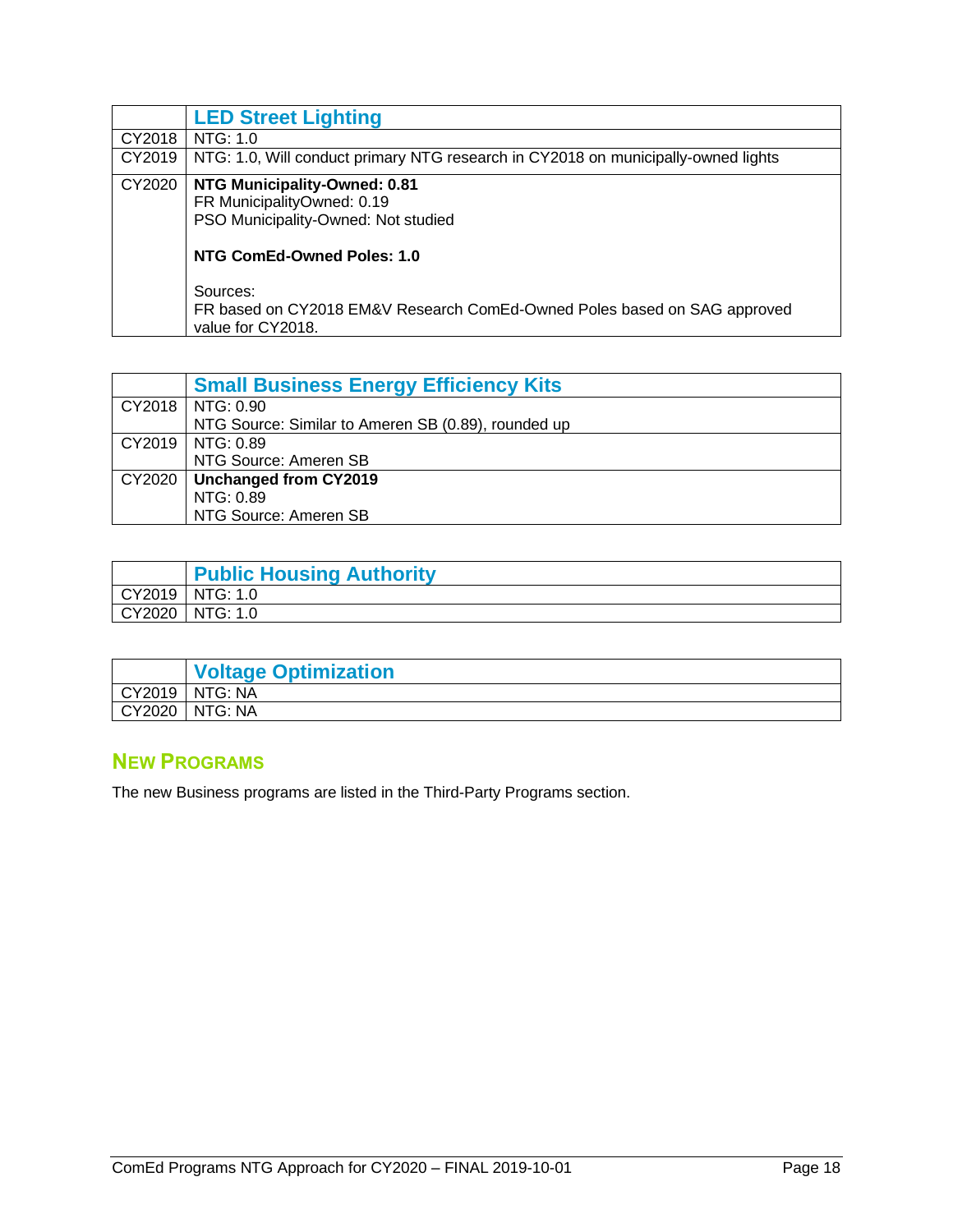<span id="page-19-0"></span>

|        | <b>LED Street Lighting</b>                                                                    |  |  |  |
|--------|-----------------------------------------------------------------------------------------------|--|--|--|
| CY2018 | NTG: 1.0                                                                                      |  |  |  |
| CY2019 | NTG: 1.0, Will conduct primary NTG research in CY2018 on municipally-owned lights             |  |  |  |
| CY2020 | NTG Municipality-Owned: 0.81                                                                  |  |  |  |
|        | FR MunicipalityOwned: 0.19                                                                    |  |  |  |
|        | PSO Municipality-Owned: Not studied                                                           |  |  |  |
|        | NTG ComEd-Owned Poles: 1.0                                                                    |  |  |  |
|        | Sources:                                                                                      |  |  |  |
|        | FR based on CY2018 EM&V Research ComEd-Owned Poles based on SAG approved<br>value for CY2018. |  |  |  |

<span id="page-19-1"></span>

|        | <b>Small Business Energy Efficiency Kits</b>        |
|--------|-----------------------------------------------------|
|        | CY2018   NTG: 0.90                                  |
|        | NTG Source: Similar to Ameren SB (0.89), rounded up |
|        | CY2019   NTG: 0.89                                  |
|        | NTG Source: Ameren SB                               |
| CY2020 | Unchanged from CY2019                               |
|        | NTG: 0.89                                           |
|        | NTG Source: Ameren SB                               |

<span id="page-19-2"></span>

| <b>Public Housing Authority</b> |
|---------------------------------|
| CY2019   NTG: 1.0               |
| CY2020   NTG: 1.0               |

<span id="page-19-3"></span>

|        | <b>Voltage Optimization</b> |
|--------|-----------------------------|
|        | CY2019   NTG: NA            |
| CY2020 | NTG: NA                     |

#### <span id="page-19-4"></span>**NEW PROGRAMS**

The new Business programs are listed in the Third-Party Programs section.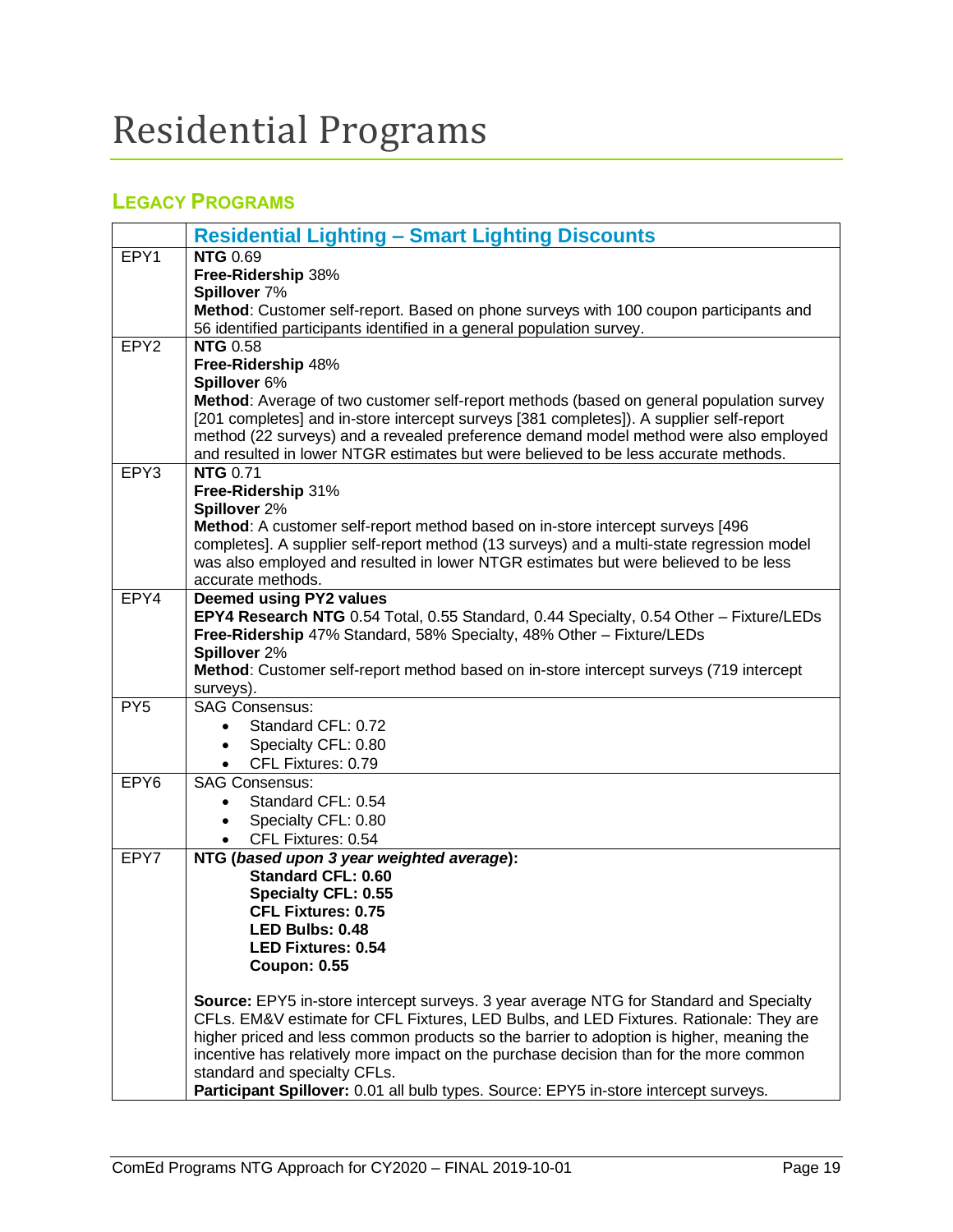# <span id="page-20-0"></span>Residential Programs

### <span id="page-20-1"></span>**LEGACY PROGRAMS**

<span id="page-20-2"></span>

|                  | <b>Residential Lighting - Smart Lighting Discounts</b>                                                               |
|------------------|----------------------------------------------------------------------------------------------------------------------|
| EPY1             | <b>NTG 0.69</b>                                                                                                      |
|                  | Free-Ridership 38%                                                                                                   |
|                  | Spillover 7%<br>Method: Customer self-report. Based on phone surveys with 100 coupon participants and                |
|                  | 56 identified participants identified in a general population survey.                                                |
| EPY <sub>2</sub> | <b>NTG 0.58</b>                                                                                                      |
|                  | Free-Ridership 48%                                                                                                   |
|                  | Spillover 6%<br>Method: Average of two customer self-report methods (based on general population survey              |
|                  | [201 completes] and in-store intercept surveys [381 completes]). A supplier self-report                              |
|                  | method (22 surveys) and a revealed preference demand model method were also employed                                 |
|                  | and resulted in lower NTGR estimates but were believed to be less accurate methods.                                  |
| EPY3             | <b>NTG 0.71</b>                                                                                                      |
|                  | Free-Ridership 31%<br>Spillover 2%                                                                                   |
|                  | Method: A customer self-report method based on in-store intercept surveys [496                                       |
|                  | completes]. A supplier self-report method (13 surveys) and a multi-state regression model                            |
|                  | was also employed and resulted in lower NTGR estimates but were believed to be less                                  |
| EPY4             | accurate methods.<br><b>Deemed using PY2 values</b>                                                                  |
|                  | EPY4 Research NTG 0.54 Total, 0.55 Standard, 0.44 Specialty, 0.54 Other - Fixture/LEDs                               |
|                  | Free-Ridership 47% Standard, 58% Specialty, 48% Other - Fixture/LEDs                                                 |
|                  | Spillover 2%                                                                                                         |
|                  | Method: Customer self-report method based on in-store intercept surveys (719 intercept<br>surveys).                  |
| PY <sub>5</sub>  | <b>SAG Consensus:</b>                                                                                                |
|                  | Standard CFL: 0.72<br>$\bullet$                                                                                      |
|                  | Specialty CFL: 0.80<br>$\bullet$                                                                                     |
|                  | CFL Fixtures: 0.79<br>$\bullet$                                                                                      |
| EPY <sub>6</sub> | <b>SAG Consensus:</b><br>Standard CFL: 0.54                                                                          |
|                  | Specialty CFL: 0.80<br>$\bullet$                                                                                     |
|                  | CFL Fixtures: 0.54<br>$\bullet$                                                                                      |
| EPY7             | NTG (based upon 3 year weighted average):                                                                            |
|                  | <b>Standard CFL: 0.60</b>                                                                                            |
|                  | <b>Specialty CFL: 0.55</b><br><b>CFL Fixtures: 0.75</b>                                                              |
|                  | LED Bulbs: 0.48                                                                                                      |
|                  | <b>LED Fixtures: 0.54</b>                                                                                            |
|                  | <b>Coupon: 0.55</b>                                                                                                  |
|                  | Source: EPY5 in-store intercept surveys. 3 year average NTG for Standard and Specialty                               |
|                  | CFLs. EM&V estimate for CFL Fixtures, LED Bulbs, and LED Fixtures. Rationale: They are                               |
|                  | higher priced and less common products so the barrier to adoption is higher, meaning the                             |
|                  | incentive has relatively more impact on the purchase decision than for the more common                               |
|                  | standard and specialty CFLs.<br>Participant Spillover: 0.01 all bulb types. Source: EPY5 in-store intercept surveys. |
|                  |                                                                                                                      |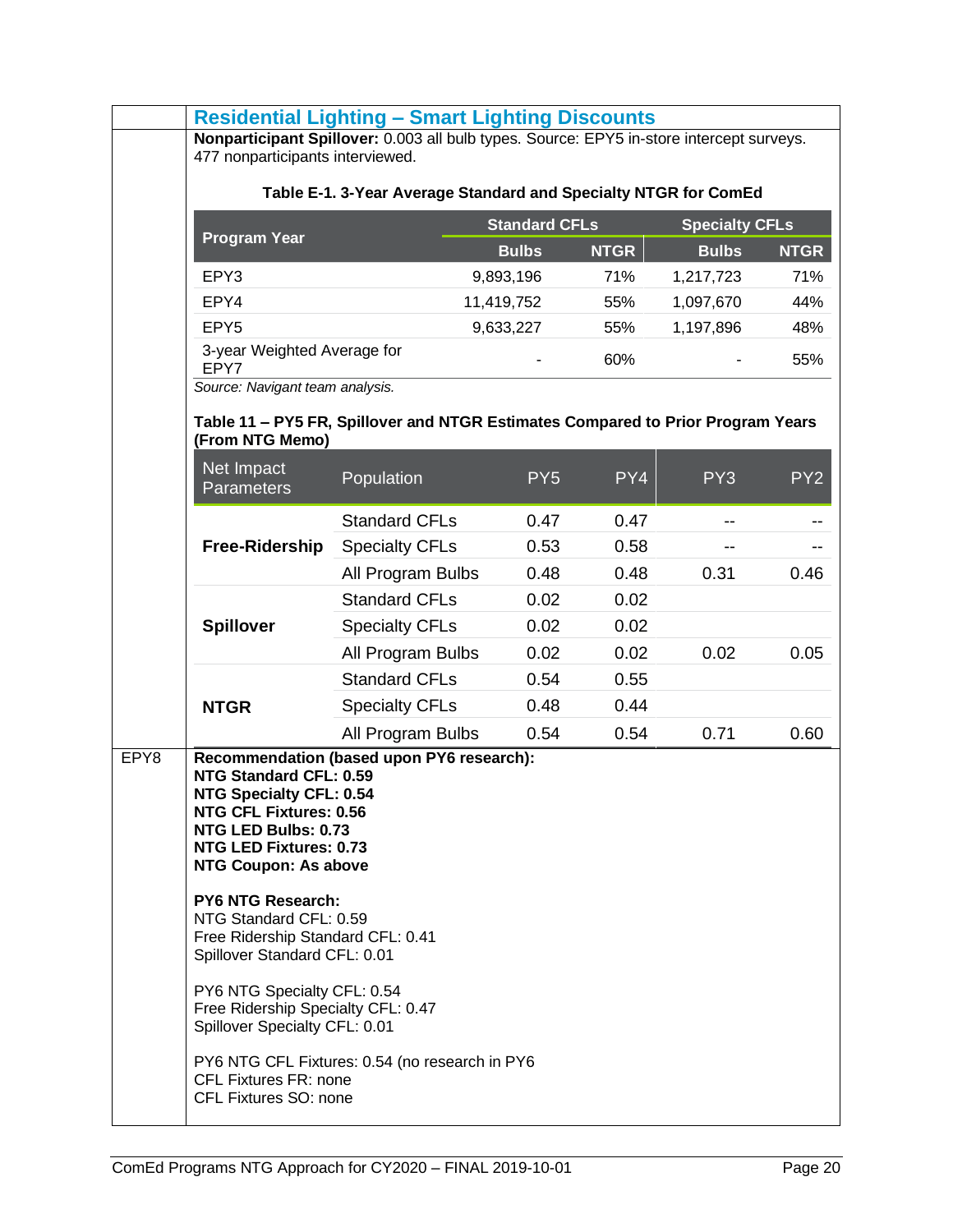|      | <b>Residential Lighting - Smart Lighting Discounts</b>                                                                                                                                                                          |                                                                                 |                      |             |                       |                 |
|------|---------------------------------------------------------------------------------------------------------------------------------------------------------------------------------------------------------------------------------|---------------------------------------------------------------------------------|----------------------|-------------|-----------------------|-----------------|
|      | Nonparticipant Spillover: 0.003 all bulb types. Source: EPY5 in-store intercept surveys.                                                                                                                                        |                                                                                 |                      |             |                       |                 |
|      | 477 nonparticipants interviewed.                                                                                                                                                                                                |                                                                                 |                      |             |                       |                 |
|      | Table E-1. 3-Year Average Standard and Specialty NTGR for ComEd                                                                                                                                                                 |                                                                                 |                      |             |                       |                 |
|      | <b>Program Year</b>                                                                                                                                                                                                             |                                                                                 | <b>Standard CFLs</b> |             | <b>Specialty CFLs</b> |                 |
|      |                                                                                                                                                                                                                                 |                                                                                 | <b>Bulbs</b>         | <b>NTGR</b> | <b>Bulbs</b>          | <b>NTGR</b>     |
|      | EPY3                                                                                                                                                                                                                            |                                                                                 | 9,893,196            | 71%         | 1,217,723             | 71%             |
|      | EPY4                                                                                                                                                                                                                            |                                                                                 | 11,419,752           | 55%         | 1,097,670             | 44%             |
|      | EPY <sub>5</sub>                                                                                                                                                                                                                |                                                                                 | 9,633,227            | 55%         | 1,197,896             | 48%             |
|      | 3-year Weighted Average for<br>EPY7                                                                                                                                                                                             |                                                                                 |                      | 60%         |                       | 55%             |
|      | Source: Navigant team analysis.                                                                                                                                                                                                 |                                                                                 |                      |             |                       |                 |
|      |                                                                                                                                                                                                                                 | Table 11 - PY5 FR, Spillover and NTGR Estimates Compared to Prior Program Years |                      |             |                       |                 |
|      | (From NTG Memo)                                                                                                                                                                                                                 |                                                                                 |                      |             |                       |                 |
|      | Net Impact<br><b>Parameters</b>                                                                                                                                                                                                 | Population                                                                      | PY <sub>5</sub>      | PY4         | PY <sub>3</sub>       | PY <sub>2</sub> |
|      |                                                                                                                                                                                                                                 | <b>Standard CFLs</b>                                                            | 0.47                 | 0.47        |                       |                 |
|      | Free-Ridership                                                                                                                                                                                                                  | <b>Specialty CFLs</b>                                                           | 0.53                 | 0.58        |                       |                 |
|      |                                                                                                                                                                                                                                 | All Program Bulbs                                                               | 0.48                 | 0.48        | 0.31                  | 0.46            |
|      |                                                                                                                                                                                                                                 | <b>Standard CFLs</b>                                                            | 0.02                 | 0.02        |                       |                 |
|      | <b>Spillover</b>                                                                                                                                                                                                                | <b>Specialty CFLs</b>                                                           | 0.02                 | 0.02        |                       |                 |
|      |                                                                                                                                                                                                                                 | All Program Bulbs                                                               | 0.02                 | 0.02        | 0.02                  | 0.05            |
|      |                                                                                                                                                                                                                                 | <b>Standard CFLs</b>                                                            | 0.54                 | 0.55        |                       |                 |
|      | <b>NTGR</b>                                                                                                                                                                                                                     | <b>Specialty CFLs</b>                                                           | 0.48                 | 0.44        |                       |                 |
|      |                                                                                                                                                                                                                                 | All Program Bulbs                                                               | 0.54                 | 0.54        | 0.71                  | 0.60            |
| EPY8 | NTG Standard CFL: 0.59<br><b>NTG Specialty CFL: 0.54</b><br><b>NTG CFL Fixtures: 0.56</b><br>NTG LED Bulbs: 0.73<br><b>NTG LED Fixtures: 0.73</b><br><b>NTG Coupon: As above</b><br>PY6 NTG Research:<br>NTG Standard CFL: 0.59 | Recommendation (based upon PY6 research):                                       |                      |             |                       |                 |
|      | Free Ridership Standard CFL: 0.41<br>Spillover Standard CFL: 0.01<br>PY6 NTG Specialty CFL: 0.54<br>Free Ridership Specialty CFL: 0.47<br>Spillover Specialty CFL: 0.01<br><b>CFL Fixtures FR: none</b>                         | PY6 NTG CFL Fixtures: 0.54 (no research in PY6                                  |                      |             |                       |                 |
|      | CFL Fixtures SO: none                                                                                                                                                                                                           |                                                                                 |                      |             |                       |                 |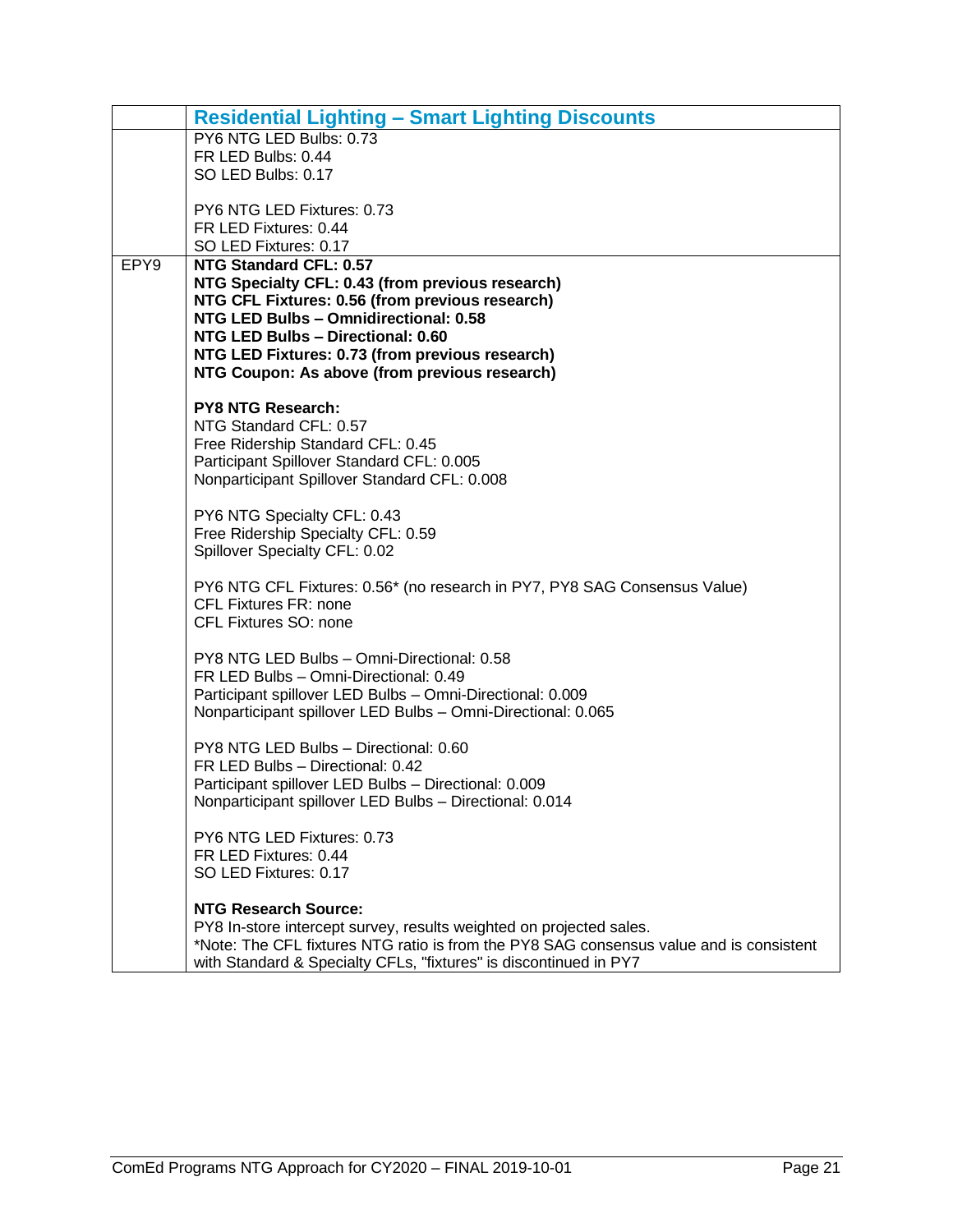|                  | <b>Residential Lighting - Smart Lighting Discounts</b>                                  |  |  |  |  |
|------------------|-----------------------------------------------------------------------------------------|--|--|--|--|
|                  | PY6 NTG LED Bulbs: 0.73                                                                 |  |  |  |  |
|                  | FR LED Bulbs: 0.44                                                                      |  |  |  |  |
|                  | SO LED Bulbs: 0.17                                                                      |  |  |  |  |
|                  | PY6 NTG LED Fixtures: 0.73                                                              |  |  |  |  |
|                  | FR LED Fixtures: 0.44                                                                   |  |  |  |  |
|                  | SO LED Fixtures: 0.17                                                                   |  |  |  |  |
| EPY <sub>9</sub> | NTG Standard CFL: 0.57                                                                  |  |  |  |  |
|                  | NTG Specialty CFL: 0.43 (from previous research)                                        |  |  |  |  |
|                  | NTG CFL Fixtures: 0.56 (from previous research)                                         |  |  |  |  |
|                  | NTG LED Bulbs - Omnidirectional: 0.58<br>NTG LED Bulbs - Directional: 0.60              |  |  |  |  |
|                  | NTG LED Fixtures: 0.73 (from previous research)                                         |  |  |  |  |
|                  | NTG Coupon: As above (from previous research)                                           |  |  |  |  |
|                  |                                                                                         |  |  |  |  |
|                  | <b>PY8 NTG Research:</b>                                                                |  |  |  |  |
|                  | NTG Standard CFL: 0.57                                                                  |  |  |  |  |
|                  | Free Ridership Standard CFL: 0.45                                                       |  |  |  |  |
|                  | Participant Spillover Standard CFL: 0.005                                               |  |  |  |  |
|                  | Nonparticipant Spillover Standard CFL: 0.008                                            |  |  |  |  |
|                  | PY6 NTG Specialty CFL: 0.43                                                             |  |  |  |  |
|                  | Free Ridership Specialty CFL: 0.59                                                      |  |  |  |  |
|                  | Spillover Specialty CFL: 0.02                                                           |  |  |  |  |
|                  |                                                                                         |  |  |  |  |
|                  | PY6 NTG CFL Fixtures: 0.56* (no research in PY7, PY8 SAG Consensus Value)               |  |  |  |  |
|                  | <b>CFL Fixtures FR: none</b><br>CFL Fixtures SO: none                                   |  |  |  |  |
|                  |                                                                                         |  |  |  |  |
|                  | PY8 NTG LED Bulbs - Omni-Directional: 0.58                                              |  |  |  |  |
|                  | FR LED Bulbs - Omni-Directional: 0.49                                                   |  |  |  |  |
|                  | Participant spillover LED Bulbs - Omni-Directional: 0.009                               |  |  |  |  |
|                  | Nonparticipant spillover LED Bulbs - Omni-Directional: 0.065                            |  |  |  |  |
|                  | PY8 NTG LED Bulbs - Directional: 0.60                                                   |  |  |  |  |
|                  | FR LED Bulbs - Directional: 0.42                                                        |  |  |  |  |
|                  | Participant spillover LED Bulbs - Directional: 0.009                                    |  |  |  |  |
|                  | Nonparticipant spillover LED Bulbs - Directional: 0.014                                 |  |  |  |  |
|                  |                                                                                         |  |  |  |  |
|                  | PY6 NTG LED Fixtures: 0.73                                                              |  |  |  |  |
|                  | FR LED Fixtures: 0.44                                                                   |  |  |  |  |
|                  | SO LED Fixtures: 0.17                                                                   |  |  |  |  |
|                  | <b>NTG Research Source:</b>                                                             |  |  |  |  |
|                  | PY8 In-store intercept survey, results weighted on projected sales.                     |  |  |  |  |
|                  | *Note: The CFL fixtures NTG ratio is from the PY8 SAG consensus value and is consistent |  |  |  |  |
|                  | with Standard & Specialty CFLs, "fixtures" is discontinued in PY7                       |  |  |  |  |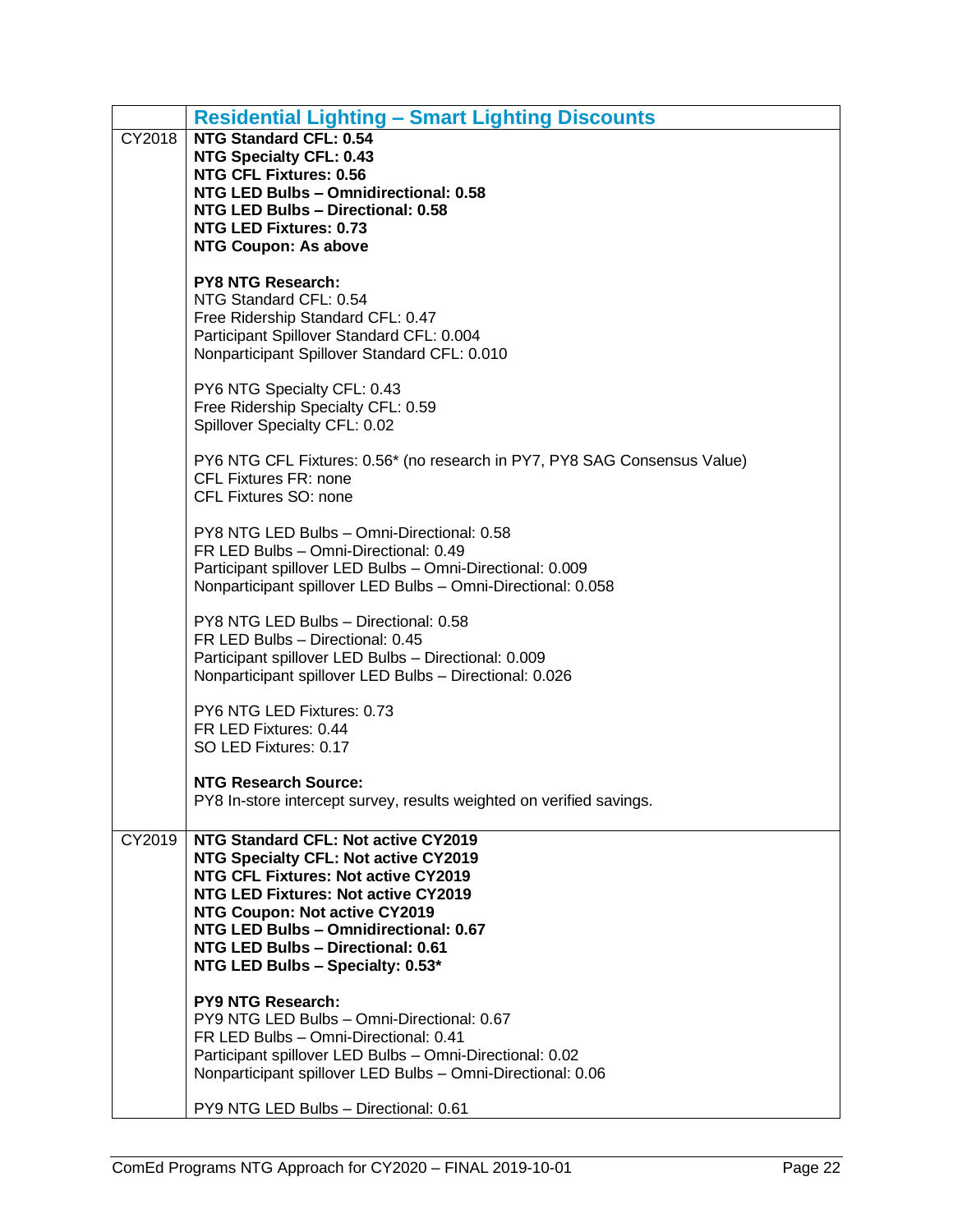|        | <b>Residential Lighting - Smart Lighting Discounts</b>                                                                                                                                                                                                                                                              |
|--------|---------------------------------------------------------------------------------------------------------------------------------------------------------------------------------------------------------------------------------------------------------------------------------------------------------------------|
| CY2018 | <b>NTG Standard CFL: 0.54</b><br><b>NTG Specialty CFL: 0.43</b><br><b>NTG CFL Fixtures: 0.56</b><br>NTG LED Bulbs - Omnidirectional: 0.58<br>NTG LED Bulbs - Directional: 0.58<br><b>NTG LED Fixtures: 0.73</b>                                                                                                     |
|        | <b>NTG Coupon: As above</b>                                                                                                                                                                                                                                                                                         |
|        | <b>PY8 NTG Research:</b><br>NTG Standard CFL: 0.54<br>Free Ridership Standard CFL: 0.47<br>Participant Spillover Standard CFL: 0.004<br>Nonparticipant Spillover Standard CFL: 0.010                                                                                                                                |
|        | PY6 NTG Specialty CFL: 0.43<br>Free Ridership Specialty CFL: 0.59<br>Spillover Specialty CFL: 0.02                                                                                                                                                                                                                  |
|        | PY6 NTG CFL Fixtures: 0.56* (no research in PY7, PY8 SAG Consensus Value)<br><b>CFL Fixtures FR: none</b><br>CFL Fixtures SO: none                                                                                                                                                                                  |
|        | PY8 NTG LED Bulbs - Omni-Directional: 0.58<br>FR LED Bulbs - Omni-Directional: 0.49<br>Participant spillover LED Bulbs - Omni-Directional: 0.009<br>Nonparticipant spillover LED Bulbs - Omni-Directional: 0.058                                                                                                    |
|        | PY8 NTG LED Bulbs - Directional: 0.58<br>FR LED Bulbs - Directional: 0.45<br>Participant spillover LED Bulbs - Directional: 0.009<br>Nonparticipant spillover LED Bulbs - Directional: 0.026                                                                                                                        |
|        | PY6 NTG LED Fixtures: 0.73<br>FR LED Fixtures: 0.44<br>SO LED Fixtures: 0.17                                                                                                                                                                                                                                        |
|        | <b>NTG Research Source:</b><br>PY8 In-store intercept survey, results weighted on verified savings                                                                                                                                                                                                                  |
| CY2019 | NTG Standard CFL: Not active CY2019<br>NTG Specialty CFL: Not active CY2019<br>NTG CFL Fixtures: Not active CY2019<br><b>NTG LED Fixtures: Not active CY2019</b><br>NTG Coupon: Not active CY2019<br>NTG LED Bulbs - Omnidirectional: 0.67<br>NTG LED Bulbs - Directional: 0.61<br>NTG LED Bulbs - Specialty: 0.53* |
|        | <b>PY9 NTG Research:</b><br>PY9 NTG LED Bulbs - Omni-Directional: 0.67<br>FR LED Bulbs - Omni-Directional: 0.41<br>Participant spillover LED Bulbs - Omni-Directional: 0.02<br>Nonparticipant spillover LED Bulbs - Omni-Directional: 0.06                                                                          |
|        | PY9 NTG LED Bulbs - Directional: 0.61                                                                                                                                                                                                                                                                               |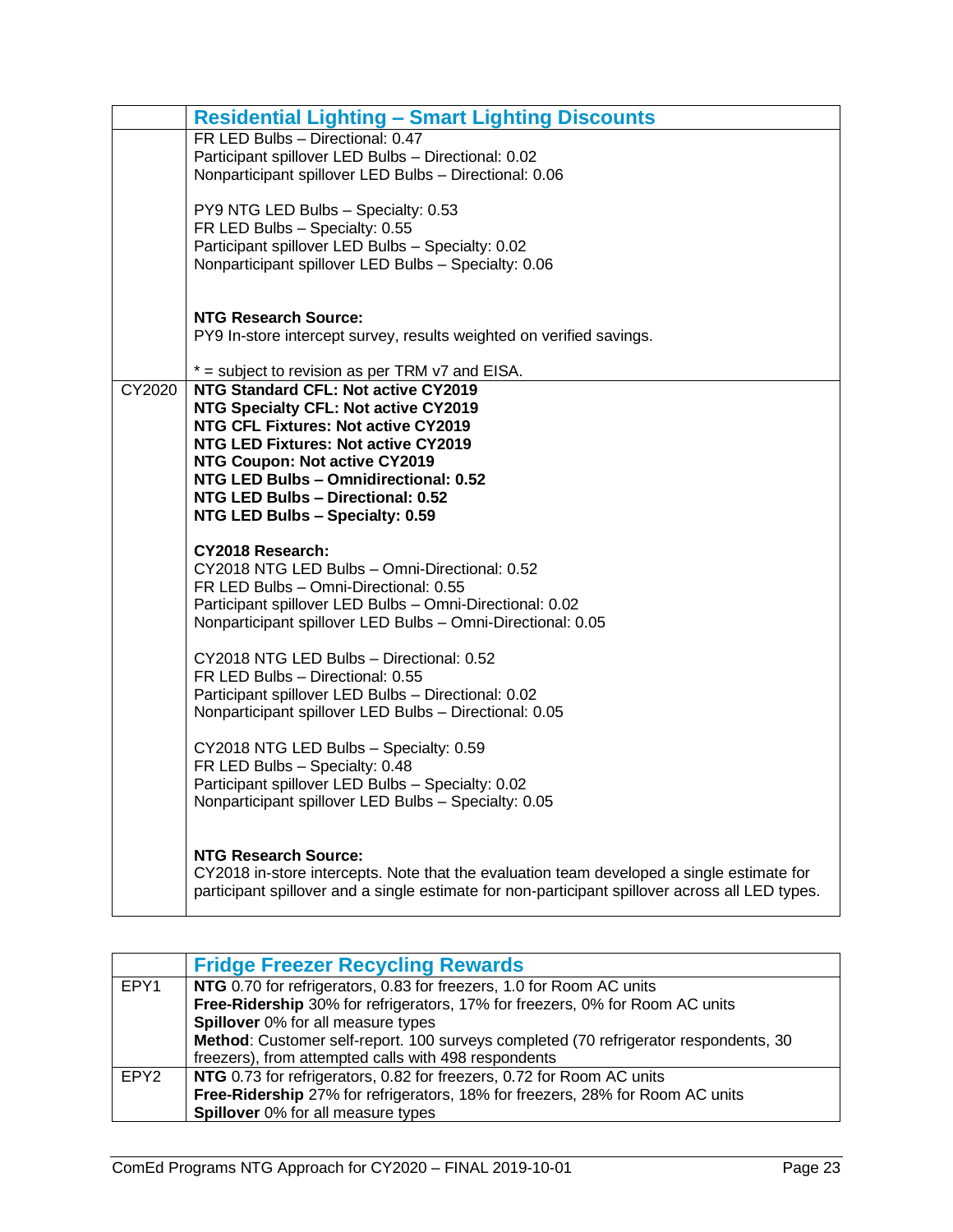|               | <b>Residential Lighting - Smart Lighting Discounts</b>                                                                                                                                                                                                                                                                                                             |
|---------------|--------------------------------------------------------------------------------------------------------------------------------------------------------------------------------------------------------------------------------------------------------------------------------------------------------------------------------------------------------------------|
|               | FR LED Bulbs - Directional: 0.47<br>Participant spillover LED Bulbs - Directional: 0.02<br>Nonparticipant spillover LED Bulbs - Directional: 0.06                                                                                                                                                                                                                  |
|               | PY9 NTG LED Bulbs - Specialty: 0.53<br>FR LED Bulbs - Specialty: 0.55<br>Participant spillover LED Bulbs - Specialty: 0.02<br>Nonparticipant spillover LED Bulbs - Specialty: 0.06                                                                                                                                                                                 |
|               | <b>NTG Research Source:</b><br>PY9 In-store intercept survey, results weighted on verified savings.                                                                                                                                                                                                                                                                |
| <b>CY2020</b> | $*$ = subject to revision as per TRM $v7$ and EISA.<br>NTG Standard CFL: Not active CY2019<br>NTG Specialty CFL: Not active CY2019<br>NTG CFL Fixtures: Not active CY2019<br>NTG LED Fixtures: Not active CY2019<br>NTG Coupon: Not active CY2019<br>NTG LED Bulbs - Omnidirectional: 0.52<br>NTG LED Bulbs - Directional: 0.52<br>NTG LED Bulbs - Specialty: 0.59 |
|               | CY2018 Research:<br>CY2018 NTG LED Bulbs - Omni-Directional: 0.52<br>FR LED Bulbs - Omni-Directional: 0.55<br>Participant spillover LED Bulbs - Omni-Directional: 0.02<br>Nonparticipant spillover LED Bulbs - Omni-Directional: 0.05                                                                                                                              |
|               | CY2018 NTG LED Bulbs - Directional: 0.52<br>FR LED Bulbs - Directional: 0.55<br>Participant spillover LED Bulbs - Directional: 0.02<br>Nonparticipant spillover LED Bulbs - Directional: 0.05                                                                                                                                                                      |
|               | CY2018 NTG LED Bulbs - Specialty: 0.59<br>FR LED Bulbs - Specialty: 0.48<br>Participant spillover LED Bulbs - Specialty: 0.02<br>Nonparticipant spillover LED Bulbs - Specialty: 0.05                                                                                                                                                                              |
|               | <b>NTG Research Source:</b><br>CY2018 in-store intercepts. Note that the evaluation team developed a single estimate for<br>participant spillover and a single estimate for non-participant spillover across all LED types.                                                                                                                                        |

<span id="page-24-0"></span>

|                  | <b>Fridge Freezer Recycling Rewards</b>                                              |
|------------------|--------------------------------------------------------------------------------------|
| EPY1             | NTG 0.70 for refrigerators, 0.83 for freezers, 1.0 for Room AC units                 |
|                  | Free-Ridership 30% for refrigerators, 17% for freezers, 0% for Room AC units         |
|                  | Spillover 0% for all measure types                                                   |
|                  | Method: Customer self-report. 100 surveys completed (70 refrigerator respondents, 30 |
|                  | freezers), from attempted calls with 498 respondents                                 |
| EPY <sub>2</sub> | NTG 0.73 for refrigerators, 0.82 for freezers, 0.72 for Room AC units                |
|                  | Free-Ridership 27% for refrigerators, 18% for freezers, 28% for Room AC units        |
|                  | <b>Spillover</b> 0% for all measure types                                            |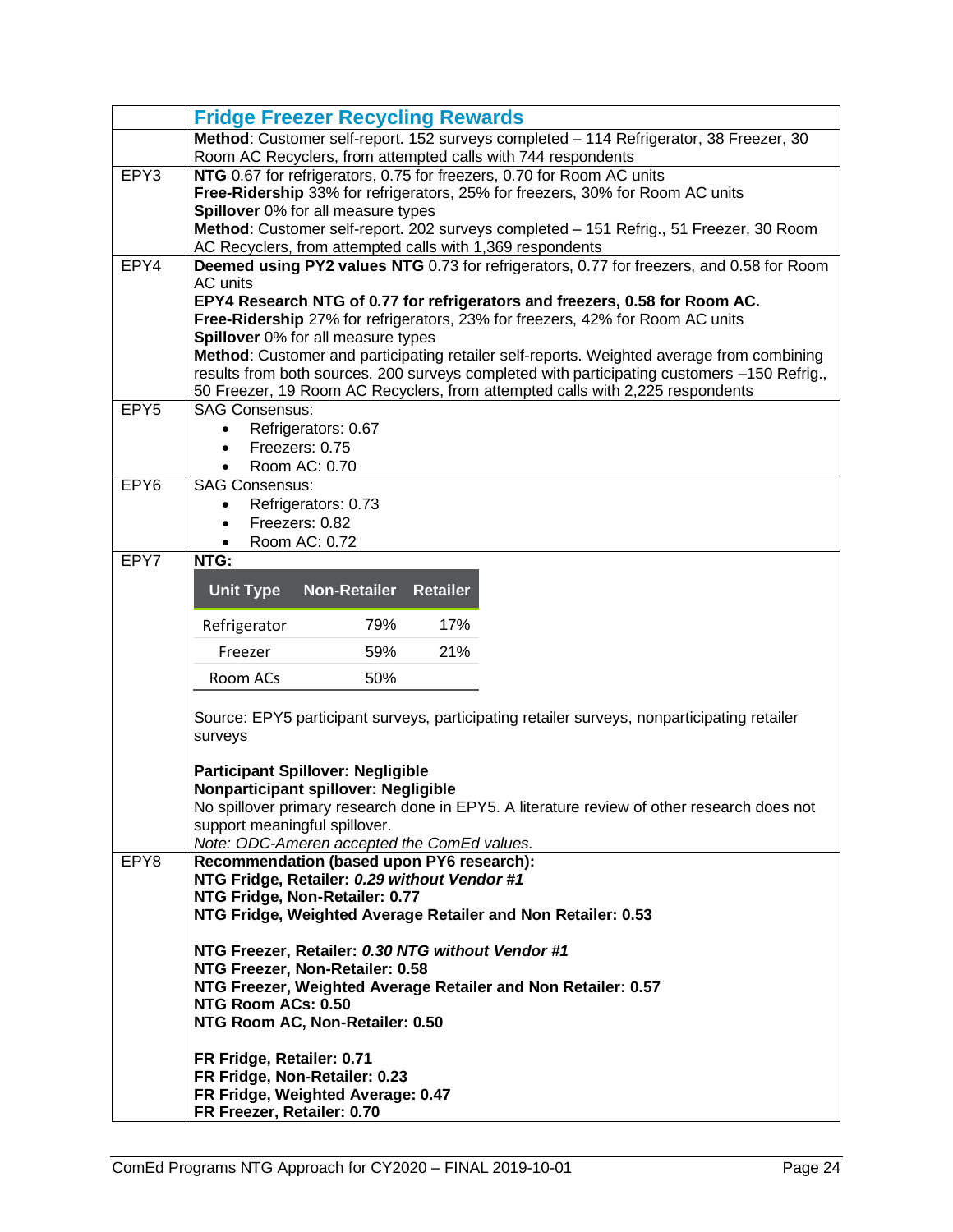|                  | <b>Fridge Freezer Recycling Rewards</b>                                                                                                                                                  |  |  |  |  |  |  |  |  |  |
|------------------|------------------------------------------------------------------------------------------------------------------------------------------------------------------------------------------|--|--|--|--|--|--|--|--|--|
|                  | Method: Customer self-report. 152 surveys completed - 114 Refrigerator, 38 Freezer, 30                                                                                                   |  |  |  |  |  |  |  |  |  |
|                  | Room AC Recyclers, from attempted calls with 744 respondents                                                                                                                             |  |  |  |  |  |  |  |  |  |
| EPY3             | NTG 0.67 for refrigerators, 0.75 for freezers, 0.70 for Room AC units<br>Free-Ridership 33% for refrigerators, 25% for freezers, 30% for Room AC units                                   |  |  |  |  |  |  |  |  |  |
|                  | Spillover 0% for all measure types                                                                                                                                                       |  |  |  |  |  |  |  |  |  |
|                  | Method: Customer self-report. 202 surveys completed - 151 Refrig., 51 Freezer, 30 Room                                                                                                   |  |  |  |  |  |  |  |  |  |
|                  | AC Recyclers, from attempted calls with 1,369 respondents                                                                                                                                |  |  |  |  |  |  |  |  |  |
| EPY4             | Deemed using PY2 values NTG 0.73 for refrigerators, 0.77 for freezers, and 0.58 for Room                                                                                                 |  |  |  |  |  |  |  |  |  |
|                  | AC units                                                                                                                                                                                 |  |  |  |  |  |  |  |  |  |
|                  | EPY4 Research NTG of 0.77 for refrigerators and freezers, 0.58 for Room AC.                                                                                                              |  |  |  |  |  |  |  |  |  |
|                  | Free-Ridership 27% for refrigerators, 23% for freezers, 42% for Room AC units                                                                                                            |  |  |  |  |  |  |  |  |  |
|                  | Spillover 0% for all measure types                                                                                                                                                       |  |  |  |  |  |  |  |  |  |
|                  | Method: Customer and participating retailer self-reports. Weighted average from combining<br>results from both sources. 200 surveys completed with participating customers -150 Refrig., |  |  |  |  |  |  |  |  |  |
|                  | 50 Freezer, 19 Room AC Recyclers, from attempted calls with 2,225 respondents                                                                                                            |  |  |  |  |  |  |  |  |  |
| EPY <sub>5</sub> | <b>SAG Consensus:</b>                                                                                                                                                                    |  |  |  |  |  |  |  |  |  |
|                  | Refrigerators: 0.67                                                                                                                                                                      |  |  |  |  |  |  |  |  |  |
|                  | Freezers: 0.75                                                                                                                                                                           |  |  |  |  |  |  |  |  |  |
|                  | Room AC: 0.70                                                                                                                                                                            |  |  |  |  |  |  |  |  |  |
| EPY <sub>6</sub> | <b>SAG Consensus:</b>                                                                                                                                                                    |  |  |  |  |  |  |  |  |  |
|                  | Refrigerators: 0.73                                                                                                                                                                      |  |  |  |  |  |  |  |  |  |
|                  | Freezers: 0.82                                                                                                                                                                           |  |  |  |  |  |  |  |  |  |
|                  | Room AC: 0.72                                                                                                                                                                            |  |  |  |  |  |  |  |  |  |
| EPY7             | NTG:                                                                                                                                                                                     |  |  |  |  |  |  |  |  |  |
|                  | <b>Non-Retailer</b><br><b>Unit Type</b><br><b>Retailer</b>                                                                                                                               |  |  |  |  |  |  |  |  |  |
|                  |                                                                                                                                                                                          |  |  |  |  |  |  |  |  |  |
|                  | 79%<br>17%<br>Refrigerator                                                                                                                                                               |  |  |  |  |  |  |  |  |  |
|                  | 59%<br>21%<br>Freezer                                                                                                                                                                    |  |  |  |  |  |  |  |  |  |
|                  | Room ACs<br>50%                                                                                                                                                                          |  |  |  |  |  |  |  |  |  |
|                  |                                                                                                                                                                                          |  |  |  |  |  |  |  |  |  |
|                  | Source: EPY5 participant surveys, participating retailer surveys, nonparticipating retailer<br>surveys                                                                                   |  |  |  |  |  |  |  |  |  |
|                  |                                                                                                                                                                                          |  |  |  |  |  |  |  |  |  |
|                  | <b>Participant Spillover: Negligible</b>                                                                                                                                                 |  |  |  |  |  |  |  |  |  |
|                  | Nonparticipant spillover: Negligible                                                                                                                                                     |  |  |  |  |  |  |  |  |  |
|                  | No spillover primary research done in EPY5. A literature review of other research does not<br>support meaningful spillover.                                                              |  |  |  |  |  |  |  |  |  |
|                  | Note: ODC-Ameren accepted the ComEd values.                                                                                                                                              |  |  |  |  |  |  |  |  |  |
| EPY8             | Recommendation (based upon PY6 research):                                                                                                                                                |  |  |  |  |  |  |  |  |  |
|                  | NTG Fridge, Retailer: 0.29 without Vendor #1                                                                                                                                             |  |  |  |  |  |  |  |  |  |
|                  | NTG Fridge, Non-Retailer: 0.77                                                                                                                                                           |  |  |  |  |  |  |  |  |  |
|                  | NTG Fridge, Weighted Average Retailer and Non Retailer: 0.53                                                                                                                             |  |  |  |  |  |  |  |  |  |
|                  |                                                                                                                                                                                          |  |  |  |  |  |  |  |  |  |
|                  | NTG Freezer, Retailer: 0.30 NTG without Vendor #1<br>NTG Freezer, Non-Retailer: 0.58                                                                                                     |  |  |  |  |  |  |  |  |  |
|                  | NTG Freezer, Weighted Average Retailer and Non Retailer: 0.57                                                                                                                            |  |  |  |  |  |  |  |  |  |
|                  | NTG Room ACs: 0.50                                                                                                                                                                       |  |  |  |  |  |  |  |  |  |
|                  | NTG Room AC, Non-Retailer: 0.50                                                                                                                                                          |  |  |  |  |  |  |  |  |  |
|                  |                                                                                                                                                                                          |  |  |  |  |  |  |  |  |  |
|                  | FR Fridge, Retailer: 0.71<br>FR Fridge, Non-Retailer: 0.23                                                                                                                               |  |  |  |  |  |  |  |  |  |
|                  | FR Fridge, Weighted Average: 0.47                                                                                                                                                        |  |  |  |  |  |  |  |  |  |
|                  | FR Freezer, Retailer: 0.70                                                                                                                                                               |  |  |  |  |  |  |  |  |  |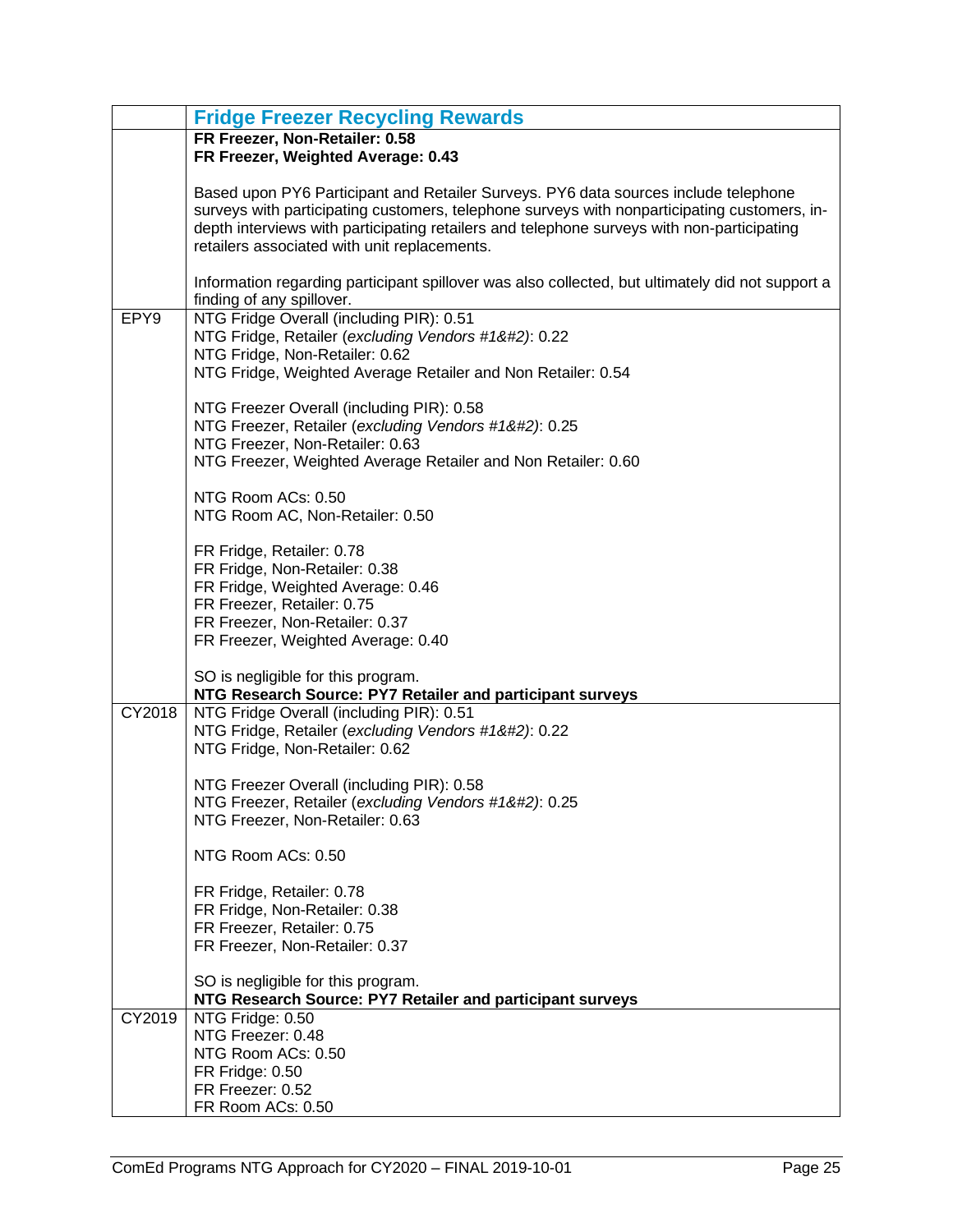|        | <b>Fridge Freezer Recycling Rewards</b>                                                                                                                                                                                                                                                                                           |
|--------|-----------------------------------------------------------------------------------------------------------------------------------------------------------------------------------------------------------------------------------------------------------------------------------------------------------------------------------|
|        | FR Freezer, Non-Retailer: 0.58                                                                                                                                                                                                                                                                                                    |
|        | FR Freezer, Weighted Average: 0.43                                                                                                                                                                                                                                                                                                |
|        | Based upon PY6 Participant and Retailer Surveys. PY6 data sources include telephone<br>surveys with participating customers, telephone surveys with nonparticipating customers, in-<br>depth interviews with participating retailers and telephone surveys with non-participating<br>retailers associated with unit replacements. |
|        | Information regarding participant spillover was also collected, but ultimately did not support a<br>finding of any spillover.                                                                                                                                                                                                     |
| EPY9   | NTG Fridge Overall (including PIR): 0.51                                                                                                                                                                                                                                                                                          |
|        | NTG Fridge, Retailer (excluding Vendors #1): 0.22                                                                                                                                                                                                                                                                                |
|        | NTG Fridge, Non-Retailer: 0.62<br>NTG Fridge, Weighted Average Retailer and Non Retailer: 0.54                                                                                                                                                                                                                                    |
|        |                                                                                                                                                                                                                                                                                                                                   |
|        | NTG Freezer Overall (including PIR): 0.58                                                                                                                                                                                                                                                                                         |
|        | NTG Freezer, Retailer (excluding Vendors #1): 0.25                                                                                                                                                                                                                                                                               |
|        | NTG Freezer, Non-Retailer: 0.63<br>NTG Freezer, Weighted Average Retailer and Non Retailer: 0.60                                                                                                                                                                                                                                  |
|        |                                                                                                                                                                                                                                                                                                                                   |
|        | NTG Room ACs: 0.50                                                                                                                                                                                                                                                                                                                |
|        | NTG Room AC, Non-Retailer: 0.50                                                                                                                                                                                                                                                                                                   |
|        | FR Fridge, Retailer: 0.78                                                                                                                                                                                                                                                                                                         |
|        | FR Fridge, Non-Retailer: 0.38<br>FR Fridge, Weighted Average: 0.46                                                                                                                                                                                                                                                                |
|        | FR Freezer, Retailer: 0.75                                                                                                                                                                                                                                                                                                        |
|        | FR Freezer, Non-Retailer: 0.37                                                                                                                                                                                                                                                                                                    |
|        | FR Freezer, Weighted Average: 0.40                                                                                                                                                                                                                                                                                                |
|        | SO is negligible for this program.<br>NTG Research Source: PY7 Retailer and participant surveys                                                                                                                                                                                                                                   |
| CY2018 | NTG Fridge Overall (including PIR): 0.51                                                                                                                                                                                                                                                                                          |
|        | NTG Fridge, Retailer (excluding Vendors #1): 0.22                                                                                                                                                                                                                                                                                |
|        | NTG Fridge, Non-Retailer: 0.62                                                                                                                                                                                                                                                                                                    |
|        | NTG Freezer Overall (including PIR): 0.58                                                                                                                                                                                                                                                                                         |
|        | NTG Freezer, Retailer (excluding Vendors #1): 0.25                                                                                                                                                                                                                                                                               |
|        | NTG Freezer, Non-Retailer: 0.63                                                                                                                                                                                                                                                                                                   |
|        | NTG Room ACs: 0.50                                                                                                                                                                                                                                                                                                                |
|        | FR Fridge, Retailer: 0.78                                                                                                                                                                                                                                                                                                         |
|        | FR Fridge, Non-Retailer: 0.38                                                                                                                                                                                                                                                                                                     |
|        | FR Freezer, Retailer: 0.75                                                                                                                                                                                                                                                                                                        |
|        | FR Freezer, Non-Retailer: 0.37                                                                                                                                                                                                                                                                                                    |
|        | SO is negligible for this program.                                                                                                                                                                                                                                                                                                |
|        | NTG Research Source: PY7 Retailer and participant surveys                                                                                                                                                                                                                                                                         |
| CY2019 | NTG Fridge: 0.50                                                                                                                                                                                                                                                                                                                  |
|        | NTG Freezer: 0.48                                                                                                                                                                                                                                                                                                                 |
|        | NTG Room ACs: 0.50<br>FR Fridge: 0.50                                                                                                                                                                                                                                                                                             |
|        | FR Freezer: 0.52                                                                                                                                                                                                                                                                                                                  |
|        | FR Room ACs: 0.50                                                                                                                                                                                                                                                                                                                 |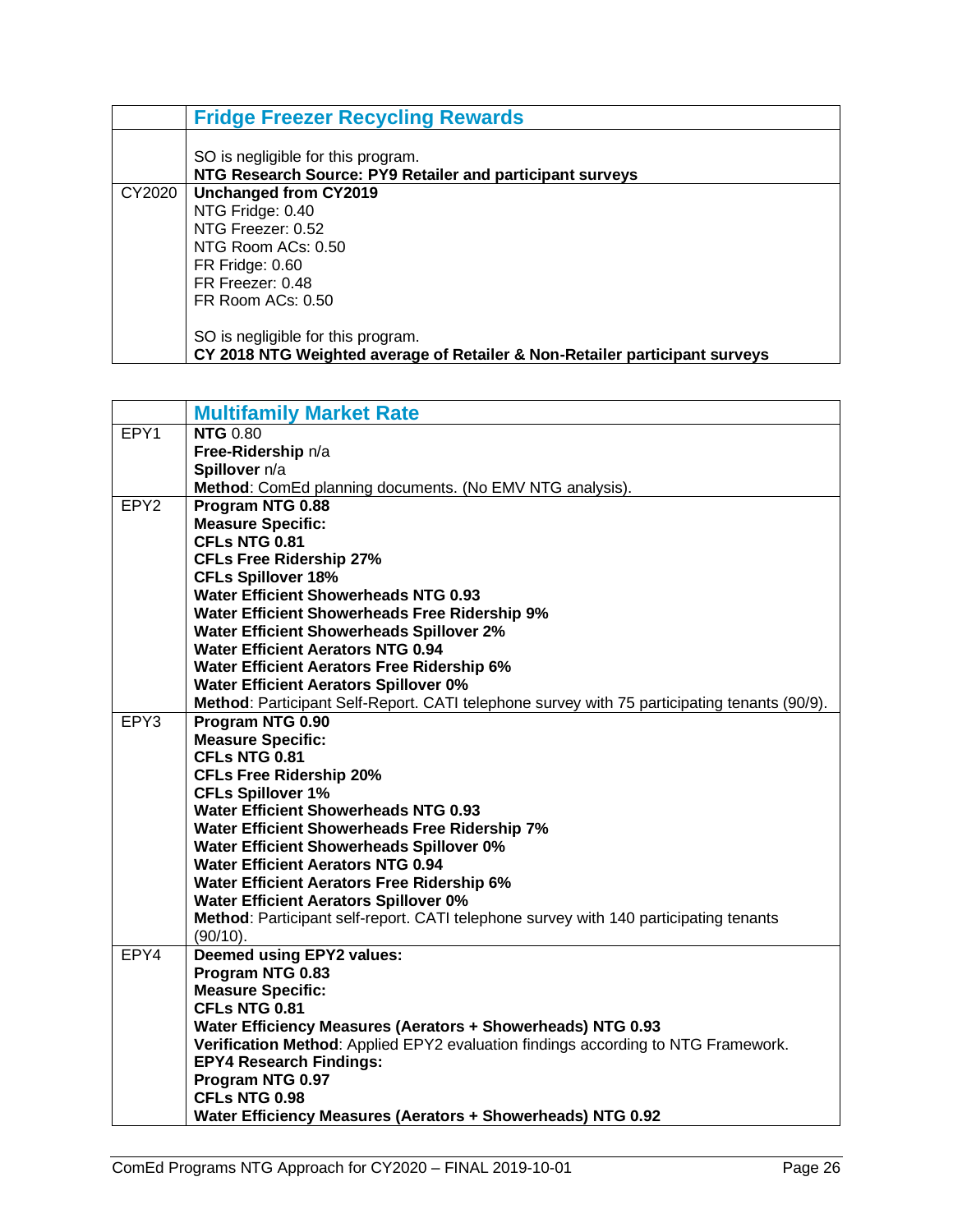|        | <b>Fridge Freezer Recycling Rewards</b>                                                                           |
|--------|-------------------------------------------------------------------------------------------------------------------|
|        | SO is negligible for this program.<br>NTG Research Source: PY9 Retailer and participant surveys                   |
| CY2020 | Unchanged from CY2019                                                                                             |
|        | NTG Fridge: 0.40                                                                                                  |
|        | NTG Freezer: 0.52                                                                                                 |
|        | NTG Room ACs: 0.50                                                                                                |
|        | FR Fridge: 0.60                                                                                                   |
|        | FR Freezer: 0.48                                                                                                  |
|        | FR Room ACs: 0.50                                                                                                 |
|        | SO is negligible for this program.<br>CY 2018 NTG Weighted average of Retailer & Non-Retailer participant surveys |

<span id="page-27-0"></span>

|                  | <b>Multifamily Market Rate</b>                                                               |
|------------------|----------------------------------------------------------------------------------------------|
| EPY1             | <b>NTG 0.80</b>                                                                              |
|                  | Free-Ridership n/a                                                                           |
|                  | Spillover n/a                                                                                |
|                  | Method: ComEd planning documents. (No EMV NTG analysis).                                     |
| EPY <sub>2</sub> | Program NTG 0.88                                                                             |
|                  | <b>Measure Specific:</b>                                                                     |
|                  | CFLs NTG 0.81                                                                                |
|                  | <b>CFLs Free Ridership 27%</b>                                                               |
|                  | <b>CFLs Spillover 18%</b>                                                                    |
|                  | <b>Water Efficient Showerheads NTG 0.93</b>                                                  |
|                  | Water Efficient Showerheads Free Ridership 9%                                                |
|                  | <b>Water Efficient Showerheads Spillover 2%</b>                                              |
|                  | <b>Water Efficient Aerators NTG 0.94</b>                                                     |
|                  | <b>Water Efficient Aerators Free Ridership 6%</b>                                            |
|                  | <b>Water Efficient Aerators Spillover 0%</b>                                                 |
|                  | Method: Participant Self-Report. CATI telephone survey with 75 participating tenants (90/9). |
| EPY3             | Program NTG 0.90                                                                             |
|                  | <b>Measure Specific:</b>                                                                     |
|                  | CFLs NTG 0.81                                                                                |
|                  | <b>CFLs Free Ridership 20%</b>                                                               |
|                  | <b>CFLs Spillover 1%</b>                                                                     |
|                  | <b>Water Efficient Showerheads NTG 0.93</b>                                                  |
|                  | Water Efficient Showerheads Free Ridership 7%                                                |
|                  | Water Efficient Showerheads Spillover 0%                                                     |
|                  | <b>Water Efficient Aerators NTG 0.94</b>                                                     |
|                  | <b>Water Efficient Aerators Free Ridership 6%</b>                                            |
|                  | <b>Water Efficient Aerators Spillover 0%</b>                                                 |
|                  | Method: Participant self-report. CATI telephone survey with 140 participating tenants        |
|                  | $(90/10)$ .                                                                                  |
| EPY4             | Deemed using EPY2 values:                                                                    |
|                  | Program NTG 0.83                                                                             |
|                  | <b>Measure Specific:</b>                                                                     |
|                  | CFLs NTG 0.81                                                                                |
|                  | Water Efficiency Measures (Aerators + Showerheads) NTG 0.93                                  |
|                  | Verification Method: Applied EPY2 evaluation findings according to NTG Framework.            |
|                  | <b>EPY4 Research Findings:</b>                                                               |
|                  | Program NTG 0.97                                                                             |
|                  | CFLs NTG 0.98                                                                                |
|                  | Water Efficiency Measures (Aerators + Showerheads) NTG 0.92                                  |
|                  |                                                                                              |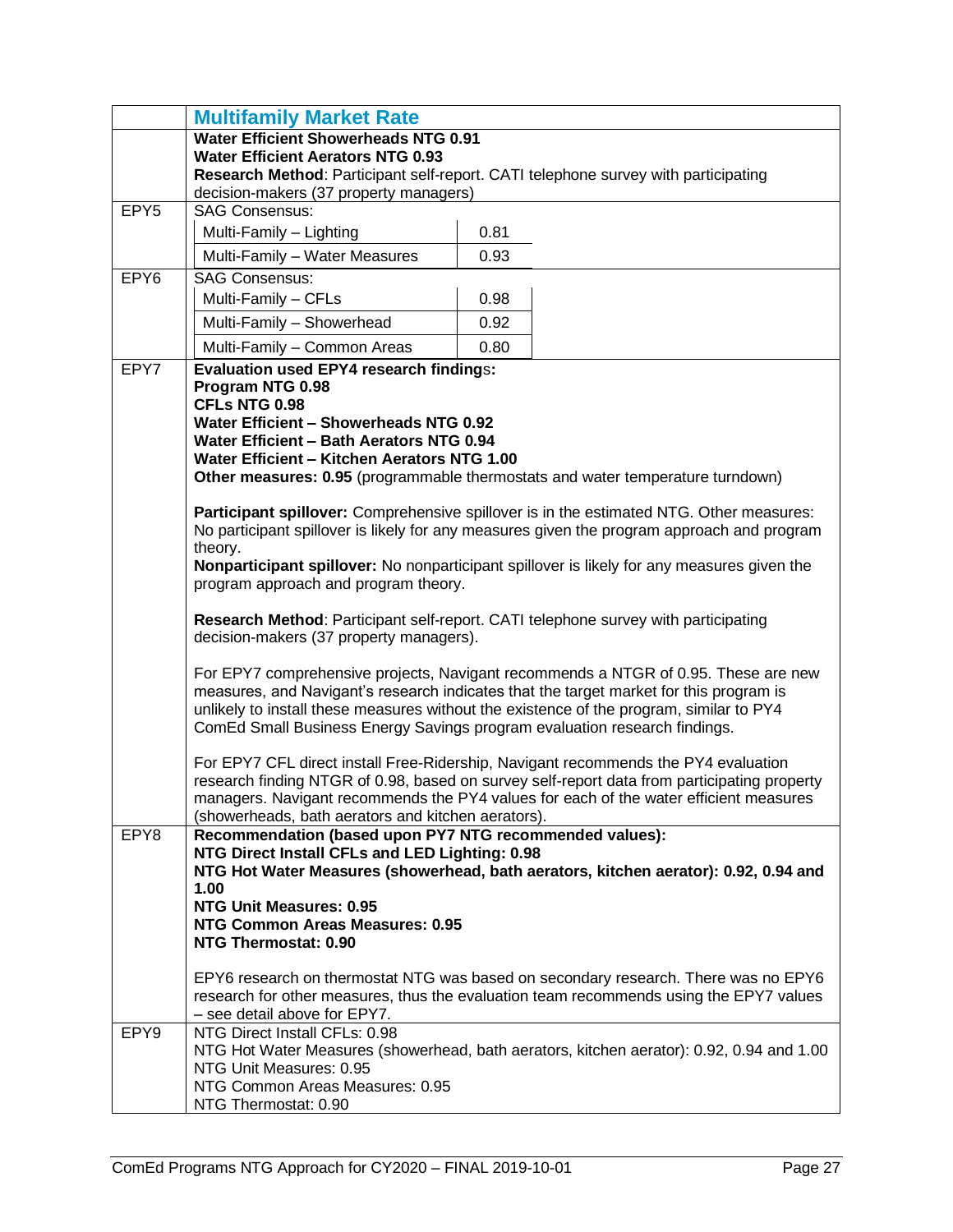|                  | <b>Multifamily Market Rate</b>                                                                                               |      |                                                                                             |  |  |  |  |  |  |
|------------------|------------------------------------------------------------------------------------------------------------------------------|------|---------------------------------------------------------------------------------------------|--|--|--|--|--|--|
|                  | <b>Water Efficient Showerheads NTG 0.91</b>                                                                                  |      |                                                                                             |  |  |  |  |  |  |
|                  | <b>Water Efficient Aerators NTG 0.93</b>                                                                                     |      |                                                                                             |  |  |  |  |  |  |
|                  | Research Method: Participant self-report. CATI telephone survey with participating<br>decision-makers (37 property managers) |      |                                                                                             |  |  |  |  |  |  |
| EPY <sub>5</sub> | <b>SAG Consensus:</b>                                                                                                        |      |                                                                                             |  |  |  |  |  |  |
|                  | Multi-Family - Lighting                                                                                                      | 0.81 |                                                                                             |  |  |  |  |  |  |
|                  | Multi-Family - Water Measures                                                                                                | 0.93 |                                                                                             |  |  |  |  |  |  |
| EPY <sub>6</sub> | <b>SAG Consensus:</b>                                                                                                        |      |                                                                                             |  |  |  |  |  |  |
|                  | Multi-Family - CFLs                                                                                                          | 0.98 |                                                                                             |  |  |  |  |  |  |
|                  | Multi-Family - Showerhead                                                                                                    | 0.92 |                                                                                             |  |  |  |  |  |  |
|                  | Multi-Family - Common Areas                                                                                                  | 0.80 |                                                                                             |  |  |  |  |  |  |
| EPY7             | <b>Evaluation used EPY4 research findings:</b>                                                                               |      |                                                                                             |  |  |  |  |  |  |
|                  | Program NTG 0.98                                                                                                             |      |                                                                                             |  |  |  |  |  |  |
|                  | <b>CFLs NTG 0.98</b>                                                                                                         |      |                                                                                             |  |  |  |  |  |  |
|                  | Water Efficient - Showerheads NTG 0.92                                                                                       |      |                                                                                             |  |  |  |  |  |  |
|                  | Water Efficient - Bath Aerators NTG 0.94<br>Water Efficient - Kitchen Aerators NTG 1.00                                      |      |                                                                                             |  |  |  |  |  |  |
|                  | Other measures: 0.95 (programmable thermostats and water temperature turndown)                                               |      |                                                                                             |  |  |  |  |  |  |
|                  |                                                                                                                              |      |                                                                                             |  |  |  |  |  |  |
|                  |                                                                                                                              |      | Participant spillover: Comprehensive spillover is in the estimated NTG. Other measures:     |  |  |  |  |  |  |
|                  |                                                                                                                              |      | No participant spillover is likely for any measures given the program approach and program  |  |  |  |  |  |  |
|                  | theory.                                                                                                                      |      | Nonparticipant spillover: No nonparticipant spillover is likely for any measures given the  |  |  |  |  |  |  |
|                  | program approach and program theory.                                                                                         |      |                                                                                             |  |  |  |  |  |  |
|                  |                                                                                                                              |      |                                                                                             |  |  |  |  |  |  |
|                  | Research Method: Participant self-report. CATI telephone survey with participating                                           |      |                                                                                             |  |  |  |  |  |  |
|                  | decision-makers (37 property managers).                                                                                      |      |                                                                                             |  |  |  |  |  |  |
|                  |                                                                                                                              |      | For EPY7 comprehensive projects, Navigant recommends a NTGR of 0.95. These are new          |  |  |  |  |  |  |
|                  | measures, and Navigant's research indicates that the target market for this program is                                       |      |                                                                                             |  |  |  |  |  |  |
|                  | unlikely to install these measures without the existence of the program, similar to PY4                                      |      |                                                                                             |  |  |  |  |  |  |
|                  | ComEd Small Business Energy Savings program evaluation research findings.                                                    |      |                                                                                             |  |  |  |  |  |  |
|                  | For EPY7 CFL direct install Free-Ridership, Navigant recommends the PY4 evaluation                                           |      |                                                                                             |  |  |  |  |  |  |
|                  |                                                                                                                              |      | research finding NTGR of 0.98, based on survey self-report data from participating property |  |  |  |  |  |  |
|                  |                                                                                                                              |      | managers. Navigant recommends the PY4 values for each of the water efficient measures       |  |  |  |  |  |  |
|                  | (showerheads, bath aerators and kitchen aerators).                                                                           |      |                                                                                             |  |  |  |  |  |  |
| EPY8             | Recommendation (based upon PY7 NTG recommended values):<br>NTG Direct Install CFLs and LED Lighting: 0.98                    |      |                                                                                             |  |  |  |  |  |  |
|                  |                                                                                                                              |      | NTG Hot Water Measures (showerhead, bath aerators, kitchen aerator): 0.92, 0.94 and         |  |  |  |  |  |  |
|                  | 1.00                                                                                                                         |      |                                                                                             |  |  |  |  |  |  |
|                  | <b>NTG Unit Measures: 0.95</b>                                                                                               |      |                                                                                             |  |  |  |  |  |  |
|                  | <b>NTG Common Areas Measures: 0.95</b>                                                                                       |      |                                                                                             |  |  |  |  |  |  |
|                  | NTG Thermostat: 0.90                                                                                                         |      |                                                                                             |  |  |  |  |  |  |
|                  |                                                                                                                              |      | EPY6 research on thermostat NTG was based on secondary research. There was no EPY6          |  |  |  |  |  |  |
|                  |                                                                                                                              |      | research for other measures, thus the evaluation team recommends using the EPY7 values      |  |  |  |  |  |  |
|                  | - see detail above for EPY7.                                                                                                 |      |                                                                                             |  |  |  |  |  |  |
| EPY9             | NTG Direct Install CFLs: 0.98                                                                                                |      |                                                                                             |  |  |  |  |  |  |
|                  | NTG Unit Measures: 0.95                                                                                                      |      | NTG Hot Water Measures (showerhead, bath aerators, kitchen aerator): 0.92, 0.94 and 1.00    |  |  |  |  |  |  |
|                  | NTG Common Areas Measures: 0.95                                                                                              |      |                                                                                             |  |  |  |  |  |  |
|                  | NTG Thermostat: 0.90                                                                                                         |      |                                                                                             |  |  |  |  |  |  |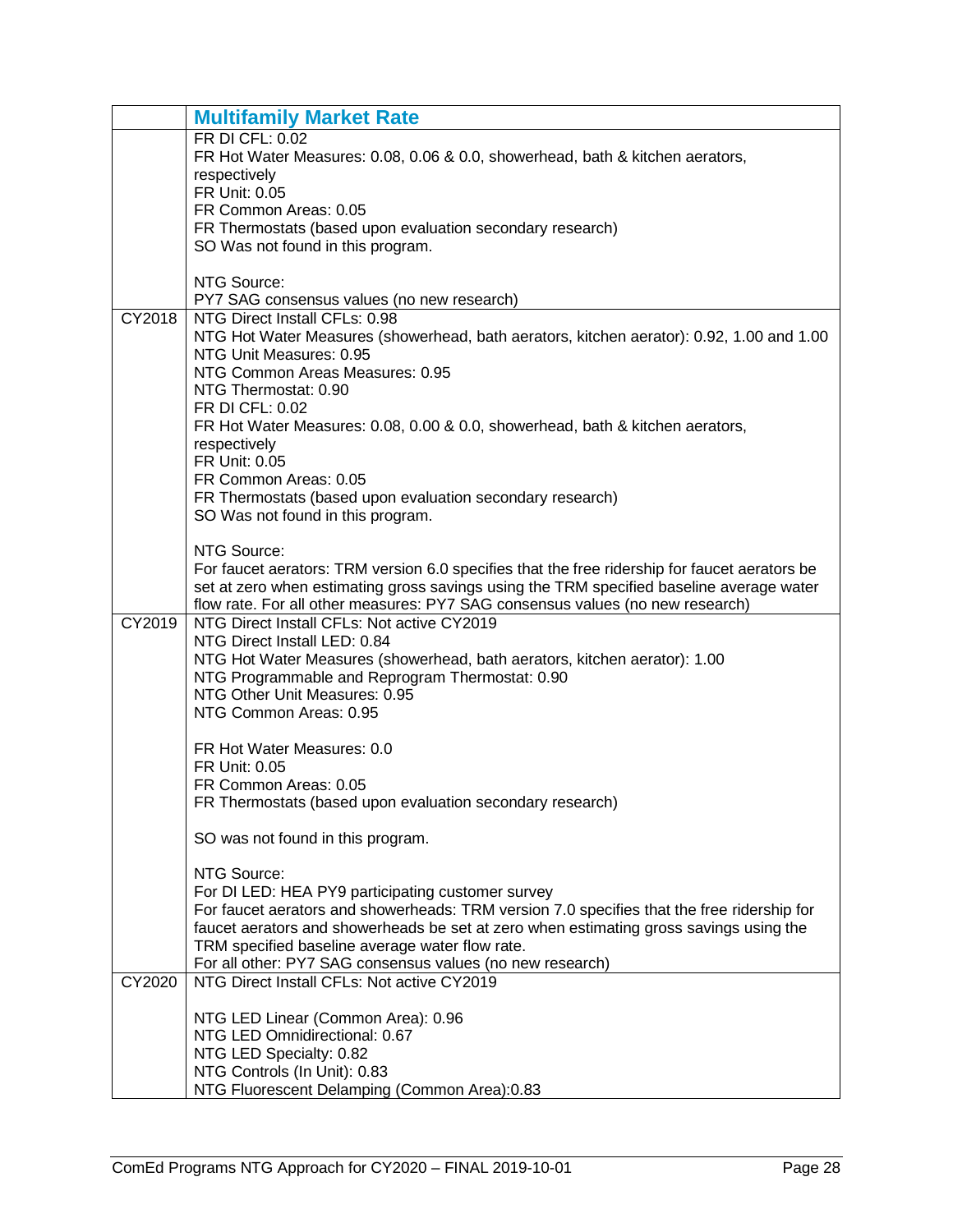|        | <b>Multifamily Market Rate</b>                                                                |
|--------|-----------------------------------------------------------------------------------------------|
|        | FR DI CFL: 0.02                                                                               |
|        | FR Hot Water Measures: 0.08, 0.06 & 0.0, showerhead, bath & kitchen aerators,                 |
|        | respectively                                                                                  |
|        | FR Unit: 0.05<br>FR Common Areas: 0.05                                                        |
|        | FR Thermostats (based upon evaluation secondary research)                                     |
|        | SO Was not found in this program.                                                             |
|        |                                                                                               |
|        | NTG Source:                                                                                   |
|        | PY7 SAG consensus values (no new research)                                                    |
| CY2018 | NTG Direct Install CFLs: 0.98                                                                 |
|        | NTG Hot Water Measures (showerhead, bath aerators, kitchen aerator): 0.92, 1.00 and 1.00      |
|        | NTG Unit Measures: 0.95<br>NTG Common Areas Measures: 0.95                                    |
|        | NTG Thermostat: 0.90                                                                          |
|        | FR DI CFL: 0.02                                                                               |
|        | FR Hot Water Measures: 0.08, 0.00 & 0.0, showerhead, bath & kitchen aerators,                 |
|        | respectively                                                                                  |
|        | FR Unit: 0.05                                                                                 |
|        | FR Common Areas: 0.05                                                                         |
|        | FR Thermostats (based upon evaluation secondary research)                                     |
|        | SO Was not found in this program.                                                             |
|        | NTG Source:                                                                                   |
|        | For faucet aerators: TRM version 6.0 specifies that the free ridership for faucet aerators be |
|        | set at zero when estimating gross savings using the TRM specified baseline average water      |
|        | flow rate. For all other measures: PY7 SAG consensus values (no new research)                 |
| CY2019 | NTG Direct Install CFLs: Not active CY2019                                                    |
|        | NTG Direct Install LED: 0.84                                                                  |
|        | NTG Hot Water Measures (showerhead, bath aerators, kitchen aerator): 1.00                     |
|        | NTG Programmable and Reprogram Thermostat: 0.90<br>NTG Other Unit Measures: 0.95              |
|        | NTG Common Areas: 0.95                                                                        |
|        |                                                                                               |
|        | FR Hot Water Measures: 0.0                                                                    |
|        | <b>FR Unit: 0.05</b>                                                                          |
|        | FR Common Areas: 0.05                                                                         |
|        | FR Thermostats (based upon evaluation secondary research)                                     |
|        |                                                                                               |
|        | SO was not found in this program.                                                             |
|        | NTG Source:                                                                                   |
|        | For DI LED: HEA PY9 participating customer survey                                             |
|        | For faucet aerators and showerheads: TRM version 7.0 specifies that the free ridership for    |
|        | faucet aerators and showerheads be set at zero when estimating gross savings using the        |
|        | TRM specified baseline average water flow rate.                                               |
|        | For all other: PY7 SAG consensus values (no new research)                                     |
| CY2020 | NTG Direct Install CFLs: Not active CY2019                                                    |
|        | NTG LED Linear (Common Area): 0.96                                                            |
|        | NTG LED Omnidirectional: 0.67                                                                 |
|        | NTG LED Specialty: 0.82                                                                       |
|        | NTG Controls (In Unit): 0.83                                                                  |
|        | NTG Fluorescent Delamping (Common Area):0.83                                                  |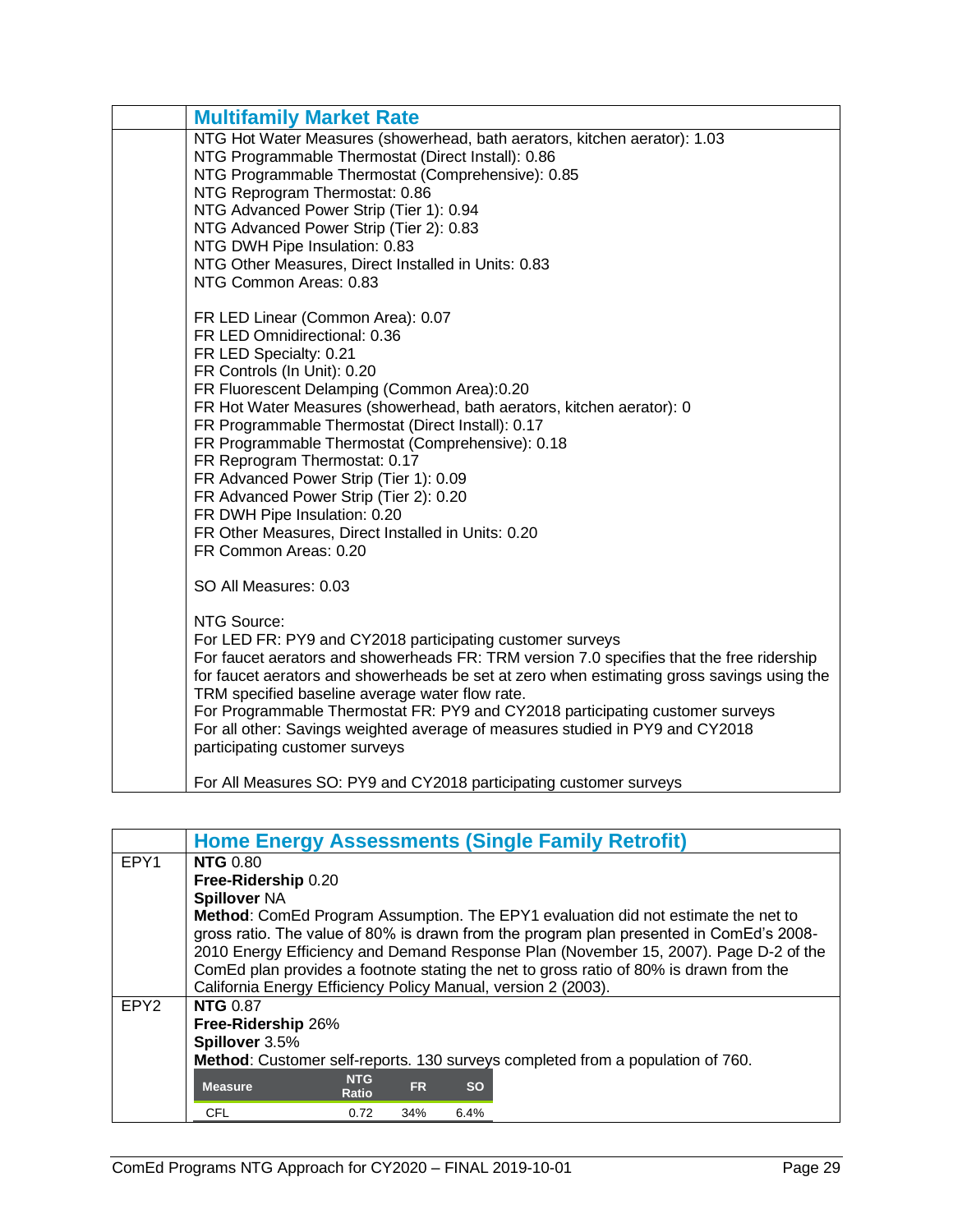| <b>Multifamily Market Rate</b>                                                                                                                                                                                                                                                                                                                                                                                                                                                                                                                                                                  |
|-------------------------------------------------------------------------------------------------------------------------------------------------------------------------------------------------------------------------------------------------------------------------------------------------------------------------------------------------------------------------------------------------------------------------------------------------------------------------------------------------------------------------------------------------------------------------------------------------|
| NTG Hot Water Measures (showerhead, bath aerators, kitchen aerator): 1.03<br>NTG Programmable Thermostat (Direct Install): 0.86<br>NTG Programmable Thermostat (Comprehensive): 0.85<br>NTG Reprogram Thermostat: 0.86<br>NTG Advanced Power Strip (Tier 1): 0.94<br>NTG Advanced Power Strip (Tier 2): 0.83<br>NTG DWH Pipe Insulation: 0.83<br>NTG Other Measures, Direct Installed in Units: 0.83<br>NTG Common Areas: 0.83                                                                                                                                                                  |
| FR LED Linear (Common Area): 0.07<br>FR LED Omnidirectional: 0.36<br>FR LED Specialty: 0.21<br>FR Controls (In Unit): 0.20<br>FR Fluorescent Delamping (Common Area):0.20<br>FR Hot Water Measures (showerhead, bath aerators, kitchen aerator): 0<br>FR Programmable Thermostat (Direct Install): 0.17<br>FR Programmable Thermostat (Comprehensive): 0.18<br>FR Reprogram Thermostat: 0.17<br>FR Advanced Power Strip (Tier 1): 0.09<br>FR Advanced Power Strip (Tier 2): 0.20<br>FR DWH Pipe Insulation: 0.20<br>FR Other Measures, Direct Installed in Units: 0.20<br>FR Common Areas: 0.20 |
| SO All Measures: 0.03                                                                                                                                                                                                                                                                                                                                                                                                                                                                                                                                                                           |
| NTG Source:<br>For LED FR: PY9 and CY2018 participating customer surveys<br>For faucet aerators and showerheads FR: TRM version 7.0 specifies that the free ridership<br>for faucet aerators and showerheads be set at zero when estimating gross savings using the<br>TRM specified baseline average water flow rate.<br>For Programmable Thermostat FR: PY9 and CY2018 participating customer surveys<br>For all other: Savings weighted average of measures studied in PY9 and CY2018<br>participating customer surveys                                                                      |
| For All Measures SO: PY9 and CY2018 participating customer surveys                                                                                                                                                                                                                                                                                                                                                                                                                                                                                                                              |

<span id="page-30-0"></span>

|                  | <b>Home Energy Assessments (Single Family Retrofit)</b> |              |           |           |                                                                                         |  |  |  |  |  |
|------------------|---------------------------------------------------------|--------------|-----------|-----------|-----------------------------------------------------------------------------------------|--|--|--|--|--|
| EPY1             | <b>NTG 0.80</b>                                         |              |           |           |                                                                                         |  |  |  |  |  |
|                  | Free-Ridership 0.20                                     |              |           |           |                                                                                         |  |  |  |  |  |
|                  | <b>Spillover NA</b>                                     |              |           |           |                                                                                         |  |  |  |  |  |
|                  |                                                         |              |           |           | Method: ComEd Program Assumption. The EPY1 evaluation did not estimate the net to       |  |  |  |  |  |
|                  |                                                         |              |           |           | gross ratio. The value of 80% is drawn from the program plan presented in ComEd's 2008- |  |  |  |  |  |
|                  |                                                         |              |           |           | 2010 Energy Efficiency and Demand Response Plan (November 15, 2007). Page D-2 of the    |  |  |  |  |  |
|                  |                                                         |              |           |           | ComEd plan provides a footnote stating the net to gross ratio of 80% is drawn from the  |  |  |  |  |  |
|                  |                                                         |              |           |           | California Energy Efficiency Policy Manual, version 2 (2003).                           |  |  |  |  |  |
| EPY <sub>2</sub> | <b>NTG 0.87</b>                                         |              |           |           |                                                                                         |  |  |  |  |  |
|                  | Free-Ridership 26%                                      |              |           |           |                                                                                         |  |  |  |  |  |
|                  | Spillover 3.5%                                          |              |           |           |                                                                                         |  |  |  |  |  |
|                  |                                                         |              |           |           | Method: Customer self-reports. 130 surveys completed from a population of 760.          |  |  |  |  |  |
|                  | <b>Measure</b>                                          | <b>NTG</b>   | <b>FR</b> | <b>SO</b> |                                                                                         |  |  |  |  |  |
|                  |                                                         | <b>Ratio</b> |           |           |                                                                                         |  |  |  |  |  |
|                  | <b>CFL</b>                                              | 0.72         | 34%       | 6.4%      |                                                                                         |  |  |  |  |  |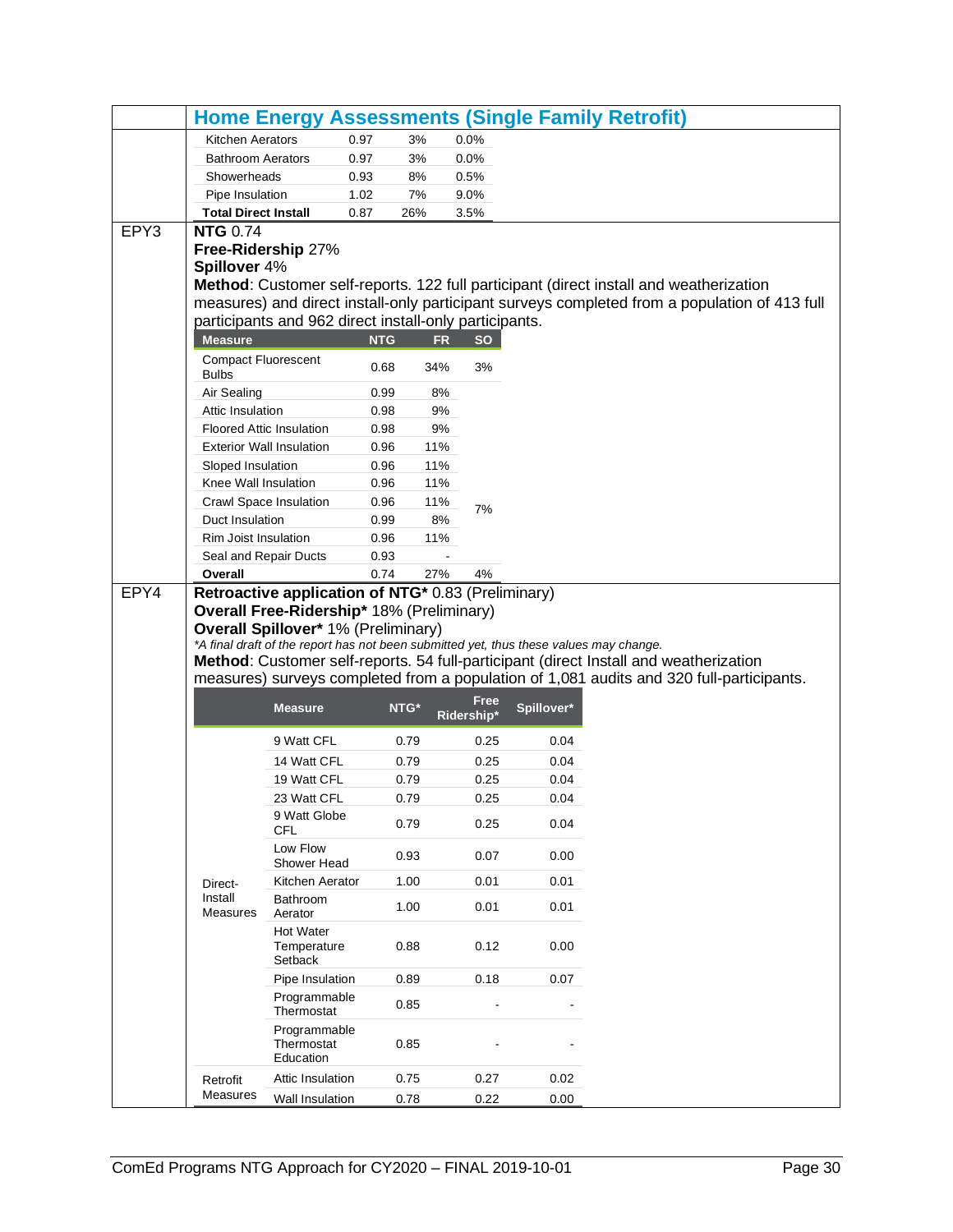|      |                                            |                                                                                                        |              |                           |              | <b>Home Energy Assessments (Single Family Retrofit)</b>                                       |
|------|--------------------------------------------|--------------------------------------------------------------------------------------------------------|--------------|---------------------------|--------------|-----------------------------------------------------------------------------------------------|
|      | Kitchen Aerators                           | 0.97                                                                                                   | 3%           | 0.0%                      |              |                                                                                               |
|      | <b>Bathroom Aerators</b>                   | 0.97                                                                                                   | 3%           | 0.0%                      |              |                                                                                               |
|      | Showerheads                                | 0.93                                                                                                   | 8%           | 0.5%                      |              |                                                                                               |
|      | Pipe Insulation                            | 1.02                                                                                                   | 7%           | 9.0%                      |              |                                                                                               |
|      | <b>Total Direct Install</b>                | 0.87                                                                                                   | 26%          | 3.5%                      |              |                                                                                               |
| EPY3 | <b>NTG 0.74</b>                            |                                                                                                        |              |                           |              |                                                                                               |
|      |                                            | Free-Ridership 27%                                                                                     |              |                           |              |                                                                                               |
|      | Spillover 4%                               |                                                                                                        |              |                           |              |                                                                                               |
|      |                                            |                                                                                                        |              |                           |              | Method: Customer self-reports. 122 full participant (direct install and weatherization        |
|      |                                            |                                                                                                        |              |                           |              | measures) and direct install-only participant surveys completed from a population of 413 full |
|      |                                            | participants and 962 direct install-only participants.                                                 |              |                           |              |                                                                                               |
|      | <b>Measure</b>                             |                                                                                                        | <b>NTG</b>   | <b>FR</b><br><b>SO</b>    |              |                                                                                               |
|      | <b>Compact Fluorescent</b><br><b>Bulbs</b> |                                                                                                        | 0.68         | 34%<br>3%                 |              |                                                                                               |
|      | Air Sealing                                |                                                                                                        | 0.99         | 8%                        |              |                                                                                               |
|      | Attic Insulation                           |                                                                                                        | 0.98         | 9%                        |              |                                                                                               |
|      |                                            | <b>Floored Attic Insulation</b>                                                                        | 0.98         | 9%                        |              |                                                                                               |
|      |                                            | <b>Exterior Wall Insulation</b>                                                                        | 0.96         | 11%                       |              |                                                                                               |
|      | Sloped Insulation                          |                                                                                                        | 0.96         | 11%                       |              |                                                                                               |
|      | Knee Wall Insulation                       |                                                                                                        | 0.96         | 11%                       |              |                                                                                               |
|      |                                            | Crawl Space Insulation                                                                                 | 0.96         | 11%<br>7%                 |              |                                                                                               |
|      | Duct Insulation                            |                                                                                                        | 0.99         | 8%                        |              |                                                                                               |
|      | Rim Joist Insulation                       |                                                                                                        | 0.96         | 11%                       |              |                                                                                               |
|      | Seal and Repair Ducts                      |                                                                                                        | 0.93         |                           |              |                                                                                               |
|      | Overall                                    |                                                                                                        | 0.74         | 27%<br>4%                 |              |                                                                                               |
| EPY4 |                                            | Retroactive application of NTG* 0.83 (Preliminary)<br><b>Overall Free-Ridership* 18% (Preliminary)</b> |              |                           |              |                                                                                               |
|      |                                            | Overall Spillover* 1% (Preliminary)                                                                    |              |                           |              |                                                                                               |
|      |                                            | *A final draft of the report has not been submitted yet, thus these values may change.                 |              |                           |              |                                                                                               |
|      |                                            |                                                                                                        |              |                           |              | Method: Customer self-reports. 54 full-participant (direct Install and weatherization         |
|      |                                            |                                                                                                        |              |                           |              | measures) surveys completed from a population of 1,081 audits and 320 full-participants.      |
|      |                                            | <b>Measure</b>                                                                                         | NTG*         | <b>Free</b><br>Ridership* | Spillover*   |                                                                                               |
|      |                                            | 9 Watt CFL                                                                                             | 0.79         | 0.25                      | 0.04         |                                                                                               |
|      |                                            |                                                                                                        |              |                           |              |                                                                                               |
|      |                                            | 14 Watt CFL<br>19 Watt CFL                                                                             | 0.79<br>0.79 | 0.25<br>0.25              | 0.04<br>0.04 |                                                                                               |
|      |                                            | 23 Watt CFL                                                                                            | 0.79         | 0.25                      | 0.04         |                                                                                               |
|      |                                            | 9 Watt Globe                                                                                           |              |                           |              |                                                                                               |
|      |                                            | <b>CFL</b>                                                                                             | 0.79         | 0.25                      | 0.04         |                                                                                               |
|      |                                            | Low Flow<br>Shower Head                                                                                | 0.93         | 0.07                      | 0.00         |                                                                                               |
|      | Direct-                                    | Kitchen Aerator                                                                                        | 1.00         | 0.01                      | 0.01         |                                                                                               |
|      | Install<br>Measures                        | Bathroom<br>Aerator                                                                                    | 1.00         | 0.01                      | 0.01         |                                                                                               |
|      |                                            | <b>Hot Water</b><br>Temperature<br>Setback                                                             | 0.88         | 0.12                      | 0.00         |                                                                                               |
|      |                                            | Pipe Insulation                                                                                        | 0.89         | 0.18                      | 0.07         |                                                                                               |
|      |                                            | Programmable<br>Thermostat                                                                             | 0.85         |                           |              |                                                                                               |
|      |                                            | Programmable<br>Thermostat<br>Education                                                                | 0.85         |                           |              |                                                                                               |
|      |                                            |                                                                                                        | 0.75         | 0.27                      | 0.02         |                                                                                               |
|      | Retrofit                                   | Attic Insulation                                                                                       |              |                           |              |                                                                                               |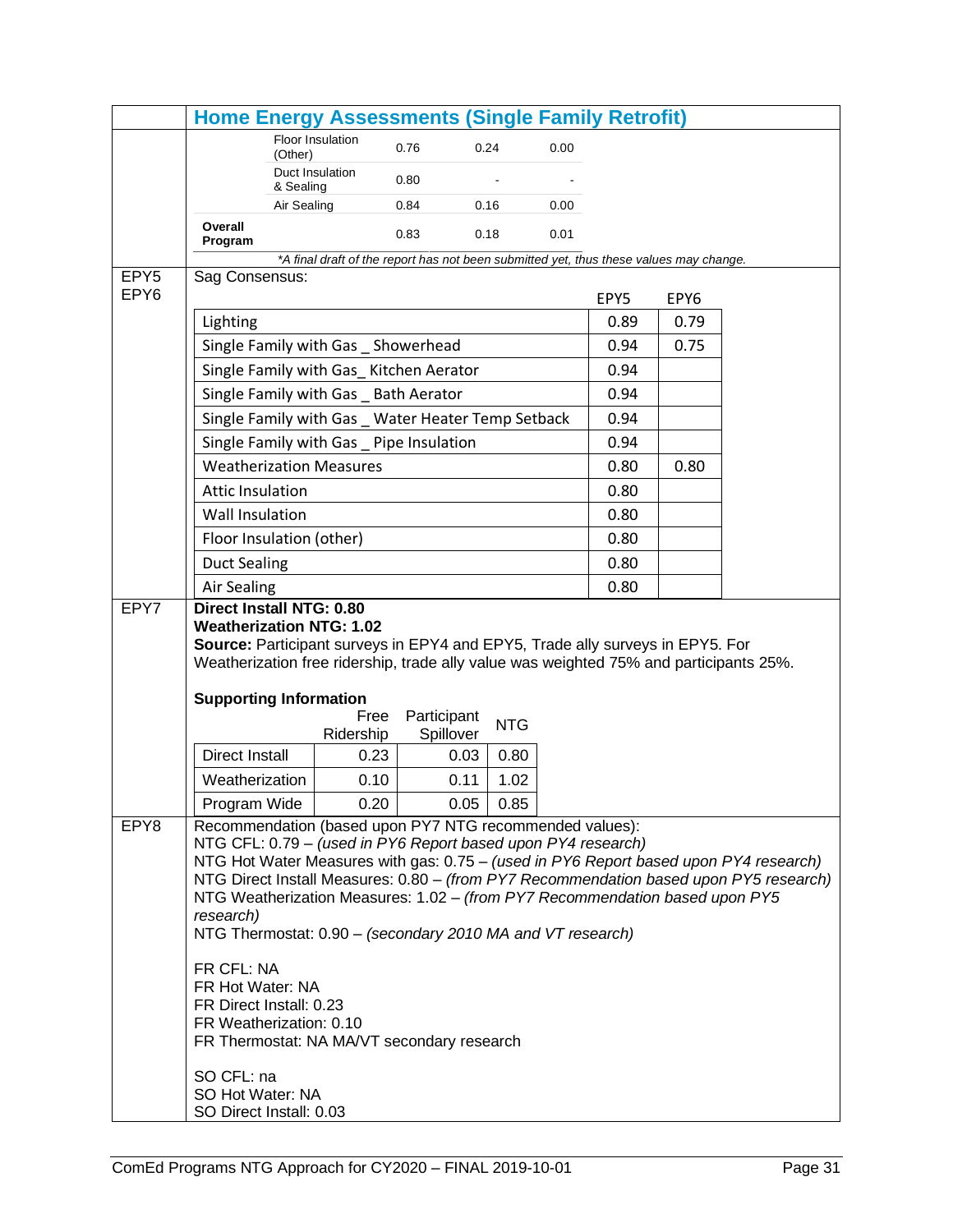|                                      | <b>Home Energy Assessments (Single Family Retrofit)</b>                                                                 |                                                                                        |             |           |            |      |      |      |                                                                                       |
|--------------------------------------|-------------------------------------------------------------------------------------------------------------------------|----------------------------------------------------------------------------------------|-------------|-----------|------------|------|------|------|---------------------------------------------------------------------------------------|
|                                      |                                                                                                                         | Floor Insulation                                                                       | 0.76        |           | 0.24       | 0.00 |      |      |                                                                                       |
|                                      |                                                                                                                         | (Other)<br>Duct Insulation                                                             |             |           |            |      |      |      |                                                                                       |
|                                      |                                                                                                                         | & Sealing                                                                              | 0.80        |           |            |      |      |      |                                                                                       |
|                                      |                                                                                                                         | Air Sealing                                                                            | 0.84        |           | 0.16       | 0.00 |      |      |                                                                                       |
|                                      | Overall<br>Program                                                                                                      |                                                                                        | 0.83        |           | 0.18       | 0.01 |      |      |                                                                                       |
|                                      |                                                                                                                         | *A final draft of the report has not been submitted yet, thus these values may change. |             |           |            |      |      |      |                                                                                       |
| EPY <sub>5</sub><br>EPY <sub>6</sub> | Sag Consensus:                                                                                                          |                                                                                        |             |           |            |      | EPY5 | EPY6 |                                                                                       |
|                                      | Lighting                                                                                                                |                                                                                        |             |           |            |      | 0.89 | 0.79 |                                                                                       |
|                                      |                                                                                                                         | Single Family with Gas _ Showerhead                                                    |             |           |            |      | 0.94 | 0.75 |                                                                                       |
|                                      |                                                                                                                         | Single Family with Gas_ Kitchen Aerator                                                |             |           |            |      | 0.94 |      |                                                                                       |
|                                      |                                                                                                                         | Single Family with Gas _ Bath Aerator                                                  |             |           |            |      | 0.94 |      |                                                                                       |
|                                      |                                                                                                                         | Single Family with Gas Water Heater Temp Setback                                       |             |           |            |      | 0.94 |      |                                                                                       |
|                                      |                                                                                                                         | Single Family with Gas _ Pipe Insulation                                               |             |           |            |      | 0.94 |      |                                                                                       |
|                                      |                                                                                                                         | <b>Weatherization Measures</b>                                                         |             |           |            |      | 0.80 | 0.80 |                                                                                       |
|                                      | <b>Attic Insulation</b>                                                                                                 |                                                                                        |             |           |            |      | 0.80 |      |                                                                                       |
|                                      | Wall Insulation                                                                                                         |                                                                                        |             |           |            |      | 0.80 |      |                                                                                       |
|                                      | Floor Insulation (other)                                                                                                |                                                                                        |             |           |            |      | 0.80 |      |                                                                                       |
|                                      | <b>Duct Sealing</b>                                                                                                     |                                                                                        |             |           |            |      | 0.80 |      |                                                                                       |
|                                      | <b>Air Sealing</b>                                                                                                      |                                                                                        |             |           |            |      | 0.80 |      |                                                                                       |
| EPY7                                 | <b>Direct Install NTG: 0.80</b>                                                                                         |                                                                                        |             |           |            |      |      |      |                                                                                       |
|                                      | <b>Weatherization NTG: 1.02</b><br>Source: Participant surveys in EPY4 and EPY5, Trade ally surveys in EPY5. For        |                                                                                        |             |           |            |      |      |      |                                                                                       |
|                                      | Weatherization free ridership, trade ally value was weighted 75% and participants 25%.                                  |                                                                                        |             |           |            |      |      |      |                                                                                       |
|                                      |                                                                                                                         |                                                                                        |             |           |            |      |      |      |                                                                                       |
|                                      | <b>Supporting Information</b>                                                                                           | Free                                                                                   | Participant |           |            |      |      |      |                                                                                       |
|                                      |                                                                                                                         | Ridership                                                                              |             | Spillover | <b>NTG</b> |      |      |      |                                                                                       |
|                                      | Direct Install                                                                                                          | 0.23                                                                                   |             | 0.03      | 0.80       |      |      |      |                                                                                       |
|                                      | Weatherization                                                                                                          | 0.10                                                                                   |             | 0.11      | 1.02       |      |      |      |                                                                                       |
|                                      | Program Wide                                                                                                            | 0.20                                                                                   |             | 0.05      | 0.85       |      |      |      |                                                                                       |
| EPY8                                 | Recommendation (based upon PY7 NTG recommended values):<br>NTG CFL: 0.79 - (used in PY6 Report based upon PY4 research) |                                                                                        |             |           |            |      |      |      |                                                                                       |
|                                      |                                                                                                                         |                                                                                        |             |           |            |      |      |      | NTG Hot Water Measures with gas: 0.75 - (used in PY6 Report based upon PY4 research)  |
|                                      |                                                                                                                         |                                                                                        |             |           |            |      |      |      | NTG Direct Install Measures: 0.80 - (from PY7 Recommendation based upon PY5 research) |
|                                      | NTG Weatherization Measures: 1.02 - (from PY7 Recommendation based upon PY5<br>research)                                |                                                                                        |             |           |            |      |      |      |                                                                                       |
|                                      | NTG Thermostat: 0.90 - (secondary 2010 MA and VT research)                                                              |                                                                                        |             |           |            |      |      |      |                                                                                       |
|                                      | FR CFL: NA                                                                                                              |                                                                                        |             |           |            |      |      |      |                                                                                       |
|                                      | FR Hot Water: NA                                                                                                        |                                                                                        |             |           |            |      |      |      |                                                                                       |
|                                      | FR Direct Install: 0.23                                                                                                 |                                                                                        |             |           |            |      |      |      |                                                                                       |
|                                      | FR Weatherization: 0.10<br>FR Thermostat: NA MA/VT secondary research                                                   |                                                                                        |             |           |            |      |      |      |                                                                                       |
|                                      | SO CFL: na                                                                                                              |                                                                                        |             |           |            |      |      |      |                                                                                       |
|                                      | SO Hot Water: NA                                                                                                        |                                                                                        |             |           |            |      |      |      |                                                                                       |
|                                      | SO Direct Install: 0.03                                                                                                 |                                                                                        |             |           |            |      |      |      |                                                                                       |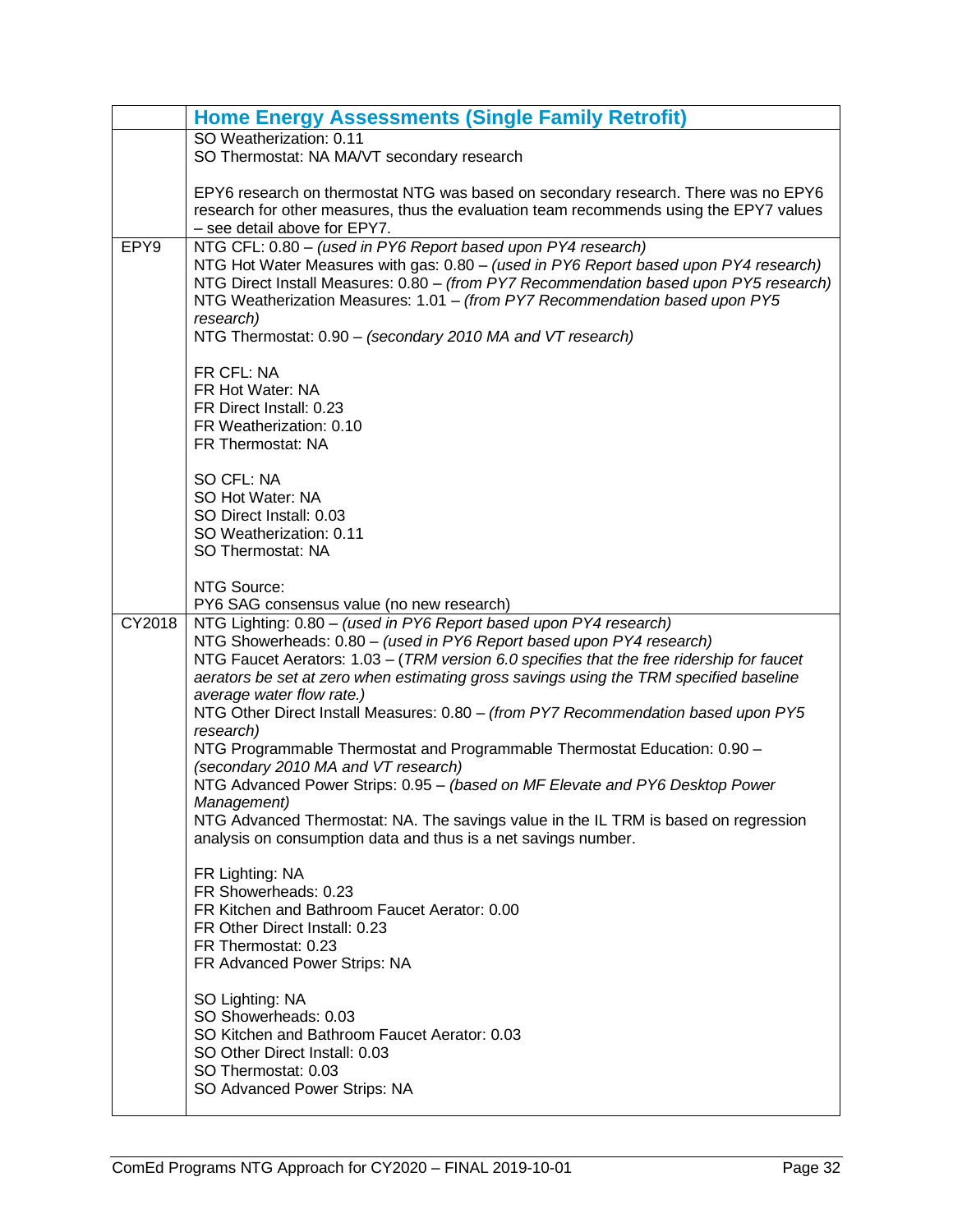|        | <b>Home Energy Assessments (Single Family Retrofit)</b>                                                                                                                                                                                                                                                                                                                                                                                            |
|--------|----------------------------------------------------------------------------------------------------------------------------------------------------------------------------------------------------------------------------------------------------------------------------------------------------------------------------------------------------------------------------------------------------------------------------------------------------|
|        | SO Weatherization: 0.11<br>SO Thermostat: NA MA/VT secondary research                                                                                                                                                                                                                                                                                                                                                                              |
|        | EPY6 research on thermostat NTG was based on secondary research. There was no EPY6<br>research for other measures, thus the evaluation team recommends using the EPY7 values<br>- see detail above for EPY7.                                                                                                                                                                                                                                       |
| EPY9   | NTG CFL: 0.80 - (used in PY6 Report based upon PY4 research)<br>NTG Hot Water Measures with gas: 0.80 - (used in PY6 Report based upon PY4 research)<br>NTG Direct Install Measures: 0.80 - (from PY7 Recommendation based upon PY5 research)<br>NTG Weatherization Measures: 1.01 - (from PY7 Recommendation based upon PY5<br>research)<br>NTG Thermostat: 0.90 - (secondary 2010 MA and VT research)                                            |
|        | FR CFL: NA<br>FR Hot Water: NA<br>FR Direct Install: 0.23<br>FR Weatherization: 0.10<br>FR Thermostat: NA                                                                                                                                                                                                                                                                                                                                          |
|        | SO CFL: NA<br>SO Hot Water: NA<br>SO Direct Install: 0.03<br>SO Weatherization: 0.11<br>SO Thermostat: NA                                                                                                                                                                                                                                                                                                                                          |
|        | NTG Source:<br>PY6 SAG consensus value (no new research)                                                                                                                                                                                                                                                                                                                                                                                           |
| CY2018 | NTG Lighting: 0.80 - (used in PY6 Report based upon PY4 research)<br>NTG Showerheads: 0.80 - (used in PY6 Report based upon PY4 research)<br>NTG Faucet Aerators: 1.03 - (TRM version 6.0 specifies that the free ridership for faucet<br>aerators be set at zero when estimating gross savings using the TRM specified baseline<br>average water flow rate.)<br>NTG Other Direct Install Measures: 0.80 - (from PY7 Recommendation based upon PY5 |
|        | research)<br>NTG Programmable Thermostat and Programmable Thermostat Education: 0.90 -<br>(secondary 2010 MA and VT research)                                                                                                                                                                                                                                                                                                                      |
|        | NTG Advanced Power Strips: 0.95 - (based on MF Elevate and PY6 Desktop Power<br>Management)<br>NTG Advanced Thermostat: NA. The savings value in the IL TRM is based on regression<br>analysis on consumption data and thus is a net savings number.                                                                                                                                                                                               |
|        | FR Lighting: NA<br>FR Showerheads: 0.23<br>FR Kitchen and Bathroom Faucet Aerator: 0.00<br>FR Other Direct Install: 0.23<br>FR Thermostat: 0.23<br>FR Advanced Power Strips: NA                                                                                                                                                                                                                                                                    |
|        | SO Lighting: NA<br>SO Showerheads: 0.03<br>SO Kitchen and Bathroom Faucet Aerator: 0.03<br>SO Other Direct Install: 0.03<br>SO Thermostat: 0.03<br>SO Advanced Power Strips: NA                                                                                                                                                                                                                                                                    |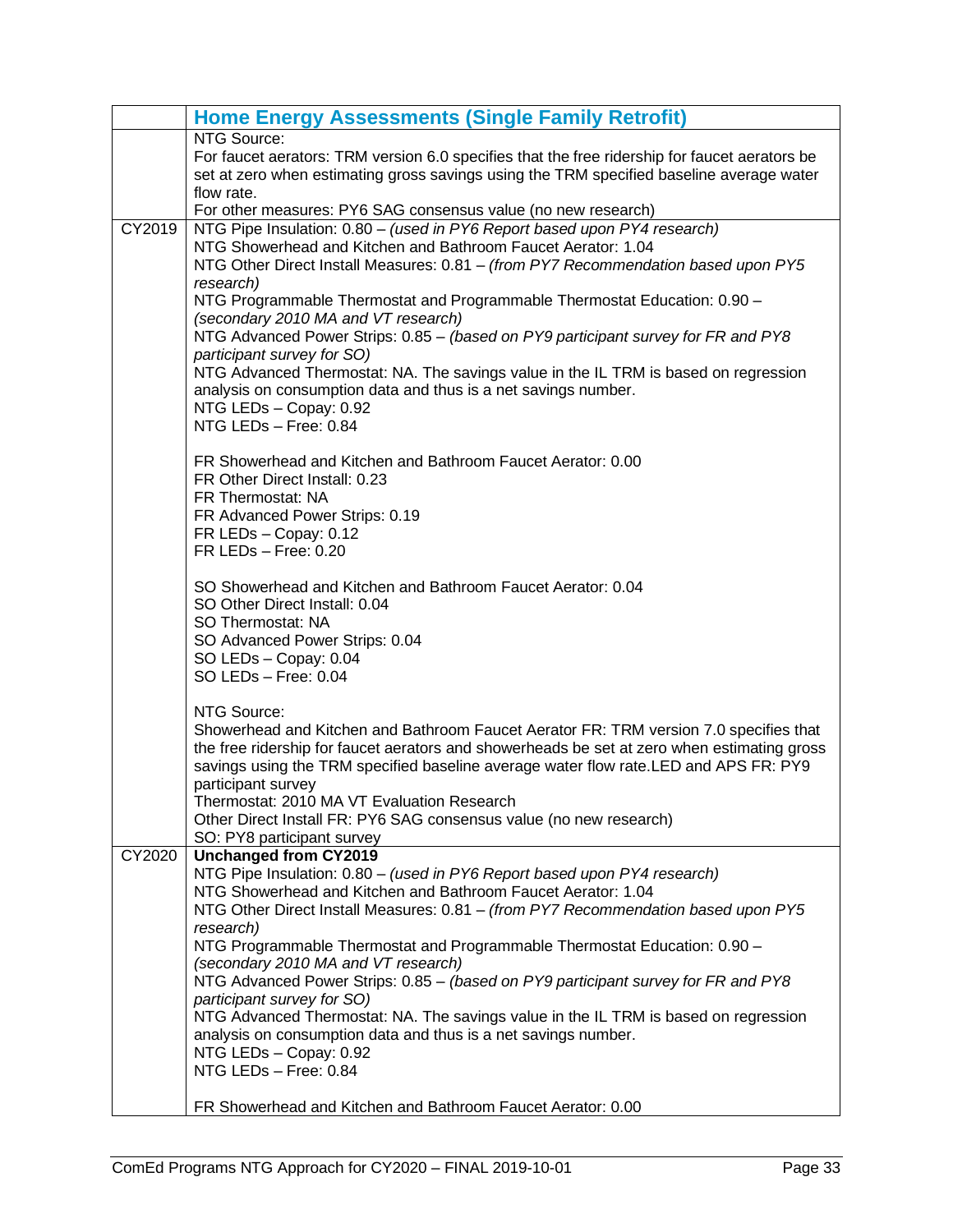|        | <b>Home Energy Assessments (Single Family Retrofit)</b>                                                                                                                                                                                                                                                                                                                                                                                                                                                                                                                                                                                                                                                                                                                                                                                                                                                   |
|--------|-----------------------------------------------------------------------------------------------------------------------------------------------------------------------------------------------------------------------------------------------------------------------------------------------------------------------------------------------------------------------------------------------------------------------------------------------------------------------------------------------------------------------------------------------------------------------------------------------------------------------------------------------------------------------------------------------------------------------------------------------------------------------------------------------------------------------------------------------------------------------------------------------------------|
|        | NTG Source:<br>For faucet aerators: TRM version 6.0 specifies that the free ridership for faucet aerators be<br>set at zero when estimating gross savings using the TRM specified baseline average water<br>flow rate.<br>For other measures: PY6 SAG consensus value (no new research)                                                                                                                                                                                                                                                                                                                                                                                                                                                                                                                                                                                                                   |
| CY2019 | NTG Pipe Insulation: 0.80 - (used in PY6 Report based upon PY4 research)<br>NTG Showerhead and Kitchen and Bathroom Faucet Aerator: 1.04<br>NTG Other Direct Install Measures: 0.81 - (from PY7 Recommendation based upon PY5<br>research)<br>NTG Programmable Thermostat and Programmable Thermostat Education: 0.90 -<br>(secondary 2010 MA and VT research)<br>NTG Advanced Power Strips: 0.85 - (based on PY9 participant survey for FR and PY8<br>participant survey for SO)<br>NTG Advanced Thermostat: NA. The savings value in the IL TRM is based on regression<br>analysis on consumption data and thus is a net savings number.<br>NTG LEDs - Copay: 0.92<br>NTG LEDs - Free: 0.84<br>FR Showerhead and Kitchen and Bathroom Faucet Aerator: 0.00<br>FR Other Direct Install: 0.23<br>FR Thermostat: NA<br>FR Advanced Power Strips: 0.19<br>FR LEDs - Copay: 0.12<br>$FR$ LEDs $-$ Free: 0.20 |
|        | SO Showerhead and Kitchen and Bathroom Faucet Aerator: 0.04<br>SO Other Direct Install: 0.04<br>SO Thermostat: NA<br>SO Advanced Power Strips: 0.04<br>SO LEDs - Copay: 0.04<br>SO LEDs - Free: 0.04                                                                                                                                                                                                                                                                                                                                                                                                                                                                                                                                                                                                                                                                                                      |
|        | NTG Source:<br>Showerhead and Kitchen and Bathroom Faucet Aerator FR: TRM version 7.0 specifies that<br>the free ridership for faucet aerators and showerheads be set at zero when estimating gross<br>savings using the TRM specified baseline average water flow rate.LED and APS FR: PY9<br>participant survey<br>Thermostat: 2010 MA VT Evaluation Research<br>Other Direct Install FR: PY6 SAG consensus value (no new research)<br>SO: PY8 participant survey                                                                                                                                                                                                                                                                                                                                                                                                                                       |
| CY2020 | <b>Unchanged from CY2019</b><br>NTG Pipe Insulation: 0.80 - (used in PY6 Report based upon PY4 research)<br>NTG Showerhead and Kitchen and Bathroom Faucet Aerator: 1.04<br>NTG Other Direct Install Measures: 0.81 - (from PY7 Recommendation based upon PY5<br>research)<br>NTG Programmable Thermostat and Programmable Thermostat Education: 0.90 -<br>(secondary 2010 MA and VT research)<br>NTG Advanced Power Strips: 0.85 - (based on PY9 participant survey for FR and PY8<br>participant survey for SO)<br>NTG Advanced Thermostat: NA. The savings value in the IL TRM is based on regression<br>analysis on consumption data and thus is a net savings number.<br>NTG LEDs - Copay: 0.92<br>NTG LEDs - Free: 0.84<br>FR Showerhead and Kitchen and Bathroom Faucet Aerator: 0.00                                                                                                              |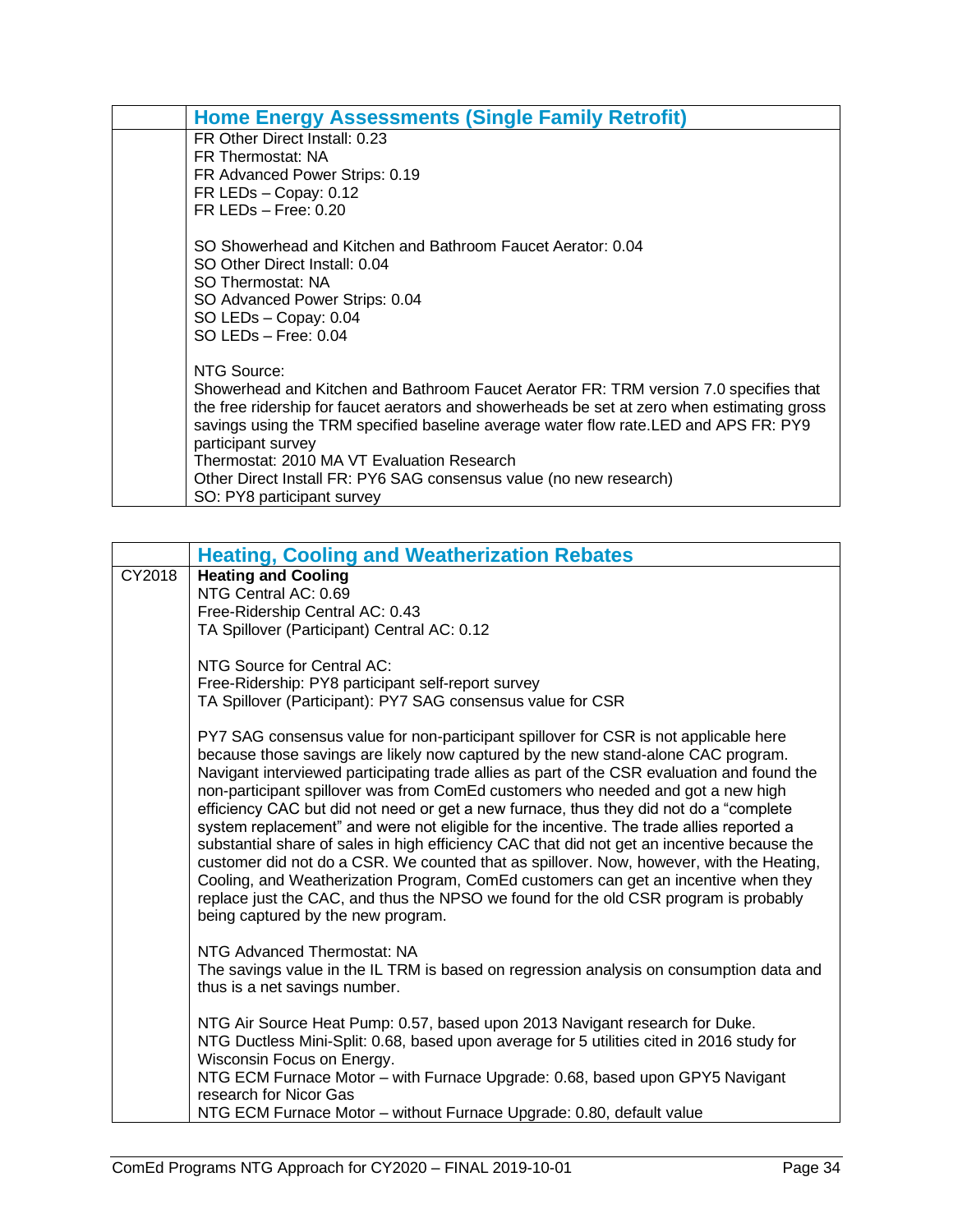| <b>Home Energy Assessments (Single Family Retrofit)</b>                                     |  |
|---------------------------------------------------------------------------------------------|--|
| FR Other Direct Install: 0.23                                                               |  |
| FR Thermostat: NA                                                                           |  |
| FR Advanced Power Strips: 0.19                                                              |  |
| FR LEDs - Copay: 0.12                                                                       |  |
| $FR$ LEDs $-$ Free: 0.20                                                                    |  |
| SO Showerhead and Kitchen and Bathroom Faucet Aerator: 0.04                                 |  |
| SO Other Direct Install: 0.04                                                               |  |
| SO Thermostat: NA                                                                           |  |
| SO Advanced Power Strips: 0.04                                                              |  |
| SO LEDs - Copay: 0.04                                                                       |  |
| $SO$ LEDs $-$ Free: 0.04                                                                    |  |
| NTG Source:                                                                                 |  |
| Showerhead and Kitchen and Bathroom Faucet Aerator FR: TRM version 7.0 specifies that       |  |
| the free ridership for faucet aerators and showerheads be set at zero when estimating gross |  |
| savings using the TRM specified baseline average water flow rate. LED and APS FR: PY9       |  |
| participant survey                                                                          |  |
| Thermostat: 2010 MA VT Evaluation Research                                                  |  |
| Other Direct Install FR: PY6 SAG consensus value (no new research)                          |  |
| SO: PY8 participant survey                                                                  |  |

<span id="page-35-0"></span>

|        | <b>Heating, Cooling and Weatherization Rebates</b>                                                                                                                                                                                                                                                                                                                                                                                                                                                                                                                                                                                                                                                                                                                                                                                                                                                                                                                 |
|--------|--------------------------------------------------------------------------------------------------------------------------------------------------------------------------------------------------------------------------------------------------------------------------------------------------------------------------------------------------------------------------------------------------------------------------------------------------------------------------------------------------------------------------------------------------------------------------------------------------------------------------------------------------------------------------------------------------------------------------------------------------------------------------------------------------------------------------------------------------------------------------------------------------------------------------------------------------------------------|
| CY2018 | <b>Heating and Cooling</b>                                                                                                                                                                                                                                                                                                                                                                                                                                                                                                                                                                                                                                                                                                                                                                                                                                                                                                                                         |
|        | NTG Central AC: 0.69                                                                                                                                                                                                                                                                                                                                                                                                                                                                                                                                                                                                                                                                                                                                                                                                                                                                                                                                               |
|        | Free-Ridership Central AC: 0.43                                                                                                                                                                                                                                                                                                                                                                                                                                                                                                                                                                                                                                                                                                                                                                                                                                                                                                                                    |
|        | TA Spillover (Participant) Central AC: 0.12                                                                                                                                                                                                                                                                                                                                                                                                                                                                                                                                                                                                                                                                                                                                                                                                                                                                                                                        |
|        | NTG Source for Central AC:                                                                                                                                                                                                                                                                                                                                                                                                                                                                                                                                                                                                                                                                                                                                                                                                                                                                                                                                         |
|        | Free-Ridership: PY8 participant self-report survey                                                                                                                                                                                                                                                                                                                                                                                                                                                                                                                                                                                                                                                                                                                                                                                                                                                                                                                 |
|        | TA Spillover (Participant): PY7 SAG consensus value for CSR                                                                                                                                                                                                                                                                                                                                                                                                                                                                                                                                                                                                                                                                                                                                                                                                                                                                                                        |
|        | PY7 SAG consensus value for non-participant spillover for CSR is not applicable here<br>because those savings are likely now captured by the new stand-alone CAC program.<br>Navigant interviewed participating trade allies as part of the CSR evaluation and found the<br>non-participant spillover was from ComEd customers who needed and got a new high<br>efficiency CAC but did not need or get a new furnace, thus they did not do a "complete<br>system replacement" and were not eligible for the incentive. The trade allies reported a<br>substantial share of sales in high efficiency CAC that did not get an incentive because the<br>customer did not do a CSR. We counted that as spillover. Now, however, with the Heating,<br>Cooling, and Weatherization Program, ComEd customers can get an incentive when they<br>replace just the CAC, and thus the NPSO we found for the old CSR program is probably<br>being captured by the new program. |
|        | NTG Advanced Thermostat: NA<br>The savings value in the IL TRM is based on regression analysis on consumption data and<br>thus is a net savings number.                                                                                                                                                                                                                                                                                                                                                                                                                                                                                                                                                                                                                                                                                                                                                                                                            |
|        | NTG Air Source Heat Pump: 0.57, based upon 2013 Navigant research for Duke.<br>NTG Ductless Mini-Split: 0.68, based upon average for 5 utilities cited in 2016 study for<br>Wisconsin Focus on Energy.                                                                                                                                                                                                                                                                                                                                                                                                                                                                                                                                                                                                                                                                                                                                                             |
|        | NTG ECM Furnace Motor - with Furnace Upgrade: 0.68, based upon GPY5 Navigant<br>research for Nicor Gas                                                                                                                                                                                                                                                                                                                                                                                                                                                                                                                                                                                                                                                                                                                                                                                                                                                             |
|        | NTG ECM Furnace Motor - without Furnace Upgrade: 0.80, default value                                                                                                                                                                                                                                                                                                                                                                                                                                                                                                                                                                                                                                                                                                                                                                                                                                                                                               |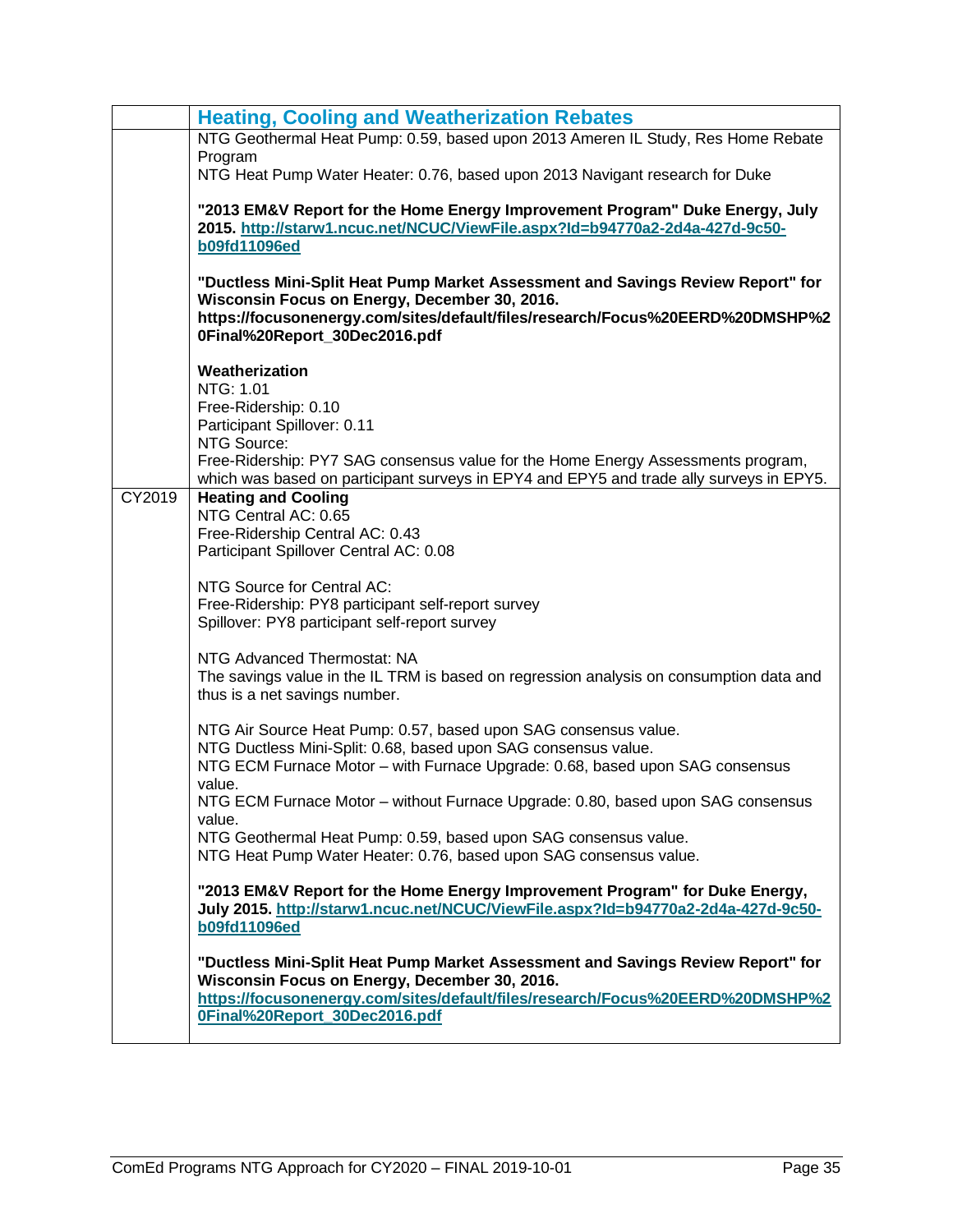|        | <b>Heating, Cooling and Weatherization Rebates</b>                                                                                                                                                                                                 |
|--------|----------------------------------------------------------------------------------------------------------------------------------------------------------------------------------------------------------------------------------------------------|
|        | NTG Geothermal Heat Pump: 0.59, based upon 2013 Ameren IL Study, Res Home Rebate                                                                                                                                                                   |
|        | Program<br>NTG Heat Pump Water Heater: 0.76, based upon 2013 Navigant research for Duke                                                                                                                                                            |
|        | "2013 EM&V Report for the Home Energy Improvement Program" Duke Energy, July<br>2015. http://starw1.ncuc.net/NCUC/ViewFile.aspx?Id=b94770a2-2d4a-427d-9c50-<br><b>b09fd11096ed</b>                                                                 |
|        | "Ductless Mini-Split Heat Pump Market Assessment and Savings Review Report" for<br>Wisconsin Focus on Energy, December 30, 2016.<br>https://focusonenergy.com/sites/default/files/research/Focus%20EERD%20DMSHP%2<br>0Final%20Report_30Dec2016.pdf |
|        | Weatherization                                                                                                                                                                                                                                     |
|        | NTG: 1.01                                                                                                                                                                                                                                          |
|        | Free-Ridership: 0.10<br>Participant Spillover: 0.11                                                                                                                                                                                                |
|        | NTG Source:                                                                                                                                                                                                                                        |
|        | Free-Ridership: PY7 SAG consensus value for the Home Energy Assessments program,<br>which was based on participant surveys in EPY4 and EPY5 and trade ally surveys in EPY5.                                                                        |
| CY2019 | <b>Heating and Cooling</b>                                                                                                                                                                                                                         |
|        | NTG Central AC: 0.65                                                                                                                                                                                                                               |
|        | Free-Ridership Central AC: 0.43<br>Participant Spillover Central AC: 0.08                                                                                                                                                                          |
|        |                                                                                                                                                                                                                                                    |
|        | NTG Source for Central AC:                                                                                                                                                                                                                         |
|        | Free-Ridership: PY8 participant self-report survey<br>Spillover: PY8 participant self-report survey                                                                                                                                                |
|        |                                                                                                                                                                                                                                                    |
|        | NTG Advanced Thermostat: NA<br>The savings value in the IL TRM is based on regression analysis on consumption data and<br>thus is a net savings number.                                                                                            |
|        | NTG Air Source Heat Pump: 0.57, based upon SAG consensus value.                                                                                                                                                                                    |
|        | NTG Ductless Mini-Split: 0.68, based upon SAG consensus value.                                                                                                                                                                                     |
|        | NTG ECM Furnace Motor - with Furnace Upgrade: 0.68, based upon SAG consensus<br>value.                                                                                                                                                             |
|        | NTG ECM Furnace Motor - without Furnace Upgrade: 0.80, based upon SAG consensus                                                                                                                                                                    |
|        | value.                                                                                                                                                                                                                                             |
|        | NTG Geothermal Heat Pump: 0.59, based upon SAG consensus value.<br>NTG Heat Pump Water Heater: 0.76, based upon SAG consensus value.                                                                                                               |
|        |                                                                                                                                                                                                                                                    |
|        | "2013 EM&V Report for the Home Energy Improvement Program" for Duke Energy,<br>July 2015. http://starw1.ncuc.net/NCUC/ViewFile.aspx?Id=b94770a2-2d4a-427d-9c50-<br><b>b09fd11096ed</b>                                                             |
|        | "Ductless Mini-Split Heat Pump Market Assessment and Savings Review Report" for                                                                                                                                                                    |
|        | Wisconsin Focus on Energy, December 30, 2016.                                                                                                                                                                                                      |
|        | https://focusonenergy.com/sites/default/files/research/Focus%20EERD%20DMSHP%2<br>0Final%20Report 30Dec2016.pdf                                                                                                                                     |
|        |                                                                                                                                                                                                                                                    |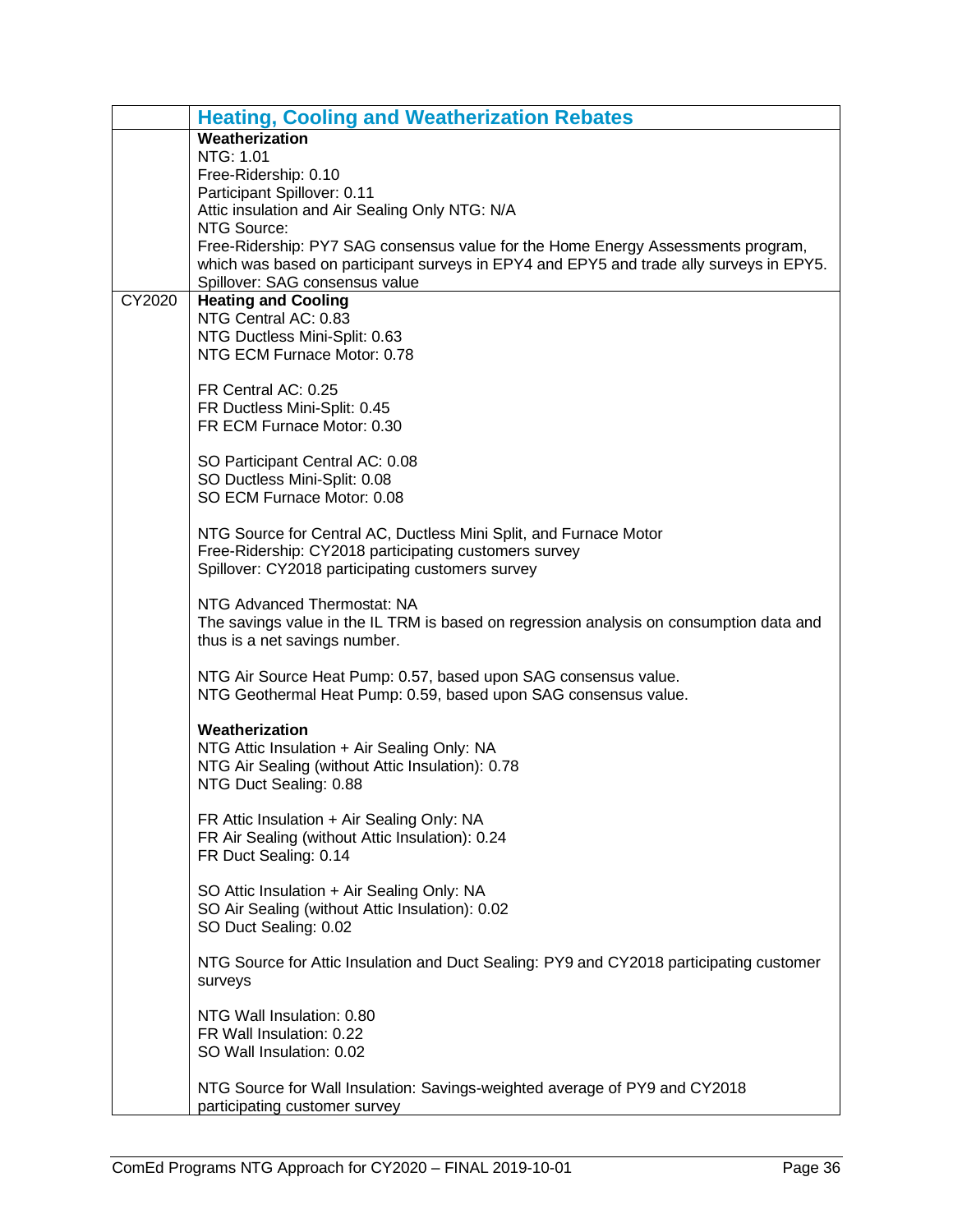|        | <b>Heating, Cooling and Weatherization Rebates</b>                                                                                                                          |
|--------|-----------------------------------------------------------------------------------------------------------------------------------------------------------------------------|
|        | Weatherization                                                                                                                                                              |
|        | NTG: 1.01                                                                                                                                                                   |
|        | Free-Ridership: 0.10                                                                                                                                                        |
|        | Participant Spillover: 0.11                                                                                                                                                 |
|        | Attic insulation and Air Sealing Only NTG: N/A                                                                                                                              |
|        | NTG Source:                                                                                                                                                                 |
|        | Free-Ridership: PY7 SAG consensus value for the Home Energy Assessments program,<br>which was based on participant surveys in EPY4 and EPY5 and trade ally surveys in EPY5. |
|        | Spillover: SAG consensus value                                                                                                                                              |
| CY2020 | <b>Heating and Cooling</b>                                                                                                                                                  |
|        | NTG Central AC: 0.83                                                                                                                                                        |
|        | NTG Ductless Mini-Split: 0.63                                                                                                                                               |
|        | NTG ECM Furnace Motor: 0.78                                                                                                                                                 |
|        |                                                                                                                                                                             |
|        | FR Central AC: 0.25                                                                                                                                                         |
|        | FR Ductless Mini-Split: 0.45                                                                                                                                                |
|        | FR ECM Furnace Motor: 0.30                                                                                                                                                  |
|        |                                                                                                                                                                             |
|        | SO Participant Central AC: 0.08                                                                                                                                             |
|        | SO Ductless Mini-Split: 0.08<br>SO ECM Furnace Motor: 0.08                                                                                                                  |
|        |                                                                                                                                                                             |
|        | NTG Source for Central AC, Ductless Mini Split, and Furnace Motor                                                                                                           |
|        | Free-Ridership: CY2018 participating customers survey                                                                                                                       |
|        | Spillover: CY2018 participating customers survey                                                                                                                            |
|        |                                                                                                                                                                             |
|        | NTG Advanced Thermostat: NA                                                                                                                                                 |
|        | The savings value in the IL TRM is based on regression analysis on consumption data and                                                                                     |
|        | thus is a net savings number.                                                                                                                                               |
|        |                                                                                                                                                                             |
|        | NTG Air Source Heat Pump: 0.57, based upon SAG consensus value.                                                                                                             |
|        | NTG Geothermal Heat Pump: 0.59, based upon SAG consensus value.                                                                                                             |
|        | Weatherization                                                                                                                                                              |
|        | NTG Attic Insulation + Air Sealing Only: NA                                                                                                                                 |
|        | NTG Air Sealing (without Attic Insulation): 0.78                                                                                                                            |
|        | NTG Duct Sealing: 0.88                                                                                                                                                      |
|        |                                                                                                                                                                             |
|        | FR Attic Insulation + Air Sealing Only: NA                                                                                                                                  |
|        | FR Air Sealing (without Attic Insulation): 0.24                                                                                                                             |
|        | FR Duct Sealing: 0.14                                                                                                                                                       |
|        |                                                                                                                                                                             |
|        | SO Attic Insulation + Air Sealing Only: NA                                                                                                                                  |
|        | SO Air Sealing (without Attic Insulation): 0.02                                                                                                                             |
|        | SO Duct Sealing: 0.02                                                                                                                                                       |
|        | NTG Source for Attic Insulation and Duct Sealing: PY9 and CY2018 participating customer                                                                                     |
|        | surveys                                                                                                                                                                     |
|        |                                                                                                                                                                             |
|        | NTG Wall Insulation: 0.80                                                                                                                                                   |
|        | FR Wall Insulation: 0.22                                                                                                                                                    |
|        | SO Wall Insulation: 0.02                                                                                                                                                    |
|        |                                                                                                                                                                             |
|        | NTG Source for Wall Insulation: Savings-weighted average of PY9 and CY2018                                                                                                  |
|        | participating customer survey                                                                                                                                               |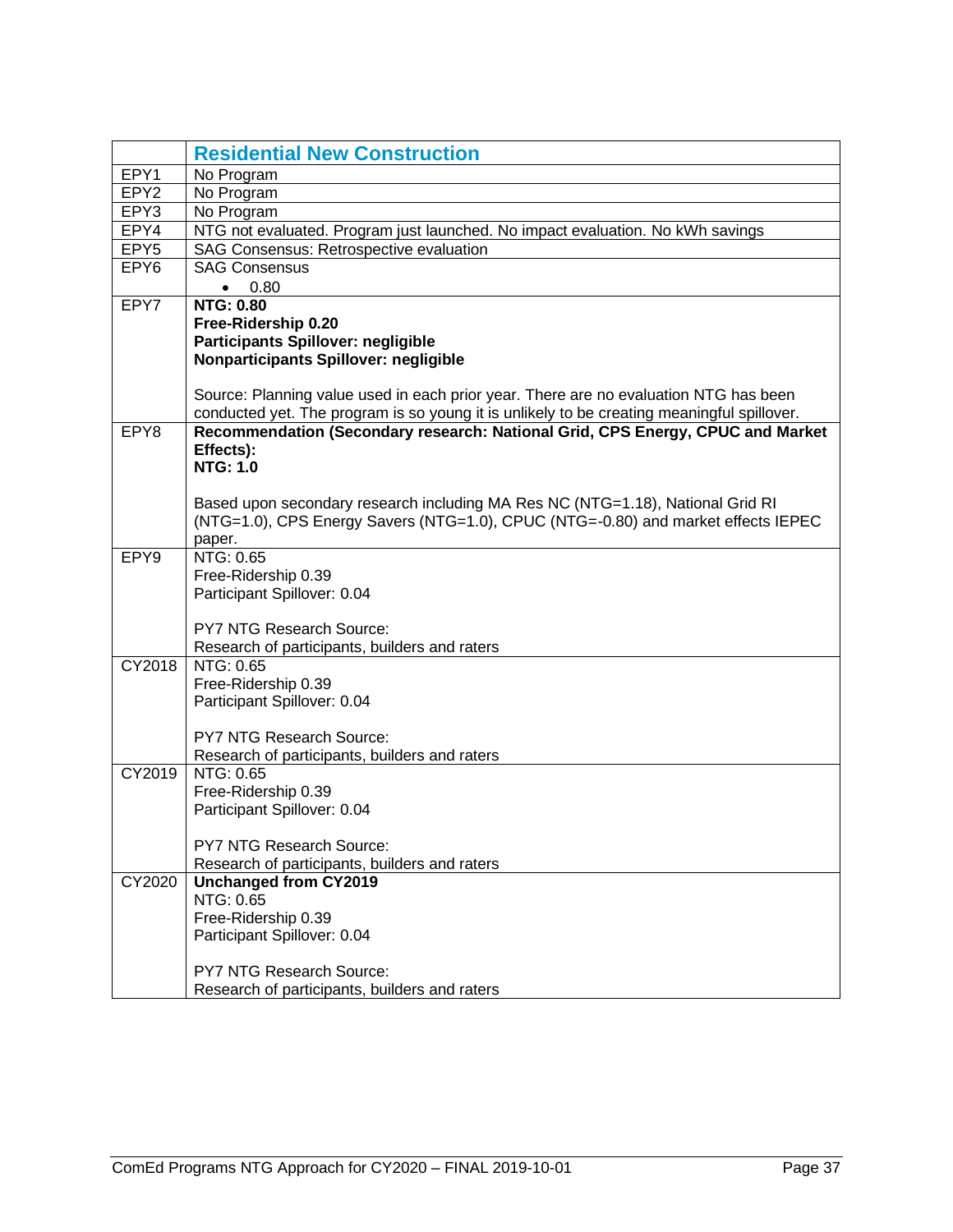<span id="page-38-0"></span>

|                  | <b>Residential New Construction</b>                                                        |  |  |  |
|------------------|--------------------------------------------------------------------------------------------|--|--|--|
| EPY1             | No Program                                                                                 |  |  |  |
| EPY <sub>2</sub> | No Program                                                                                 |  |  |  |
| EPY3             | No Program                                                                                 |  |  |  |
| EPY4             | NTG not evaluated. Program just launched. No impact evaluation. No kWh savings             |  |  |  |
| EPY <sub>5</sub> | SAG Consensus: Retrospective evaluation                                                    |  |  |  |
| EPY <sub>6</sub> | <b>SAG Consensus</b>                                                                       |  |  |  |
|                  | 0.80<br>$\bullet$                                                                          |  |  |  |
| EPY7             | <b>NTG: 0.80</b>                                                                           |  |  |  |
|                  | Free-Ridership 0.20                                                                        |  |  |  |
|                  | Participants Spillover: negligible                                                         |  |  |  |
|                  | Nonparticipants Spillover: negligible                                                      |  |  |  |
|                  | Source: Planning value used in each prior year. There are no evaluation NTG has been       |  |  |  |
|                  | conducted yet. The program is so young it is unlikely to be creating meaningful spillover. |  |  |  |
| EPY8             | Recommendation (Secondary research: National Grid, CPS Energy, CPUC and Market             |  |  |  |
|                  | Effects):<br><b>NTG: 1.0</b>                                                               |  |  |  |
|                  |                                                                                            |  |  |  |
|                  | Based upon secondary research including MA Res NC (NTG=1.18), National Grid RI             |  |  |  |
|                  | (NTG=1.0), CPS Energy Savers (NTG=1.0), CPUC (NTG=-0.80) and market effects IEPEC          |  |  |  |
|                  | paper.                                                                                     |  |  |  |
| EPY9             | NTG: 0.65                                                                                  |  |  |  |
|                  | Free-Ridership 0.39                                                                        |  |  |  |
|                  | Participant Spillover: 0.04                                                                |  |  |  |
|                  |                                                                                            |  |  |  |
|                  | PY7 NTG Research Source:                                                                   |  |  |  |
| CY2018           | Research of participants, builders and raters<br>NTG: 0.65                                 |  |  |  |
|                  | Free-Ridership 0.39                                                                        |  |  |  |
|                  | Participant Spillover: 0.04                                                                |  |  |  |
|                  |                                                                                            |  |  |  |
|                  | <b>PY7 NTG Research Source:</b>                                                            |  |  |  |
|                  | Research of participants, builders and raters                                              |  |  |  |
| CY2019           | NTG: 0.65                                                                                  |  |  |  |
|                  | Free-Ridership 0.39                                                                        |  |  |  |
|                  | Participant Spillover: 0.04                                                                |  |  |  |
|                  |                                                                                            |  |  |  |
|                  | <b>PY7 NTG Research Source:</b>                                                            |  |  |  |
|                  | Research of participants, builders and raters                                              |  |  |  |
| CY2020           | <b>Unchanged from CY2019</b><br>NTG: 0.65                                                  |  |  |  |
|                  | Free-Ridership 0.39                                                                        |  |  |  |
|                  | Participant Spillover: 0.04                                                                |  |  |  |
|                  |                                                                                            |  |  |  |
|                  | PY7 NTG Research Source:                                                                   |  |  |  |
|                  | Research of participants, builders and raters                                              |  |  |  |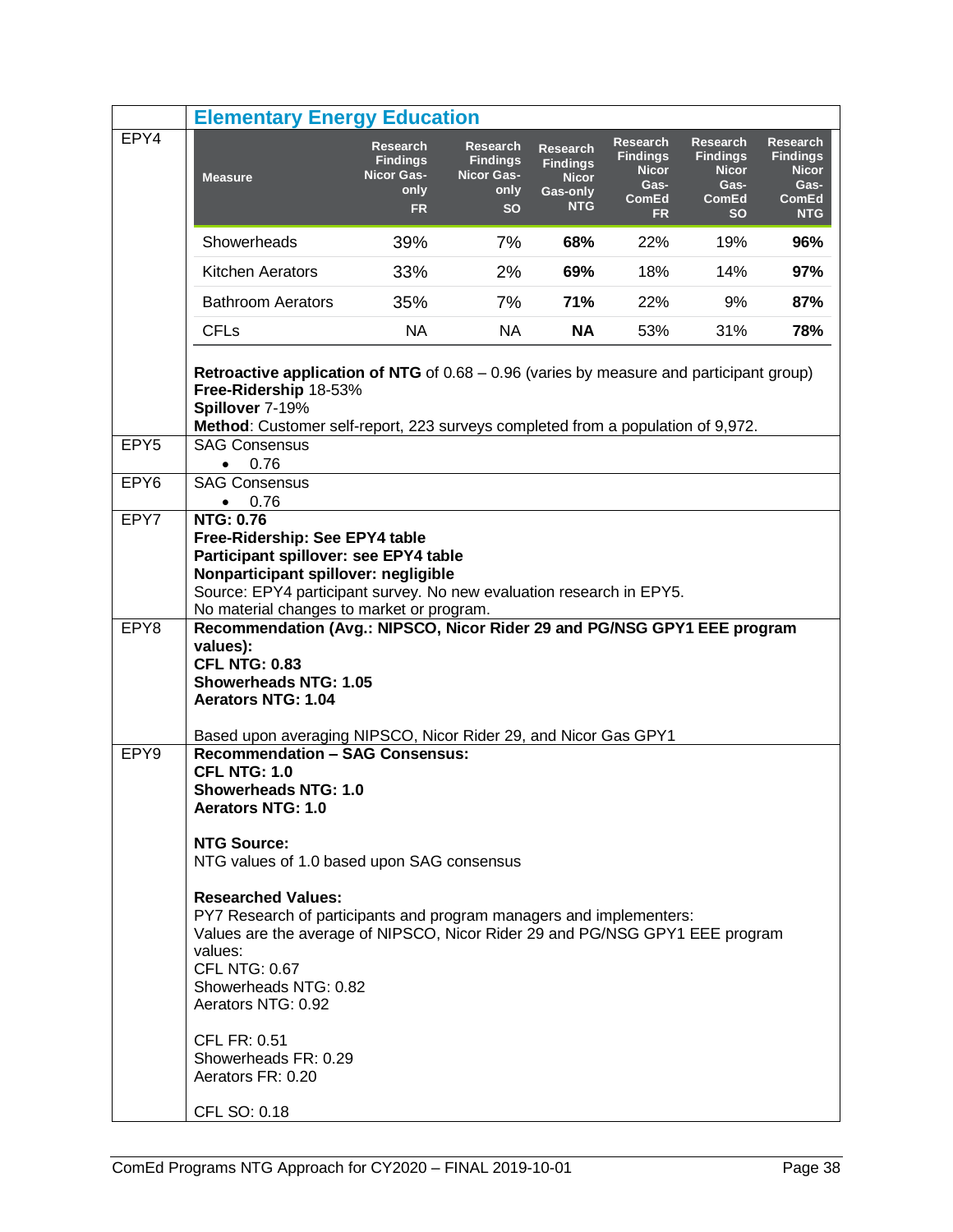<span id="page-39-0"></span>

|                  | <b>Elementary Energy Education</b>                                                                                                                                                                                                                                                                                                                                                                                                                                                                                                                     |                                                                              |                                                                              |                                                                              |                                                                                         |                                                                                         |                                                                                   |
|------------------|--------------------------------------------------------------------------------------------------------------------------------------------------------------------------------------------------------------------------------------------------------------------------------------------------------------------------------------------------------------------------------------------------------------------------------------------------------------------------------------------------------------------------------------------------------|------------------------------------------------------------------------------|------------------------------------------------------------------------------|------------------------------------------------------------------------------|-----------------------------------------------------------------------------------------|-----------------------------------------------------------------------------------------|-----------------------------------------------------------------------------------|
| EPY4             | <b>Measure</b>                                                                                                                                                                                                                                                                                                                                                                                                                                                                                                                                         | <b>Research</b><br><b>Findings</b><br><b>Nicor Gas-</b><br>only<br><b>FR</b> | <b>Research</b><br><b>Findings</b><br><b>Nicor Gas-</b><br>only<br><b>SO</b> | <b>Research</b><br><b>Findings</b><br><b>Nicor</b><br>Gas-only<br><b>NTG</b> | <b>Research</b><br><b>Findings</b><br><b>Nicor</b><br>Gas-<br><b>ComEd</b><br><b>FR</b> | <b>Research</b><br><b>Findings</b><br><b>Nicor</b><br>Gas-<br><b>ComEd</b><br><b>SO</b> | Research<br><b>Findings</b><br><b>Nicor</b><br>Gas-<br><b>ComEd</b><br><b>NTG</b> |
|                  | Showerheads                                                                                                                                                                                                                                                                                                                                                                                                                                                                                                                                            | 39%                                                                          | 7%                                                                           | 68%                                                                          | 22%                                                                                     | 19%                                                                                     | 96%                                                                               |
|                  | <b>Kitchen Aerators</b>                                                                                                                                                                                                                                                                                                                                                                                                                                                                                                                                | 33%                                                                          | 2%                                                                           | 69%                                                                          | 18%                                                                                     | 14%                                                                                     | 97%                                                                               |
|                  | <b>Bathroom Aerators</b>                                                                                                                                                                                                                                                                                                                                                                                                                                                                                                                               | 35%                                                                          | 7%                                                                           | 71%                                                                          | 22%                                                                                     | 9%                                                                                      | 87%                                                                               |
|                  | <b>CFLs</b>                                                                                                                                                                                                                                                                                                                                                                                                                                                                                                                                            | NA.                                                                          | NA.                                                                          | NA                                                                           | 53%                                                                                     | 31%                                                                                     | 78%                                                                               |
|                  | <b>Retroactive application of NTG</b> of $0.68 - 0.96$ (varies by measure and participant group)<br>Free-Ridership 18-53%<br>Spillover 7-19%<br>Method: Customer self-report, 223 surveys completed from a population of 9,972.                                                                                                                                                                                                                                                                                                                        |                                                                              |                                                                              |                                                                              |                                                                                         |                                                                                         |                                                                                   |
| EPY <sub>5</sub> | <b>SAG Consensus</b><br>0.76<br>$\bullet$                                                                                                                                                                                                                                                                                                                                                                                                                                                                                                              |                                                                              |                                                                              |                                                                              |                                                                                         |                                                                                         |                                                                                   |
| EPY <sub>6</sub> | <b>SAG Consensus</b><br>0.76<br>$\bullet$                                                                                                                                                                                                                                                                                                                                                                                                                                                                                                              |                                                                              |                                                                              |                                                                              |                                                                                         |                                                                                         |                                                                                   |
| EPY7             | <b>NTG: 0.76</b><br>Free-Ridership: See EPY4 table<br>Participant spillover: see EPY4 table<br>Nonparticipant spillover: negligible<br>Source: EPY4 participant survey. No new evaluation research in EPY5.<br>No material changes to market or program.                                                                                                                                                                                                                                                                                               |                                                                              |                                                                              |                                                                              |                                                                                         |                                                                                         |                                                                                   |
| EPY8             | Recommendation (Avg.: NIPSCO, Nicor Rider 29 and PG/NSG GPY1 EEE program<br>values):<br><b>CFL NTG: 0.83</b><br><b>Showerheads NTG: 1.05</b><br><b>Aerators NTG: 1.04</b><br>Based upon averaging NIPSCO, Nicor Rider 29, and Nicor Gas GPY1                                                                                                                                                                                                                                                                                                           |                                                                              |                                                                              |                                                                              |                                                                                         |                                                                                         |                                                                                   |
| EPY9             | <b>Recommendation - SAG Consensus:</b><br><b>CFL NTG: 1.0</b><br><b>Showerheads NTG: 1.0</b><br><b>Aerators NTG: 1.0</b><br><b>NTG Source:</b><br>NTG values of 1.0 based upon SAG consensus<br><b>Researched Values:</b><br>PY7 Research of participants and program managers and implementers:<br>Values are the average of NIPSCO, Nicor Rider 29 and PG/NSG GPY1 EEE program<br>values:<br><b>CFL NTG: 0.67</b><br>Showerheads NTG: 0.82<br>Aerators NTG: 0.92<br><b>CFL FR: 0.51</b><br>Showerheads FR: 0.29<br>Aerators FR: 0.20<br>CFL SO: 0.18 |                                                                              |                                                                              |                                                                              |                                                                                         |                                                                                         |                                                                                   |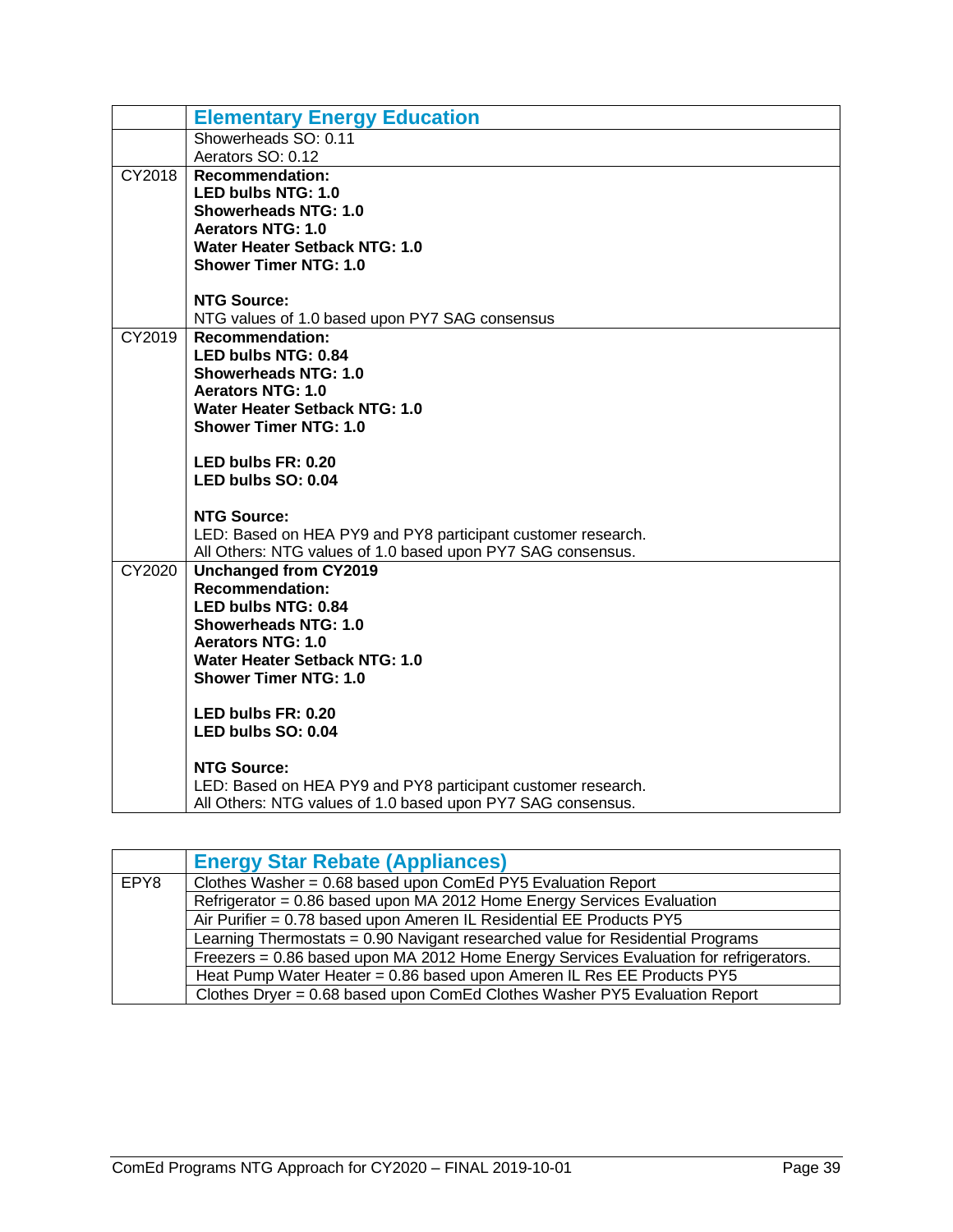|        | <b>Elementary Energy Education</b>                                                          |
|--------|---------------------------------------------------------------------------------------------|
|        | Showerheads SO: 0.11                                                                        |
| CY2018 | Aerators SO: 0.12<br><b>Recommendation:</b>                                                 |
|        | <b>LED bulbs NTG: 1.0</b>                                                                   |
|        | <b>Showerheads NTG: 1.0</b>                                                                 |
|        | <b>Aerators NTG: 1.0</b>                                                                    |
|        | Water Heater Setback NTG: 1.0                                                               |
|        | <b>Shower Timer NTG: 1.0</b>                                                                |
|        | <b>NTG Source:</b>                                                                          |
|        | NTG values of 1.0 based upon PY7 SAG consensus                                              |
| CY2019 | <b>Recommendation:</b>                                                                      |
|        | <b>LED bulbs NTG: 0.84</b><br><b>Showerheads NTG: 1.0</b>                                   |
|        | <b>Aerators NTG: 1.0</b>                                                                    |
|        | Water Heater Setback NTG: 1.0                                                               |
|        | <b>Shower Timer NTG: 1.0</b>                                                                |
|        | LED bulbs FR: 0.20                                                                          |
|        | LED bulbs SO: 0.04                                                                          |
|        |                                                                                             |
|        | <b>NTG Source:</b>                                                                          |
|        | LED: Based on HEA PY9 and PY8 participant customer research.                                |
| CY2020 | All Others: NTG values of 1.0 based upon PY7 SAG consensus.<br><b>Unchanged from CY2019</b> |
|        | <b>Recommendation:</b>                                                                      |
|        | <b>LED bulbs NTG: 0.84</b>                                                                  |
|        | <b>Showerheads NTG: 1.0</b>                                                                 |
|        | <b>Aerators NTG: 1.0</b>                                                                    |
|        | Water Heater Setback NTG: 1.0<br><b>Shower Timer NTG: 1.0</b>                               |
|        |                                                                                             |
|        | LED bulbs FR: 0.20                                                                          |
|        | LED bulbs SO: 0.04                                                                          |
|        | <b>NTG Source:</b>                                                                          |
|        | LED: Based on HEA PY9 and PY8 participant customer research.                                |
|        | All Others: NTG values of 1.0 based upon PY7 SAG consensus.                                 |

<span id="page-40-0"></span>

|      | <b>Energy Star Rebate (Appliances)</b>                                                |
|------|---------------------------------------------------------------------------------------|
| EPY8 | Clothes Washer = 0.68 based upon ComEd PY5 Evaluation Report                          |
|      | Refrigerator = 0.86 based upon MA 2012 Home Energy Services Evaluation                |
|      | Air Purifier = 0.78 based upon Ameren IL Residential EE Products PY5                  |
|      | Learning Thermostats = 0.90 Navigant researched value for Residential Programs        |
|      | Freezers = 0.86 based upon MA 2012 Home Energy Services Evaluation for refrigerators. |
|      | Heat Pump Water Heater = 0.86 based upon Ameren IL Res EE Products PY5                |
|      | Clothes Dryer = 0.68 based upon ComEd Clothes Washer PY5 Evaluation Report            |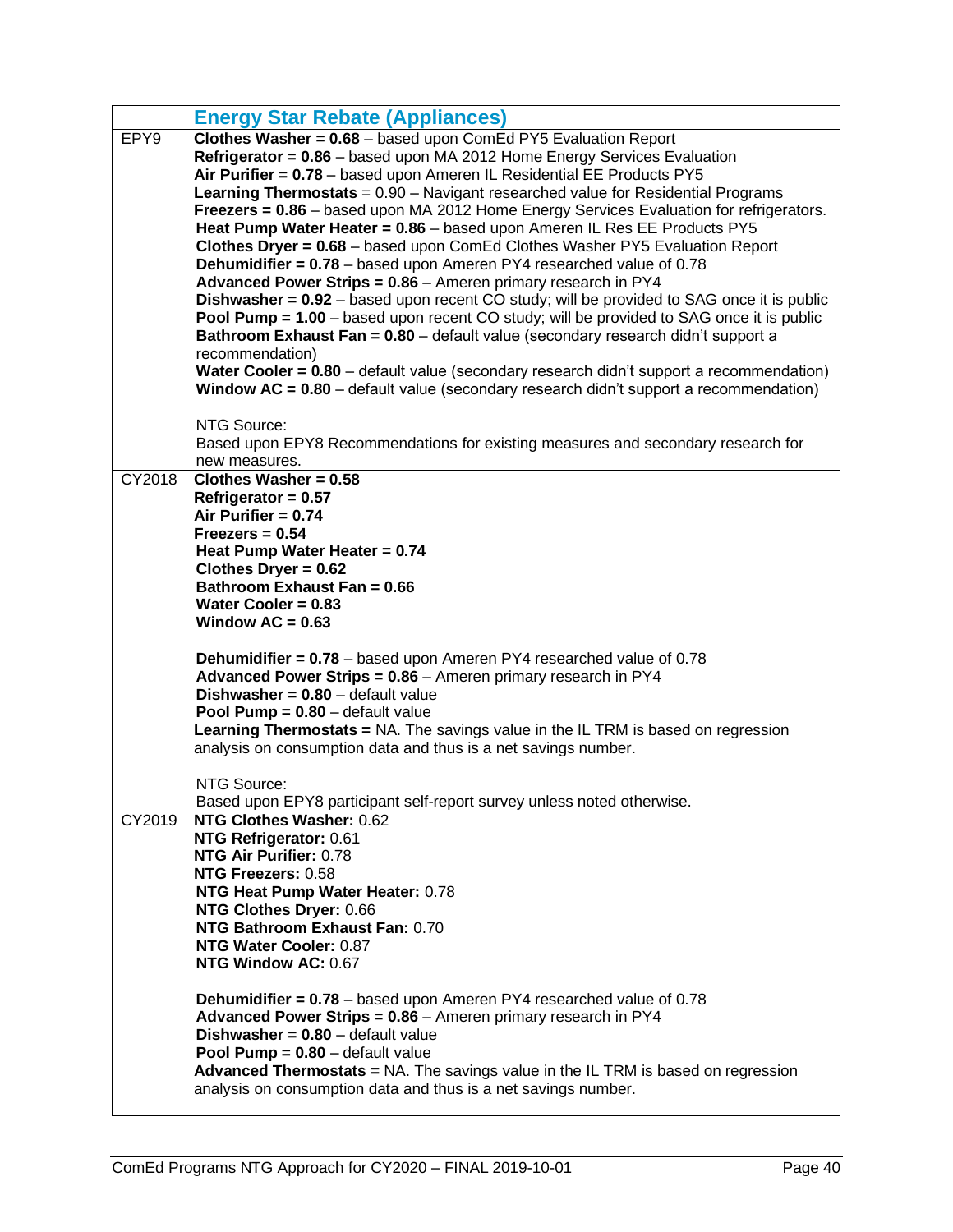|        | <b>Energy Star Rebate (Appliances)</b>                                                                    |
|--------|-----------------------------------------------------------------------------------------------------------|
| EPY9   | Clothes Washer = 0.68 - based upon ComEd PY5 Evaluation Report                                            |
|        | Refrigerator = 0.86 - based upon MA 2012 Home Energy Services Evaluation                                  |
|        | Air Purifier = 0.78 - based upon Ameren IL Residential EE Products PY5                                    |
|        | <b>Learning Thermostats</b> = 0.90 - Navigant researched value for Residential Programs                   |
|        | Freezers = 0.86 - based upon MA 2012 Home Energy Services Evaluation for refrigerators.                   |
|        | Heat Pump Water Heater = 0.86 - based upon Ameren IL Res EE Products PY5                                  |
|        | Clothes Dryer = 0.68 - based upon ComEd Clothes Washer PY5 Evaluation Report                              |
|        | <b>Dehumidifier = 0.78</b> - based upon Ameren PY4 researched value of 0.78                               |
|        | Advanced Power Strips = 0.86 - Ameren primary research in PY4                                             |
|        | <b>Dishwasher = 0.92</b> – based upon recent CO study; will be provided to SAG once it is public          |
|        | <b>Pool Pump = 1.00</b> – based upon recent CO study; will be provided to SAG once it is public           |
|        | Bathroom Exhaust Fan = 0.80 - default value (secondary research didn't support a                          |
|        | recommendation)                                                                                           |
|        | Water Cooler = 0.80 - default value (secondary research didn't support a recommendation)                  |
|        | <b>Window <math>AC = 0.80</math></b> – default value (secondary research didn't support a recommendation) |
|        |                                                                                                           |
|        | NTG Source:                                                                                               |
|        | Based upon EPY8 Recommendations for existing measures and secondary research for                          |
| CY2018 | new measures.<br>Clothes Washer = $0.58$                                                                  |
|        | Refrigerator = $0.57$                                                                                     |
|        | Air Purifier = $0.74$                                                                                     |
|        | $Freezers = 0.54$                                                                                         |
|        | Heat Pump Water Heater = 0.74                                                                             |
|        | Clothes Dryer = $0.62$                                                                                    |
|        | Bathroom Exhaust Fan = 0.66                                                                               |
|        | Water Cooler = $0.83$                                                                                     |
|        | Window $AC = 0.63$                                                                                        |
|        |                                                                                                           |
|        |                                                                                                           |
|        | <b>Dehumidifier = 0.78</b> – based upon Ameren PY4 researched value of 0.78                               |
|        | Advanced Power Strips = 0.86 - Ameren primary research in PY4                                             |
|        | Dishwasher = $0.80$ - default value                                                                       |
|        | <b>Pool Pump = <math>0.80</math></b> – default value                                                      |
|        | Learning Thermostats = NA. The savings value in the IL TRM is based on regression                         |
|        | analysis on consumption data and thus is a net savings number.                                            |
|        |                                                                                                           |
|        | NTG Source:                                                                                               |
|        | Based upon EPY8 participant self-report survey unless noted otherwise.                                    |
| CY2019 | NTG Clothes Washer: 0.62                                                                                  |
|        | NTG Refrigerator: 0.61                                                                                    |
|        | NTG Air Purifier: 0.78                                                                                    |
|        | NTG Freezers: 0.58                                                                                        |
|        | NTG Heat Pump Water Heater: 0.78                                                                          |
|        | NTG Clothes Dryer: 0.66                                                                                   |
|        | NTG Bathroom Exhaust Fan: 0.70                                                                            |
|        | NTG Water Cooler: 0.87<br>NTG Window AC: 0.67                                                             |
|        |                                                                                                           |
|        | <b>Dehumidifier = 0.78</b> – based upon Ameren PY4 researched value of 0.78                               |
|        | Advanced Power Strips = 0.86 - Ameren primary research in PY4                                             |
|        | <b>Dishwasher = <math>0.80</math></b> – default value                                                     |
|        | <b>Pool Pump = <math>0.80</math></b> – default value                                                      |
|        | <b>Advanced Thermostats = NA.</b> The savings value in the IL TRM is based on regression                  |
|        | analysis on consumption data and thus is a net savings number.                                            |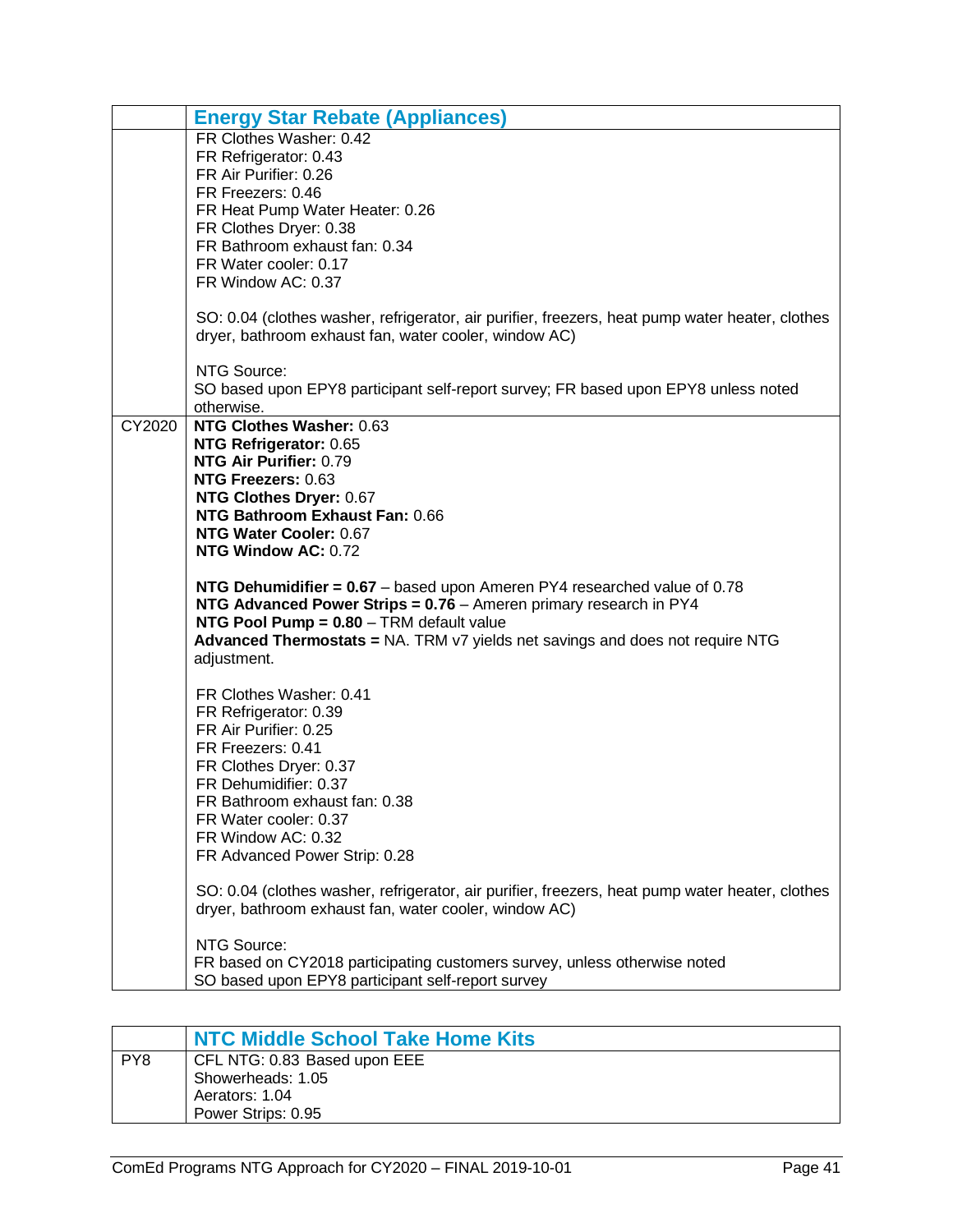|        | <b>Energy Star Rebate (Appliances)</b>                                                           |
|--------|--------------------------------------------------------------------------------------------------|
|        | FR Clothes Washer: 0.42                                                                          |
|        | FR Refrigerator: 0.43                                                                            |
|        | FR Air Purifier: 0.26                                                                            |
|        | FR Freezers: 0.46                                                                                |
|        | FR Heat Pump Water Heater: 0.26                                                                  |
|        | FR Clothes Dryer: 0.38                                                                           |
|        | FR Bathroom exhaust fan: 0.34                                                                    |
|        | FR Water cooler: 0.17                                                                            |
|        | FR Window AC: 0.37                                                                               |
|        | SO: 0.04 (clothes washer, refrigerator, air purifier, freezers, heat pump water heater, clothes  |
|        | dryer, bathroom exhaust fan, water cooler, window AC)                                            |
|        | NTG Source:                                                                                      |
|        | SO based upon EPY8 participant self-report survey; FR based upon EPY8 unless noted<br>otherwise. |
| CY2020 | NTG Clothes Washer: 0.63                                                                         |
|        | NTG Refrigerator: 0.65                                                                           |
|        | NTG Air Purifier: 0.79                                                                           |
|        | NTG Freezers: 0.63                                                                               |
|        | NTG Clothes Dryer: 0.67                                                                          |
|        | NTG Bathroom Exhaust Fan: 0.66                                                                   |
|        | NTG Water Cooler: 0.67                                                                           |
|        | NTG Window AC: 0.72                                                                              |
|        | NTG Dehumidifier = $0.67$ – based upon Ameren PY4 researched value of 0.78                       |
|        | NTG Advanced Power Strips = 0.76 - Ameren primary research in PY4                                |
|        | NTG Pool Pump = 0.80 - TRM default value                                                         |
|        | Advanced Thermostats = NA. TRM v7 yields net savings and does not require NTG                    |
|        | adjustment.                                                                                      |
|        | FR Clothes Washer: 0.41                                                                          |
|        | FR Refrigerator: 0.39                                                                            |
|        | FR Air Purifier: 0.25                                                                            |
|        | FR Freezers: 0.41                                                                                |
|        | FR Clothes Dryer: 0.37                                                                           |
|        | FR Dehumidifier: 0.37                                                                            |
|        | FR Bathroom exhaust fan: 0.38                                                                    |
|        | FR Water cooler: 0.37                                                                            |
|        | FR Window AC: 0.32                                                                               |
|        | FR Advanced Power Strip: 0.28                                                                    |
|        | SO: 0.04 (clothes washer, refrigerator, air purifier, freezers, heat pump water heater, clothes  |
|        | dryer, bathroom exhaust fan, water cooler, window AC)                                            |
|        | NTG Source:                                                                                      |
|        | FR based on CY2018 participating customers survey, unless otherwise noted                        |
|        | SO based upon EPY8 participant self-report survey                                                |

<span id="page-42-0"></span>

|     | NTC Middle School Take Home Kits |
|-----|----------------------------------|
| PY8 | CFL NTG: 0.83 Based upon EEE     |
|     | Showerheads: 1.05                |
|     | Aerators: 1.04                   |
|     | Power Strips: 0.95               |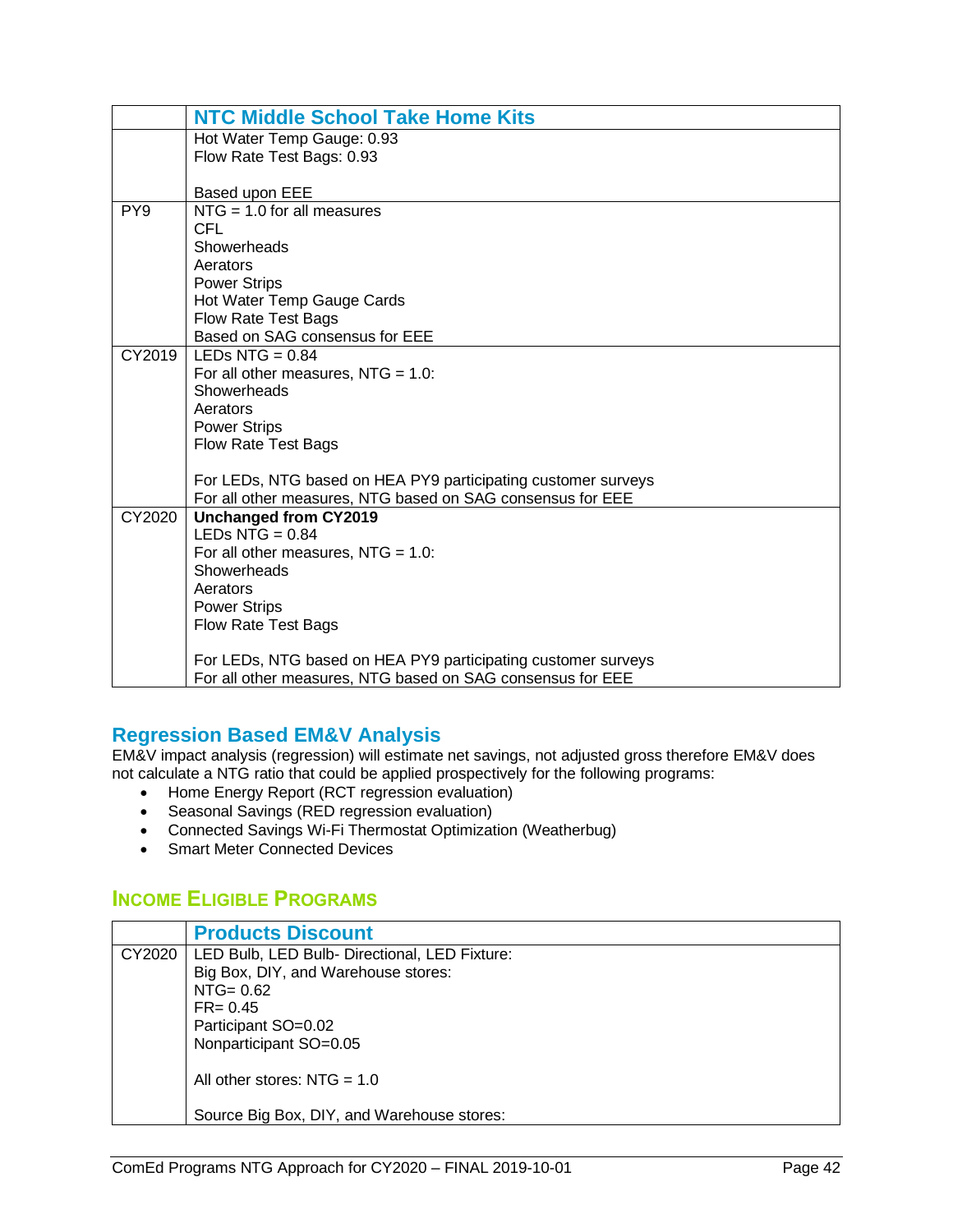|                 | <b>NTC Middle School Take Home Kits</b>                       |
|-----------------|---------------------------------------------------------------|
|                 | Hot Water Temp Gauge: 0.93                                    |
|                 | Flow Rate Test Bags: 0.93                                     |
|                 |                                                               |
|                 | Based upon EEE                                                |
| PY <sub>9</sub> | $NTG = 1.0$ for all measures                                  |
|                 | <b>CFL</b>                                                    |
|                 | Showerheads                                                   |
|                 | Aerators                                                      |
|                 | <b>Power Strips</b>                                           |
|                 | Hot Water Temp Gauge Cards                                    |
|                 | <b>Flow Rate Test Bags</b>                                    |
|                 | Based on SAG consensus for EEE                                |
| CY2019          | LEDs NTG = $0.84$                                             |
|                 | For all other measures, $NTG = 1.0$ :                         |
|                 | Showerheads                                                   |
|                 | Aerators                                                      |
|                 | <b>Power Strips</b>                                           |
|                 | <b>Flow Rate Test Bags</b>                                    |
|                 |                                                               |
|                 | For LEDs, NTG based on HEA PY9 participating customer surveys |
|                 | For all other measures, NTG based on SAG consensus for EEE    |
| CY2020          | <b>Unchanged from CY2019</b>                                  |
|                 | LEDs $NTG = 0.84$                                             |
|                 | For all other measures, $NTG = 1.0$ :                         |
|                 | Showerheads                                                   |
|                 | Aerators                                                      |
|                 | <b>Power Strips</b>                                           |
|                 | <b>Flow Rate Test Bags</b>                                    |
|                 |                                                               |
|                 | For LEDs, NTG based on HEA PY9 participating customer surveys |
|                 | For all other measures, NTG based on SAG consensus for EEE    |

#### <span id="page-43-0"></span>**Regression Based EM&V Analysis**

EM&V impact analysis (regression) will estimate net savings, not adjusted gross therefore EM&V does not calculate a NTG ratio that could be applied prospectively for the following programs:

- Home Energy Report (RCT regression evaluation)
- Seasonal Savings (RED regression evaluation)
- Connected Savings Wi-Fi Thermostat Optimization (Weatherbug)
- Smart Meter Connected Devices

#### <span id="page-43-1"></span>**INCOME ELIGIBLE PROGRAMS**

<span id="page-43-2"></span>

|        | <b>Products Discount</b>                      |
|--------|-----------------------------------------------|
| CY2020 | LED Bulb, LED Bulb- Directional, LED Fixture: |
|        | Big Box, DIY, and Warehouse stores:           |
|        | $NTG = 0.62$                                  |
|        | $FR = 0.45$                                   |
|        | Participant SO=0.02                           |
|        | Nonparticipant SO=0.05                        |
|        |                                               |
|        | All other stores: $NTG = 1.0$                 |
|        |                                               |
|        | Source Big Box, DIY, and Warehouse stores:    |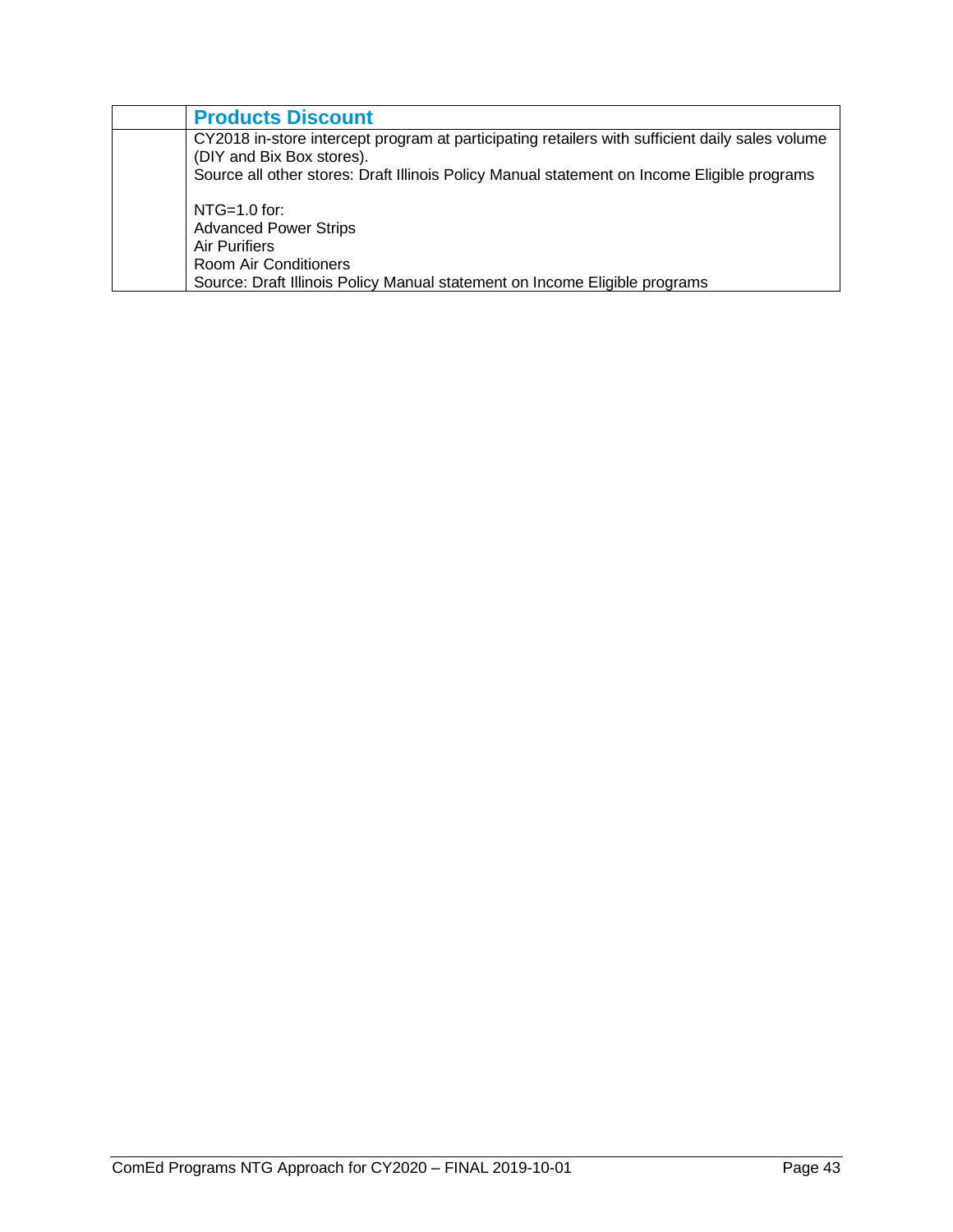| <b>Products Discount</b>                                                                                                     |
|------------------------------------------------------------------------------------------------------------------------------|
| CY2018 in-store intercept program at participating retailers with sufficient daily sales volume<br>(DIY and Bix Box stores). |
| Source all other stores: Draft Illinois Policy Manual statement on Income Eligible programs                                  |
| $NTG=1.0$ for:                                                                                                               |
| <b>Advanced Power Strips</b>                                                                                                 |
| Air Purifiers                                                                                                                |
| Room Air Conditioners                                                                                                        |
| Source: Draft Illinois Policy Manual statement on Income Eligible programs                                                   |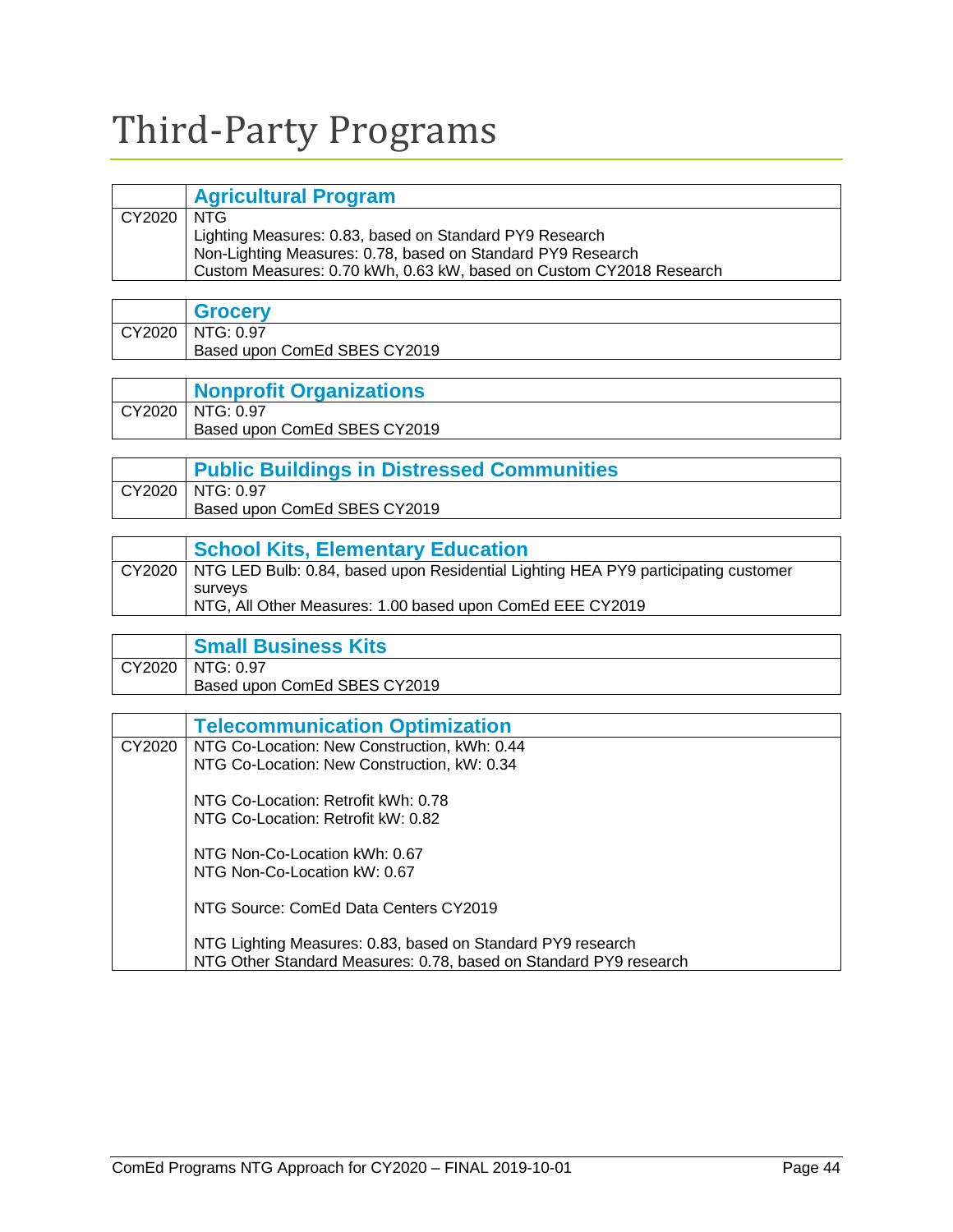# <span id="page-45-0"></span>Third-Party Programs

<span id="page-45-1"></span>

|              | <b>Agricultural Program</b>                                         |
|--------------|---------------------------------------------------------------------|
| CY2020   NTG |                                                                     |
|              | Lighting Measures: 0.83, based on Standard PY9 Research             |
|              | Non-Lighting Measures: 0.78, based on Standard PY9 Research         |
|              | Custom Measures: 0.70 kWh, 0.63 kW, based on Custom CY2018 Research |

<span id="page-45-2"></span>

| <b>Grocery</b>               |
|------------------------------|
| CY2020   NTG: 0.97           |
| Based upon ComEd SBES CY2019 |

<span id="page-45-3"></span>

| <b>Nonprofit Organizations</b> |
|--------------------------------|
| CY2020   NTG: 0.97             |
| Based upon ComEd SBES CY2019   |

<span id="page-45-4"></span>

| <b>Public Buildings in Distressed Communities</b> |
|---------------------------------------------------|
| CY2020   NTG: 0.97                                |
| Based upon ComEd SBES CY2019                      |

<span id="page-45-5"></span>

| <b>School Kits, Elementary Education</b>                                                    |
|---------------------------------------------------------------------------------------------|
| CY2020   NTG LED Bulb: 0.84, based upon Residential Lighting HEA PY9 participating customer |
| survevs                                                                                     |
| NTG, All Other Measures: 1.00 based upon ComEd EEE CY2019                                   |

<span id="page-45-6"></span>

| <b>Small Business Kits</b>   |
|------------------------------|
| CY2020   NTG: 0.97           |
| Based upon ComEd SBES CY2019 |

<span id="page-45-7"></span>

|        | <b>Telecommunication Optimization</b>                                                                                            |
|--------|----------------------------------------------------------------------------------------------------------------------------------|
| CY2020 | NTG Co-Location: New Construction, kWh: 0.44                                                                                     |
|        | NTG Co-Location: New Construction, kW: 0.34                                                                                      |
|        | NTG Co-Location: Retrofit kWh: 0.78                                                                                              |
|        | NTG Co-Location: Retrofit kW: 0.82                                                                                               |
|        | NTG Non-Co-Location kWh: 0.67                                                                                                    |
|        | NTG Non-Co-Location kW: 0.67                                                                                                     |
|        | NTG Source: ComEd Data Centers CY2019                                                                                            |
|        | NTG Lighting Measures: 0.83, based on Standard PY9 research<br>NTG Other Standard Measures: 0.78, based on Standard PY9 research |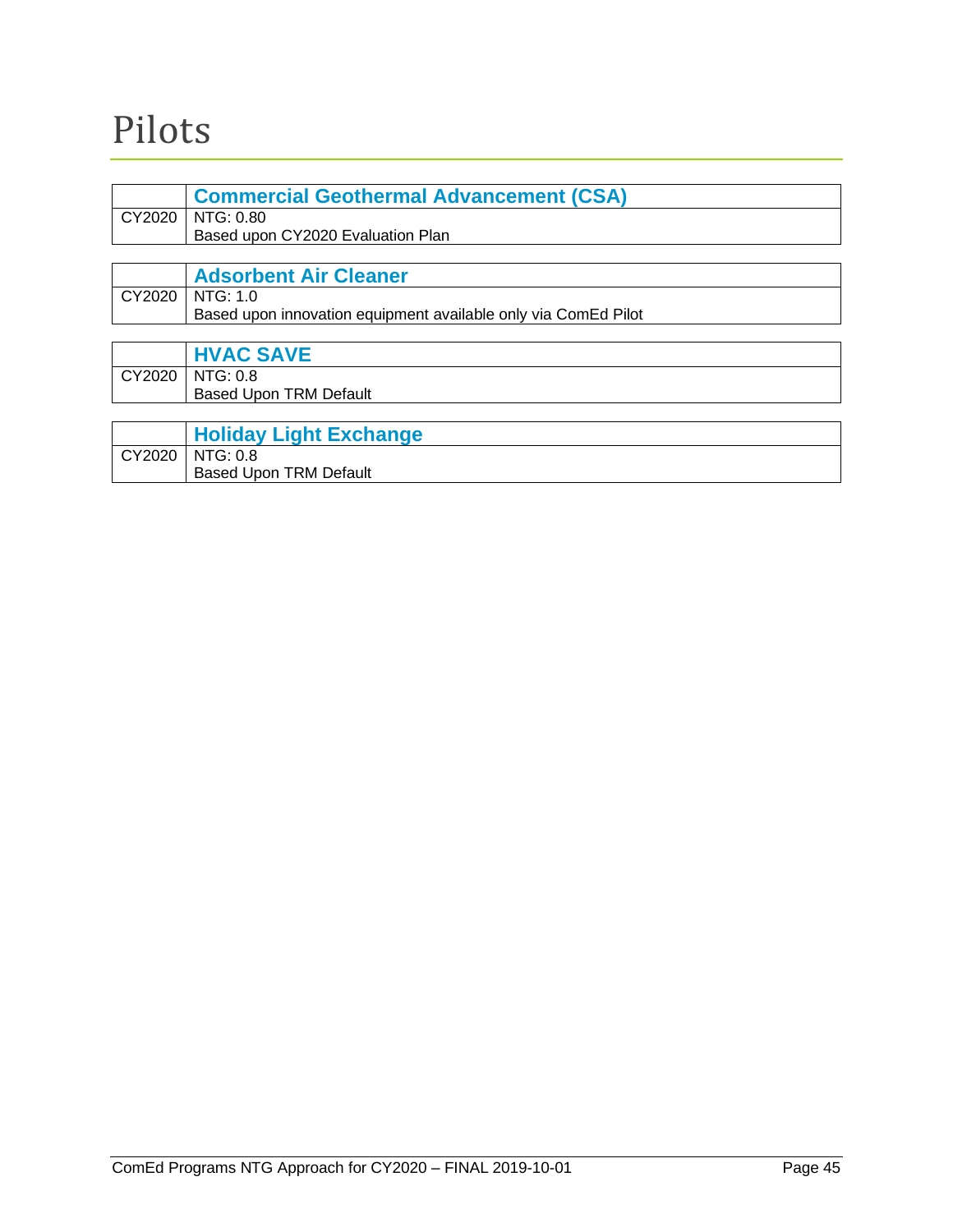# <span id="page-46-0"></span>Pilots

<span id="page-46-1"></span>

| <b>Commercial Geothermal Advancement (CSA)</b>                 |
|----------------------------------------------------------------|
| CY2020   NTG: 0.80                                             |
| Based upon CY2020 Evaluation Plan                              |
|                                                                |
| <b>Adsorbent Air Cleaner</b>                                   |
| CY2020   NTG: 1.0                                              |
| Based upon innovation equipment available only via ComEd Pilot |

<span id="page-46-3"></span><span id="page-46-2"></span>

| <b>HVAC SAVE</b>                                   |
|----------------------------------------------------|
| CY2020   NTG: 0.8<br><b>Based Upon TRM Default</b> |

<span id="page-46-4"></span>

|        | <b>Holiday Light Exchange</b> |
|--------|-------------------------------|
| CY2020 | NTG: 0.8                      |
|        | <b>Based Upon TRM Default</b> |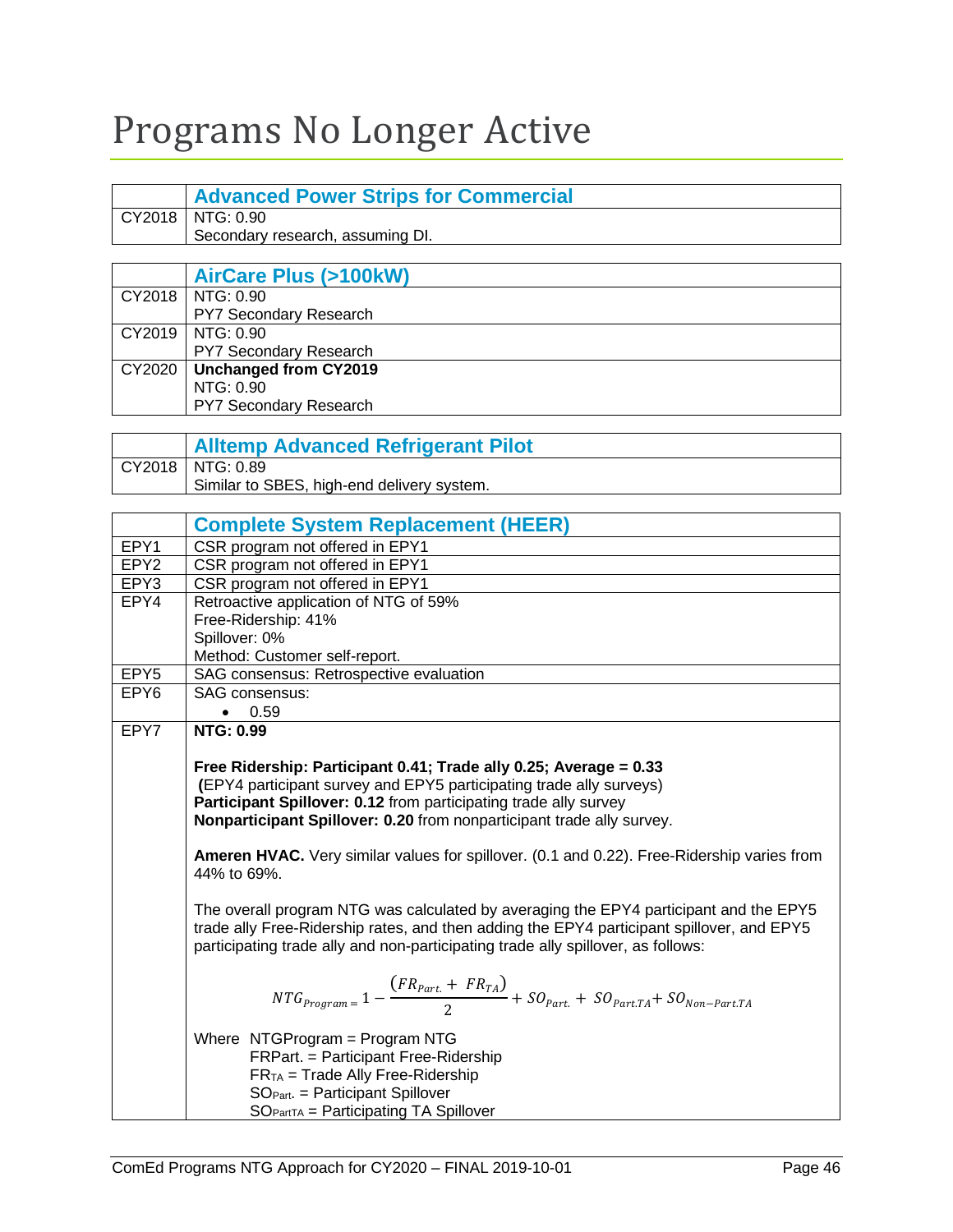# <span id="page-47-0"></span>Programs No Longer Active

<span id="page-47-4"></span><span id="page-47-3"></span><span id="page-47-2"></span><span id="page-47-1"></span>

|                  | <b>Advanced Power Strips for Commercial</b>                                                               |  |
|------------------|-----------------------------------------------------------------------------------------------------------|--|
| CY2018           | NTG: 0.90                                                                                                 |  |
|                  | Secondary research, assuming DI.                                                                          |  |
|                  |                                                                                                           |  |
|                  | <b>AirCare Plus (&gt;100kW)</b>                                                                           |  |
| CY2018           | NTG: 0.90                                                                                                 |  |
|                  | PY7 Secondary Research                                                                                    |  |
| CY2019           | NTG: 0.90                                                                                                 |  |
|                  | PY7 Secondary Research                                                                                    |  |
| CY2020           | <b>Unchanged from CY2019</b>                                                                              |  |
|                  | NTG: 0.90                                                                                                 |  |
|                  | PY7 Secondary Research                                                                                    |  |
|                  |                                                                                                           |  |
|                  | <b>Alltemp Advanced Refrigerant Pilot</b>                                                                 |  |
| CY2018           | NTG: 0.89                                                                                                 |  |
|                  | Similar to SBES, high-end delivery system.                                                                |  |
|                  |                                                                                                           |  |
|                  | <b>Complete System Replacement (HEER)</b>                                                                 |  |
| EPY1             | CSR program not offered in EPY1                                                                           |  |
| EPY <sub>2</sub> | CSR program not offered in EPY1                                                                           |  |
| EPY3             | CSR program not offered in EPY1                                                                           |  |
| EPY4             | Retroactive application of NTG of 59%                                                                     |  |
|                  | Free-Ridership: 41%<br>Spillover: 0%                                                                      |  |
|                  | Method: Customer self-report.                                                                             |  |
| EPY <sub>5</sub> | SAG consensus: Retrospective evaluation                                                                   |  |
| EPY <sub>6</sub> | SAG consensus:                                                                                            |  |
|                  | 0.59<br>$\bullet$                                                                                         |  |
| EPY7             | <b>NTG: 0.99</b>                                                                                          |  |
|                  |                                                                                                           |  |
|                  | Free Ridership: Participant 0.41; Trade ally 0.25; Average = 0.33                                         |  |
|                  | (EPY4 participant survey and EPY5 participating trade ally surveys)                                       |  |
|                  | Participant Spillover: 0.12 from participating trade ally survey                                          |  |
|                  | Nonparticipant Spillover: 0.20 from nonparticipant trade ally survey.                                     |  |
|                  |                                                                                                           |  |
|                  | Ameren HVAC. Very similar values for spillover. (0.1 and 0.22). Free-Ridership varies from<br>44% to 69%. |  |
|                  |                                                                                                           |  |
|                  | The overall program NTG was calculated by averaging the EPY4 participant and the EPY5                     |  |
|                  | trade ally Free-Ridership rates, and then adding the EPY4 participant spillover, and EPY5                 |  |
|                  | participating trade ally and non-participating trade ally spillover, as follows:                          |  |
|                  |                                                                                                           |  |
|                  |                                                                                                           |  |
|                  | $NTG_{Program} = 1 - \frac{(FR_{part.} + FR_{TA})}{2} + SO_{Part.} + SO_{Part.TA} + SO_{Non-Part.TA}$     |  |
|                  | Where NTGProgram = Program NTG                                                                            |  |
|                  | FRPart. = Participant Free-Ridership                                                                      |  |
|                  | $FRTA$ = Trade Ally Free-Ridership                                                                        |  |
|                  | $SOPart.$ = Participant Spillover                                                                         |  |
|                  | $SOPartTA = Participating TA Spillover$                                                                   |  |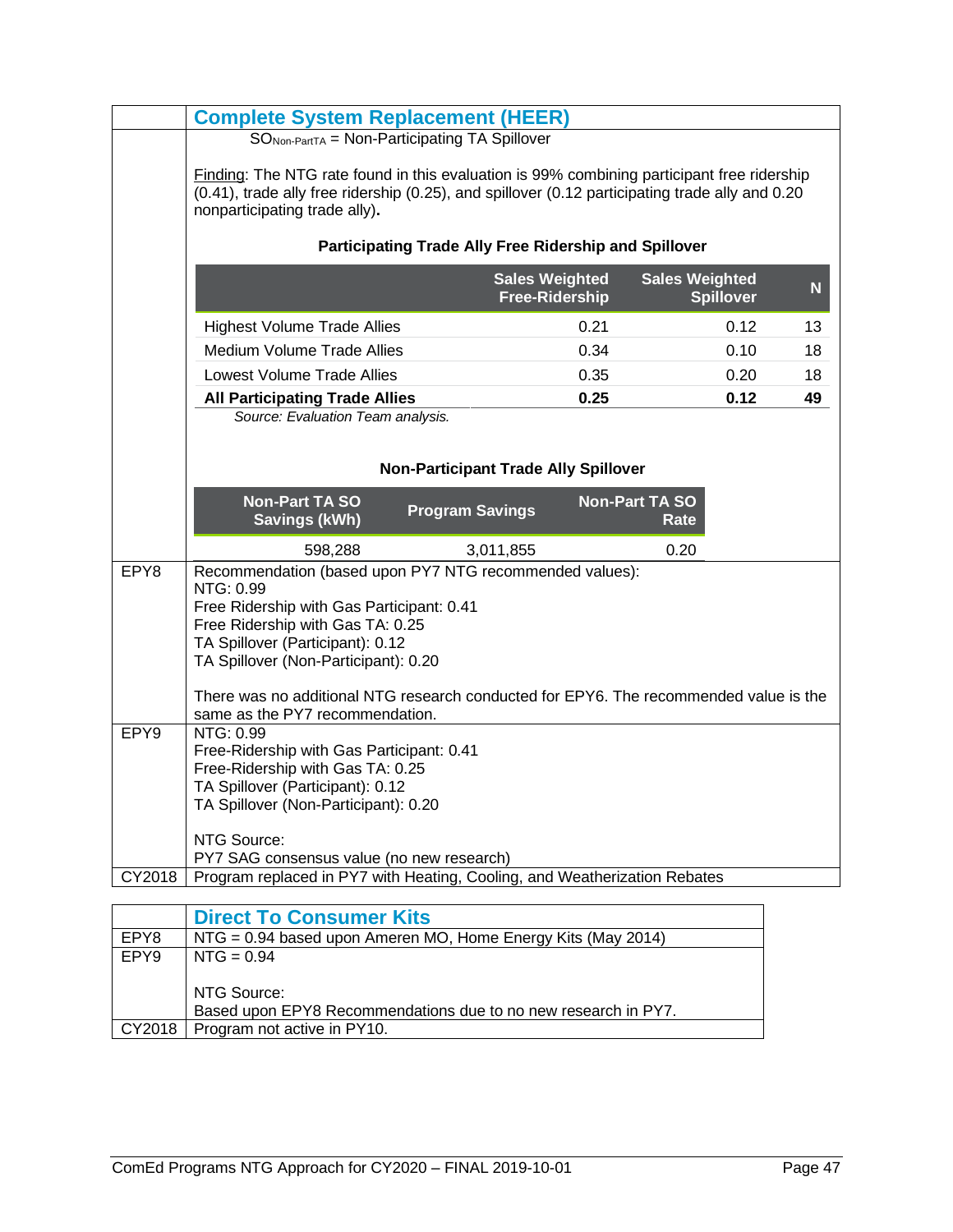|                  | <b>Complete System Replacement (HEER)</b>                                                                                                                                                                                                                                                                                  |                                                              |                                                |                                           |    |
|------------------|----------------------------------------------------------------------------------------------------------------------------------------------------------------------------------------------------------------------------------------------------------------------------------------------------------------------------|--------------------------------------------------------------|------------------------------------------------|-------------------------------------------|----|
|                  | SO <sub>Non-PartTA</sub> = Non-Participating TA Spillover                                                                                                                                                                                                                                                                  |                                                              |                                                |                                           |    |
|                  | Finding: The NTG rate found in this evaluation is 99% combining participant free ridership<br>(0.41), trade ally free ridership (0.25), and spillover (0.12 participating trade ally and 0.20<br>nonparticipating trade ally).                                                                                             |                                                              |                                                |                                           |    |
|                  |                                                                                                                                                                                                                                                                                                                            | <b>Participating Trade Ally Free Ridership and Spillover</b> |                                                |                                           |    |
|                  |                                                                                                                                                                                                                                                                                                                            |                                                              | <b>Sales Weighted</b><br><b>Free-Ridership</b> | <b>Sales Weighted</b><br><b>Spillover</b> | N  |
|                  | <b>Highest Volume Trade Allies</b>                                                                                                                                                                                                                                                                                         |                                                              | 0.21                                           | 0.12                                      | 13 |
|                  | <b>Medium Volume Trade Allies</b>                                                                                                                                                                                                                                                                                          |                                                              | 0.34                                           | 0.10                                      | 18 |
|                  | Lowest Volume Trade Allies                                                                                                                                                                                                                                                                                                 |                                                              | 0.35                                           | 0.20                                      | 18 |
|                  | <b>All Participating Trade Allies</b>                                                                                                                                                                                                                                                                                      |                                                              | 0.25                                           | 0.12                                      | 49 |
|                  | Source: Evaluation Team analysis.                                                                                                                                                                                                                                                                                          |                                                              |                                                |                                           |    |
|                  |                                                                                                                                                                                                                                                                                                                            |                                                              |                                                |                                           |    |
|                  |                                                                                                                                                                                                                                                                                                                            | <b>Non-Participant Trade Ally Spillover</b>                  |                                                |                                           |    |
|                  | <b>Non-Part TA SO</b><br><b>Savings (kWh)</b>                                                                                                                                                                                                                                                                              | <b>Program Savings</b>                                       | <b>Non-Part TA SO</b>                          | Rate                                      |    |
|                  | 598,288                                                                                                                                                                                                                                                                                                                    | 3,011,855                                                    |                                                | 0.20                                      |    |
| EPY8             | Recommendation (based upon PY7 NTG recommended values):<br>NTG: 0.99<br>Free Ridership with Gas Participant: 0.41<br>Free Ridership with Gas TA: 0.25<br>TA Spillover (Participant): 0.12<br>TA Spillover (Non-Participant): 0.20<br>There was no additional NTG research conducted for EPY6. The recommended value is the |                                                              |                                                |                                           |    |
| EPY <sub>9</sub> | same as the PY7 recommendation.<br>NTG: 0.99                                                                                                                                                                                                                                                                               |                                                              |                                                |                                           |    |
|                  | Free-Ridership with Gas Participant: 0.41<br>Free-Ridership with Gas TA: 0.25<br>TA Spillover (Participant): 0.12<br>TA Spillover (Non-Participant): 0.20<br>NTG Source:                                                                                                                                                   |                                                              |                                                |                                           |    |
|                  | PY7 SAG consensus value (no new research)                                                                                                                                                                                                                                                                                  |                                                              |                                                |                                           |    |
| CY2018           | Program replaced in PY7 with Heating, Cooling, and Weatherization Rebates                                                                                                                                                                                                                                                  |                                                              |                                                |                                           |    |
|                  |                                                                                                                                                                                                                                                                                                                            |                                                              |                                                |                                           |    |

<span id="page-48-0"></span>

|        | <b>Direct To Consumer Kits</b>                                 |  |
|--------|----------------------------------------------------------------|--|
| EPY8   | NTG = $0.94$ based upon Ameren MO, Home Energy Kits (May 2014) |  |
| EPY9   | $NTG = 0.94$                                                   |  |
|        |                                                                |  |
|        | NTG Source:                                                    |  |
|        | Based upon EPY8 Recommendations due to no new research in PY7. |  |
| CY2018 | Program not active in PY10.                                    |  |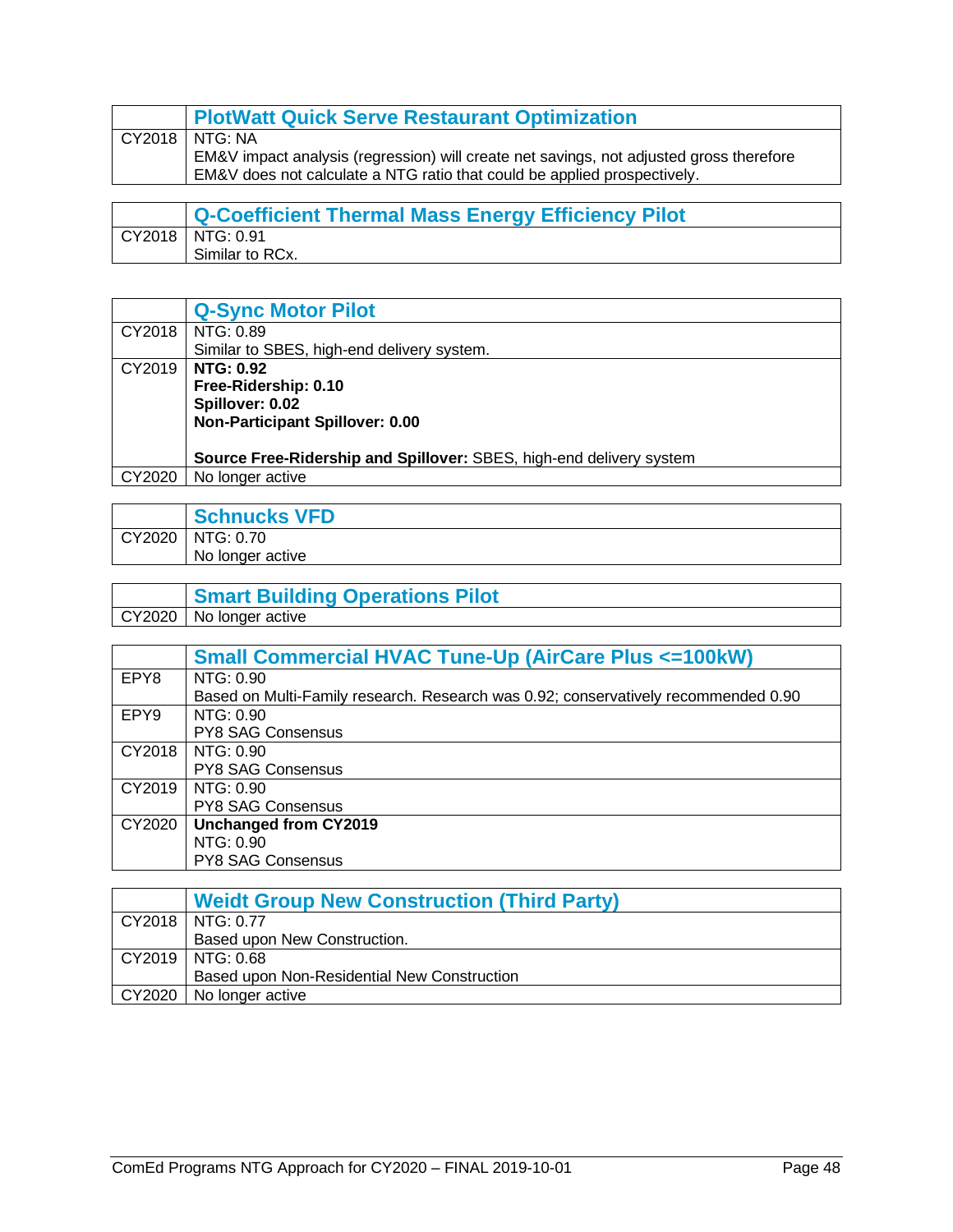<span id="page-49-0"></span>

| <b>PlotWatt Quick Serve Restaurant Optimization</b>                                     |
|-----------------------------------------------------------------------------------------|
| ! CY2018   NTG: NA                                                                      |
| EM&V impact analysis (regression) will create net savings, not adjusted gross therefore |
| EM&V does not calculate a NTG ratio that could be applied prospectively.                |

<span id="page-49-1"></span>

| Q-Coefficient Thermal Mass Energy Efficiency Pilot |
|----------------------------------------------------|
| CY2018   NTG: 0.91                                 |
| Similar to RCx.                                    |

<span id="page-49-2"></span>

|        | <b>Q-Sync Motor Pilot</b>                                           |  |
|--------|---------------------------------------------------------------------|--|
| CY2018 | NTG: 0.89                                                           |  |
|        | Similar to SBES, high-end delivery system.                          |  |
| CY2019 | <b>NTG: 0.92</b>                                                    |  |
|        | Free-Ridership: 0.10                                                |  |
|        | Spillover: 0.02                                                     |  |
|        | Non-Participant Spillover: 0.00                                     |  |
|        |                                                                     |  |
|        | Source Free-Ridership and Spillover: SBES, high-end delivery system |  |
| CY2020 | No longer active                                                    |  |

<span id="page-49-3"></span>

|        | <b>Schnucks VFD</b> |
|--------|---------------------|
| CY2020 | NTG: 0.70           |
|        | No longer active    |

<span id="page-49-4"></span>

|        | <b>Smart Building Operations Pilot</b> |
|--------|----------------------------------------|
| CY2020 | No longer active                       |

<span id="page-49-5"></span>

|                  | <b>Small Commercial HVAC Tune-Up (AirCare Plus &lt;= 100kW)</b>                    |  |
|------------------|------------------------------------------------------------------------------------|--|
| EPY8             | NTG: 0.90                                                                          |  |
|                  | Based on Multi-Family research. Research was 0.92; conservatively recommended 0.90 |  |
| EPY <sub>9</sub> | NTG: 0.90                                                                          |  |
|                  | <b>PY8 SAG Consensus</b>                                                           |  |
| CY2018           | NTG: 0.90                                                                          |  |
|                  | <b>PY8 SAG Consensus</b>                                                           |  |
| CY2019           | NTG: 0.90                                                                          |  |
|                  | <b>PY8 SAG Consensus</b>                                                           |  |
| CY2020           | Unchanged from CY2019                                                              |  |
|                  | NTG: 0.90                                                                          |  |
|                  | <b>PY8 SAG Consensus</b>                                                           |  |

<span id="page-49-6"></span>

| <b>Weidt Group New Construction (Third Party)</b> |
|---------------------------------------------------|
| CY2018   NTG: 0.77                                |
| Based upon New Construction.                      |
| CY2019   NTG: 0.68                                |
| Based upon Non-Residential New Construction       |
| CY2020   No longer active                         |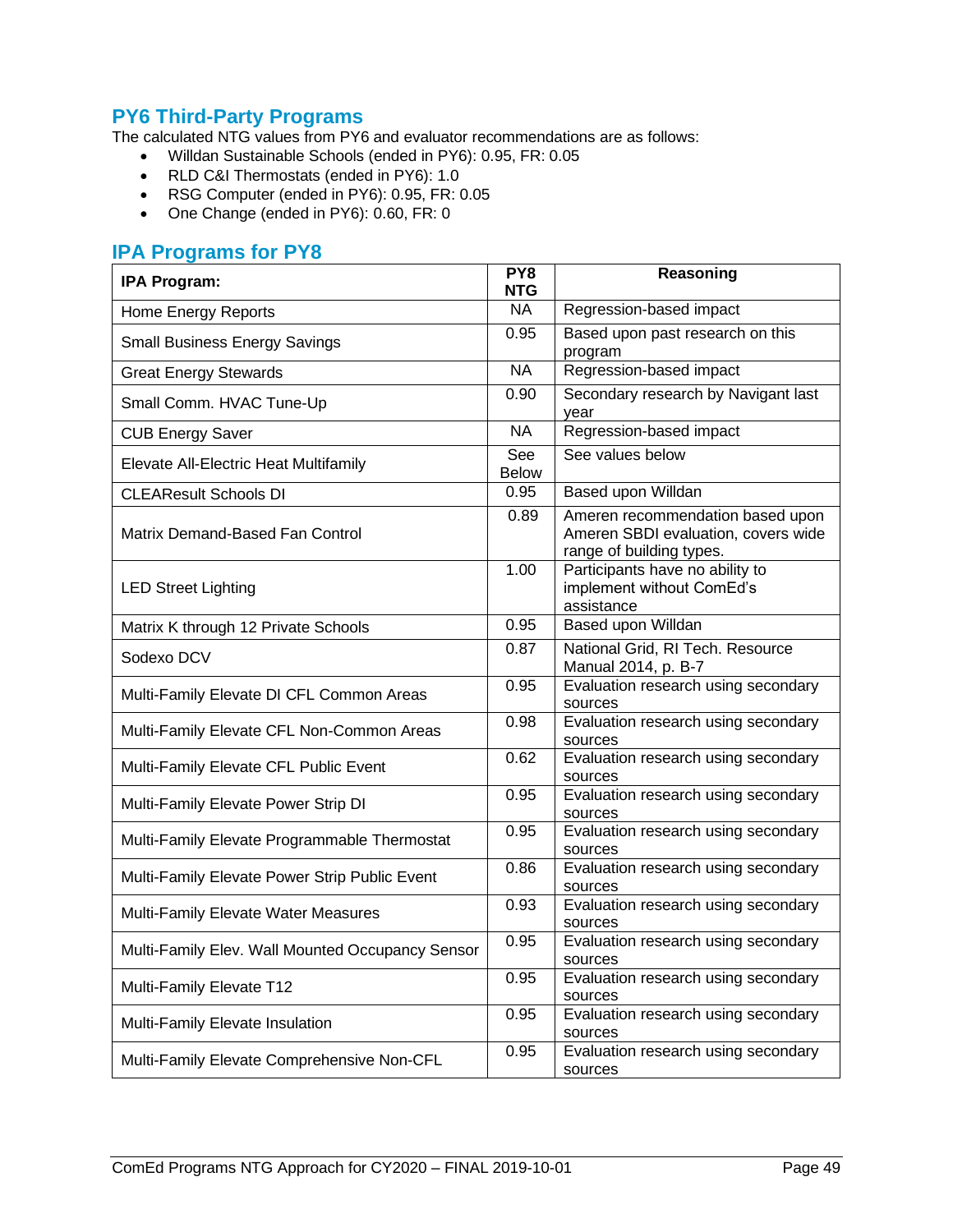#### <span id="page-50-0"></span>**PY6 Third-Party Programs**

The calculated NTG values from PY6 and evaluator recommendations are as follows:

- Willdan Sustainable Schools (ended in PY6): 0.95, FR: 0.05
- RLD C&I Thermostats (ended in PY6): 1.0
- RSG Computer (ended in PY6): 0.95, FR: 0.05
- One Change (ended in PY6): 0.60, FR: 0

#### <span id="page-50-1"></span>**IPA Programs for PY8**

| <b>IPA Program:</b>                              | PY8<br>NTG          | Reasoning                                                                                           |
|--------------------------------------------------|---------------------|-----------------------------------------------------------------------------------------------------|
| <b>Home Energy Reports</b>                       | $N_A$               | Regression-based impact                                                                             |
| <b>Small Business Energy Savings</b>             | 0.95                | Based upon past research on this<br>program                                                         |
| <b>Great Energy Stewards</b>                     | <b>NA</b>           | Regression-based impact                                                                             |
| Small Comm. HVAC Tune-Up                         | 0.90                | Secondary research by Navigant last<br>year                                                         |
| <b>CUB Energy Saver</b>                          | NA                  | Regression-based impact                                                                             |
| Elevate All-Electric Heat Multifamily            | See<br><b>Below</b> | See values below                                                                                    |
| <b>CLEAResult Schools DI</b>                     | 0.95                | Based upon Willdan                                                                                  |
| Matrix Demand-Based Fan Control                  | 0.89                | Ameren recommendation based upon<br>Ameren SBDI evaluation, covers wide<br>range of building types. |
| <b>LED Street Lighting</b>                       | 1.00                | Participants have no ability to<br>implement without ComEd's<br>assistance                          |
| Matrix K through 12 Private Schools              | 0.95                | Based upon Willdan                                                                                  |
| Sodexo DCV                                       | 0.87                | National Grid, RI Tech. Resource<br>Manual 2014, p. B-7                                             |
| Multi-Family Elevate DI CFL Common Areas         | 0.95                | Evaluation research using secondary<br>sources                                                      |
| Multi-Family Elevate CFL Non-Common Areas        | 0.98                | Evaluation research using secondary<br>sources                                                      |
| Multi-Family Elevate CFL Public Event            | 0.62                | Evaluation research using secondary<br>sources                                                      |
| Multi-Family Elevate Power Strip DI              | 0.95                | Evaluation research using secondary<br>sources                                                      |
| Multi-Family Elevate Programmable Thermostat     | 0.95                | Evaluation research using secondary<br>sources                                                      |
| Multi-Family Elevate Power Strip Public Event    | 0.86                | Evaluation research using secondary<br>sources                                                      |
| Multi-Family Elevate Water Measures              | 0.93                | Evaluation research using secondary<br>sources                                                      |
| Multi-Family Elev. Wall Mounted Occupancy Sensor | 0.95                | Evaluation research using secondary<br>sources                                                      |
| Multi-Family Elevate T12                         | 0.95                | Evaluation research using secondary<br>sources                                                      |
| Multi-Family Elevate Insulation                  | 0.95                | Evaluation research using secondary<br>sources                                                      |
| Multi-Family Elevate Comprehensive Non-CFL       | 0.95                | Evaluation research using secondary<br>sources                                                      |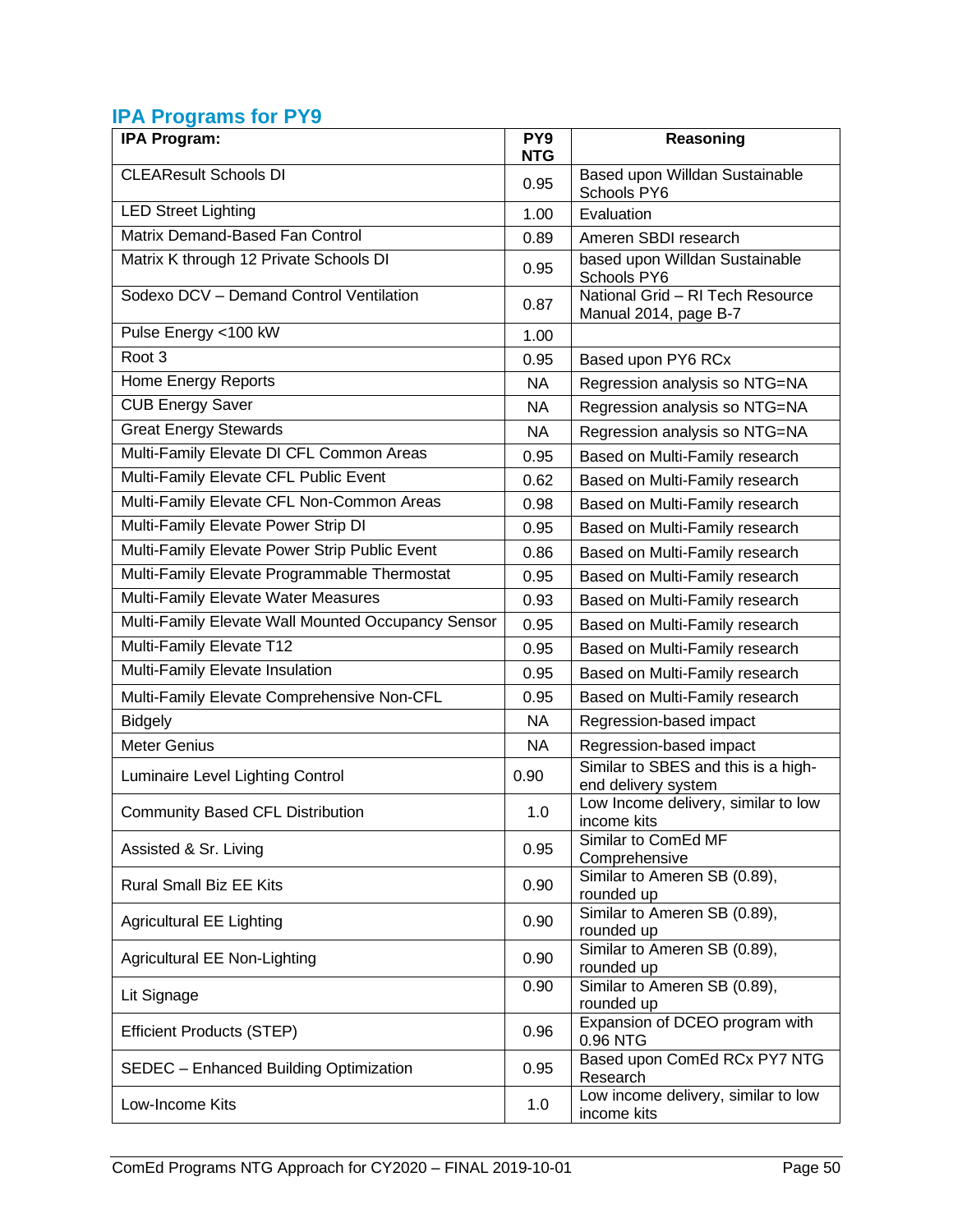### <span id="page-51-0"></span>**IPA Programs for PY9**

| <b>IPA Program:</b>                                | PY <sub>9</sub><br><b>NTG</b> | Reasoning                                                  |
|----------------------------------------------------|-------------------------------|------------------------------------------------------------|
| <b>CLEAResult Schools DI</b>                       | 0.95                          | Based upon Willdan Sustainable<br>Schools PY6              |
| <b>LED Street Lighting</b>                         | 1.00                          | Evaluation                                                 |
| Matrix Demand-Based Fan Control                    | 0.89                          | Ameren SBDI research                                       |
| Matrix K through 12 Private Schools DI             | 0.95                          | based upon Willdan Sustainable<br>Schools PY6              |
| Sodexo DCV - Demand Control Ventilation            | 0.87                          | National Grid - RI Tech Resource<br>Manual 2014, page B-7  |
| Pulse Energy <100 kW                               | 1.00                          |                                                            |
| Root <sub>3</sub>                                  | 0.95                          | Based upon PY6 RCx                                         |
| Home Energy Reports                                | <b>NA</b>                     | Regression analysis so NTG=NA                              |
| <b>CUB Energy Saver</b>                            | NA.                           | Regression analysis so NTG=NA                              |
| <b>Great Energy Stewards</b>                       | <b>NA</b>                     | Regression analysis so NTG=NA                              |
| Multi-Family Elevate DI CFL Common Areas           | 0.95                          | Based on Multi-Family research                             |
| Multi-Family Elevate CFL Public Event              | 0.62                          | Based on Multi-Family research                             |
| Multi-Family Elevate CFL Non-Common Areas          | 0.98                          | Based on Multi-Family research                             |
| Multi-Family Elevate Power Strip DI                | 0.95                          | Based on Multi-Family research                             |
| Multi-Family Elevate Power Strip Public Event      | 0.86                          | Based on Multi-Family research                             |
| Multi-Family Elevate Programmable Thermostat       | 0.95                          | Based on Multi-Family research                             |
| Multi-Family Elevate Water Measures                | 0.93                          | Based on Multi-Family research                             |
| Multi-Family Elevate Wall Mounted Occupancy Sensor | 0.95                          | Based on Multi-Family research                             |
| Multi-Family Elevate T12                           | 0.95                          | Based on Multi-Family research                             |
| Multi-Family Elevate Insulation                    | 0.95                          | Based on Multi-Family research                             |
| Multi-Family Elevate Comprehensive Non-CFL         | 0.95                          | Based on Multi-Family research                             |
| <b>Bidgely</b>                                     | <b>NA</b>                     | Regression-based impact                                    |
| <b>Meter Genius</b>                                | <b>NA</b>                     | Regression-based impact                                    |
| Luminaire Level Lighting Control                   | 0.90                          | Similar to SBES and this is a high-<br>end delivery system |
| <b>Community Based CFL Distribution</b>            | 1.0                           | Low Income delivery, similar to low<br>income kits         |
| Assisted & Sr. Living                              | 0.95                          | Similar to ComEd MF<br>Comprehensive                       |
| <b>Rural Small Biz EE Kits</b>                     | 0.90                          | Similar to Ameren SB (0.89),<br>rounded up                 |
| <b>Agricultural EE Lighting</b>                    | 0.90                          | Similar to Ameren SB (0.89),<br>rounded up                 |
| <b>Agricultural EE Non-Lighting</b>                | 0.90                          | Similar to Ameren SB (0.89),<br>rounded up                 |
| Lit Signage                                        | 0.90                          | Similar to Ameren SB (0.89),<br>rounded up                 |
| <b>Efficient Products (STEP)</b>                   | 0.96                          | Expansion of DCEO program with<br>0.96 NTG                 |
| SEDEC - Enhanced Building Optimization             | 0.95                          | Based upon ComEd RCx PY7 NTG<br>Research                   |
| Low-Income Kits                                    | 1.0                           | Low income delivery, similar to low<br>income kits         |